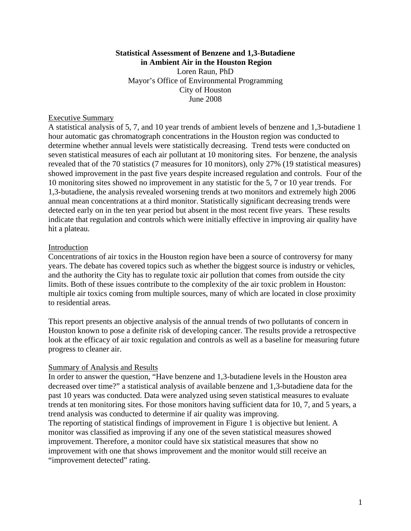#### **Statistical Assessment of Benzene and 1,3-Butadiene in Ambient Air in the Houston Region**

Loren Raun, PhD Mayor's Office of Environmental Programming City of Houston June 2008

### Executive Summary

A statistical analysis of 5, 7, and 10 year trends of ambient levels of benzene and 1,3-butadiene 1 hour automatic gas chromatograph concentrations in the Houston region was conducted to determine whether annual levels were statistically decreasing. Trend tests were conducted on seven statistical measures of each air pollutant at 10 monitoring sites. For benzene, the analysis revealed that of the 70 statistics (7 measures for 10 monitors), only 27% (19 statistical measures) showed improvement in the past five years despite increased regulation and controls. Four of the 10 monitoring sites showed no improvement in any statistic for the 5, 7 or 10 year trends. For 1,3-butadiene, the analysis revealed worsening trends at two monitors and extremely high 2006 annual mean concentrations at a third monitor. Statistically significant decreasing trends were detected early on in the ten year period but absent in the most recent five years. These results indicate that regulation and controls which were initially effective in improving air quality have hit a plateau.

#### Introduction

Concentrations of air toxics in the Houston region have been a source of controversy for many years. The debate has covered topics such as whether the biggest source is industry or vehicles, and the authority the City has to regulate toxic air pollution that comes from outside the city limits. Both of these issues contribute to the complexity of the air toxic problem in Houston: multiple air toxics coming from multiple sources, many of which are located in close proximity to residential areas.

This report presents an objective analysis of the annual trends of two pollutants of concern in Houston known to pose a definite risk of developing cancer. The results provide a retrospective look at the efficacy of air toxic regulation and controls as well as a baseline for measuring future progress to cleaner air.

#### Summary of Analysis and Results

In order to answer the question, "Have benzene and 1,3-butadiene levels in the Houston area decreased over time?" a statistical analysis of available benzene and 1,3-butadiene data for the past 10 years was conducted. Data were analyzed using seven statistical measures to evaluate trends at ten monitoring sites. For those monitors having sufficient data for 10, 7, and 5 years, a trend analysis was conducted to determine if air quality was improving.

The reporting of statistical findings of improvement in Figure 1 is objective but lenient. A monitor was classified as improving if any one of the seven statistical measures showed improvement. Therefore, a monitor could have six statistical measures that show no improvement with one that shows improvement and the monitor would still receive an "improvement detected" rating.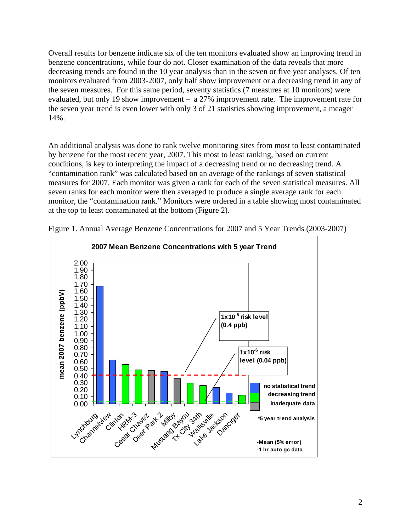Overall results for benzene indicate six of the ten monitors evaluated show an improving trend in benzene concentrations, while four do not. Closer examination of the data reveals that more decreasing trends are found in the 10 year analysis than in the seven or five year analyses. Of ten monitors evaluated from 2003-2007, only half show improvement or a decreasing trend in any of the seven measures. For this same period, seventy statistics (7 measures at 10 monitors) were evaluated, but only 19 show improvement – a 27% improvement rate. The improvement rate for the seven year trend is even lower with only 3 of 21 statistics showing improvement, a meager 14%.

An additional analysis was done to rank twelve monitoring sites from most to least contaminated by benzene for the most recent year, 2007. This most to least ranking, based on current conditions, is key to interpreting the impact of a decreasing trend or no decreasing trend. A "contamination rank" was calculated based on an average of the rankings of seven statistical measures for 2007. Each monitor was given a rank for each of the seven statistical measures. All seven ranks for each monitor were then averaged to produce a single average rank for each monitor, the "contamination rank." Monitors were ordered in a table showing most contaminated at the top to least contaminated at the bottom (Figure 2).



Figure 1. Annual Average Benzene Concentrations for 2007 and 5 Year Trends (2003-2007)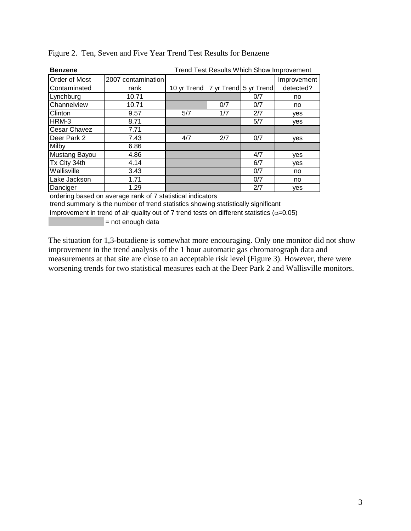| <b>Benzene</b>       | Trend Test Results Which Show Improvement |                                       |     |     |             |  |  |  |  |  |
|----------------------|-------------------------------------------|---------------------------------------|-----|-----|-------------|--|--|--|--|--|
| <b>Order of Most</b> | 2007 contamination                        |                                       |     |     | Improvement |  |  |  |  |  |
| Contaminated         | rank                                      | 10 yr Trend   7 yr Trend   5 yr Trend |     |     | detected?   |  |  |  |  |  |
| Lynchburg            | 10.71                                     |                                       |     | 0/7 | no          |  |  |  |  |  |
| Channelview          | 10.71                                     |                                       | 0/7 | 0/7 | no          |  |  |  |  |  |
| Clinton              | 9.57                                      | 5/7                                   | 1/7 | 2/7 | yes         |  |  |  |  |  |
| HRM-3                | 8.71                                      |                                       |     | 5/7 | yes         |  |  |  |  |  |
| <b>Cesar Chavez</b>  | 7.71                                      |                                       |     |     |             |  |  |  |  |  |
| Deer Park 2          | 7.43                                      | 4/7                                   | 2/7 | 0/7 | ves         |  |  |  |  |  |
| Milby                | 6.86                                      |                                       |     |     |             |  |  |  |  |  |
| Mustang Bayou        | 4.86                                      |                                       |     | 4/7 | ves         |  |  |  |  |  |
| Tx City 34th         | 4.14                                      |                                       |     | 6/7 | yes         |  |  |  |  |  |
| Wallisville          | 3.43                                      |                                       |     | 0/7 | no          |  |  |  |  |  |
| Lake Jackson         | 1.71                                      |                                       |     | 0/7 | no          |  |  |  |  |  |
| Danciger             | 1.29                                      |                                       |     | 2/7 | yes         |  |  |  |  |  |

Figure 2. Ten, Seven and Five Year Trend Test Results for Benzene

ordering based on average rank of 7 statistical indicators

trend summary is the number of trend statistics showing statistically significant

improvement in trend of air quality out of 7 trend tests on different statistics ( $\alpha$ =0.05)

= not enough data

The situation for 1,3-butadiene is somewhat more encouraging. Only one monitor did not show improvement in the trend analysis of the 1 hour automatic gas chromatograph data and measurements at that site are close to an acceptable risk level (Figure 3). However, there were worsening trends for two statistical measures each at the Deer Park 2 and Wallisville monitors.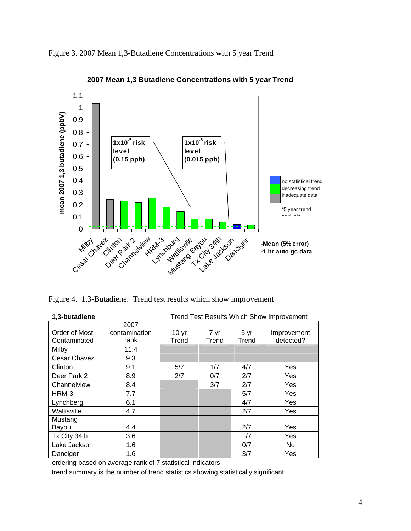

Figure 3. 2007 Mean 1,3-Butadiene Concentrations with 5 year Trend

Figure 4. 1,3-Butadiene. Trend test results which show improvement

| 1,3-butadiene | <b>Trend Test Results Which Show Improvement</b> |                  |       |       |             |  |  |  |  |  |
|---------------|--------------------------------------------------|------------------|-------|-------|-------------|--|--|--|--|--|
|               | 2007                                             |                  |       |       |             |  |  |  |  |  |
| Order of Most | contamination                                    | 10 <sub>yr</sub> | 7 yr  | 5 yr  | Improvement |  |  |  |  |  |
| Contaminated  | rank                                             | Trend            | Trend | Trend | detected?   |  |  |  |  |  |
| Milby         | 11.4                                             |                  |       |       |             |  |  |  |  |  |
| Cesar Chavez  | 9.3                                              |                  |       |       |             |  |  |  |  |  |
| Clinton       | 9.1                                              | 5/7              | 1/7   | 4/7   | Yes         |  |  |  |  |  |
| Deer Park 2   | 8.9                                              | 2/7              | 0/7   | 2/7   | Yes         |  |  |  |  |  |
| Channelview   | 8.4                                              |                  | 3/7   | 2/7   | Yes         |  |  |  |  |  |
| HRM-3         | 7.7                                              |                  |       | 5/7   | Yes         |  |  |  |  |  |
| Lynchberg     | 6.1                                              |                  |       | 4/7   | Yes         |  |  |  |  |  |
| Wallisville   | 4.7                                              |                  |       | 2/7   | Yes         |  |  |  |  |  |
| Mustang       |                                                  |                  |       |       |             |  |  |  |  |  |
| Bayou         | 4.4                                              |                  |       | 2/7   | Yes         |  |  |  |  |  |
| Tx City 34th  | 3.6                                              |                  |       | 1/7   | Yes         |  |  |  |  |  |
| Lake Jackson  | 1.6                                              |                  |       | 0/7   | <b>No</b>   |  |  |  |  |  |
| Danciger      | 1.6                                              |                  |       | 3/7   | <b>Yes</b>  |  |  |  |  |  |

ordering based on average rank of 7 statistical indicators

trend summary is the number of trend statistics showing statistically significant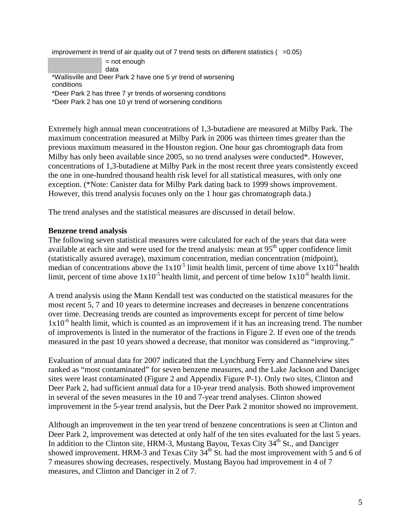improvement in trend of air quality out of 7 trend tests on different statistics  $(=0.05)$ 

= not enough data

\*Wallisville and Deer Park 2 have one 5 yr trend of worsening

conditions

\*Deer Park 2 has three 7 yr trends of worsening conditions

\*Deer Park 2 has one 10 yr trend of worsening conditions

Extremely high annual mean concentrations of 1,3-butadiene are measured at Milby Park. The maximum concentration measured at Milby Park in 2006 was thirteen times greater than the previous maximum measured in the Houston region. One hour gas chromtograph data from Milby has only been available since 2005, so no trend analyses were conducted\*. However, concentrations of 1,3-butadiene at Milby Park in the most recent three years consistently exceed the one in one-hundred thousand health risk level for all statistical measures, with only one exception. (\*Note: Canister data for Milby Park dating back to 1999 shows improvement. However, this trend analysis focuses only on the 1 hour gas chromatograph data.)

The trend analyses and the statistical measures are discussed in detail below.

### **Benzene trend analysis**

The following seven statistical measures were calculated for each of the years that data were available at each site and were used for the trend analysis: mean at 95<sup>th</sup> upper confidence limit (statistically assured average), maximum concentration, median concentration (midpoint), median of concentrations above the  $1x10^{-5}$  limit health limit, percent of time above  $1x10^{-4}$  health limit, percent of time above  $1x10^{-5}$  health limit, and percent of time below  $1x10^{-6}$  health limit.

A trend analysis using the Mann Kendall test was conducted on the statistical measures for the most recent 5, 7 and 10 years to determine increases and decreases in benzene concentrations over time. Decreasing trends are counted as improvements except for percent of time below  $1x10^{-6}$  health limit, which is counted as an improvement if it has an increasing trend. The number of improvements is listed in the numerator of the fractions in Figure 2. If even one of the trends measured in the past 10 years showed a decrease, that monitor was considered as "improving."

Evaluation of annual data for 2007 indicated that the Lynchburg Ferry and Channelview sites ranked as "most contaminated" for seven benzene measures, and the Lake Jackson and Danciger sites were least contaminated (Figure 2 and Appendix Figure P-1). Only two sites, Clinton and Deer Park 2, had sufficient annual data for a 10-year trend analysis. Both showed improvement in several of the seven measures in the 10 and 7-year trend analyses. Clinton showed improvement in the 5-year trend analysis, but the Deer Park 2 monitor showed no improvement.

Although an improvement in the ten year trend of benzene concentrations is seen at Clinton and Deer Park 2, improvement was detected at only half of the ten sites evaluated for the last 5 years. In addition to the Clinton site, HRM-3, Mustang Bayou, Texas City  $34<sup>th</sup>$  St., and Danciger showed improvement. HRM-3 and Texas City  $34<sup>th</sup>$  St. had the most improvement with 5 and 6 of 7 measures showing decreases, respectively. Mustang Bayou had improvement in 4 of 7 measures, and Clinton and Danciger in 2 of 7.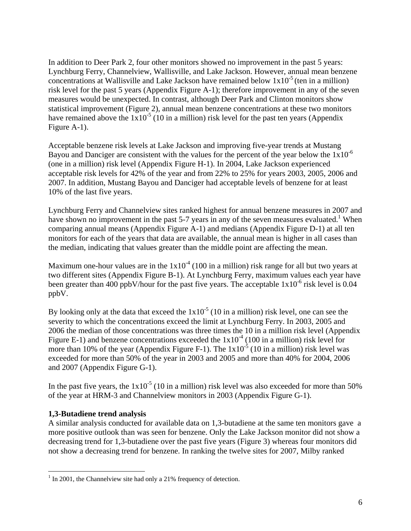In addition to Deer Park 2, four other monitors showed no improvement in the past 5 years: Lynchburg Ferry, Channelview, Wallisville, and Lake Jackson. However, annual mean benzene concentrations at Wallisville and Lake Jackson have remained below  $1x10^{-5}$  (ten in a million) risk level for the past 5 years (Appendix Figure A-1); therefore improvement in any of the seven measures would be unexpected. In contrast, although Deer Park and Clinton monitors show statistical improvement (Figure 2), annual mean benzene concentrations at these two monitors have remained above the  $1x10^{-5}$  (10 in a million) risk level for the past ten years (Appendix Figure A-1).

Acceptable benzene risk levels at Lake Jackson and improving five-year trends at Mustang Bayou and Danciger are consistent with the values for the percent of the year below the  $1x10^{-6}$ (one in a million) risk level (Appendix Figure H-1). In 2004, Lake Jackson experienced acceptable risk levels for 42% of the year and from 22% to 25% for years 2003, 2005, 2006 and 2007. In addition, Mustang Bayou and Danciger had acceptable levels of benzene for at least 10% of the last five years.

Lynchburg Ferry and Channelview sites ranked highest for annual benzene measures in 2007 and have shown no improvement in the past 5-7 years in any of the seven measures evaluated.<sup>1</sup> When comparing annual means (Appendix Figure A-1) and medians (Appendix Figure D-1) at all ten monitors for each of the years that data are available, the annual mean is higher in all cases than the median, indicating that values greater than the middle point are affecting the mean.

Maximum one-hour values are in the  $1x10<sup>-4</sup>$  (100 in a million) risk range for all but two years at two different sites (Appendix Figure B-1). At Lynchburg Ferry, maximum values each year have been greater than 400 ppbV/hour for the past five years. The acceptable  $1x10^{-6}$  risk level is 0.04 ppbV.

By looking only at the data that exceed the  $1x10^{-5}$  (10 in a million) risk level, one can see the severity to which the concentrations exceed the limit at Lynchburg Ferry. In 2003, 2005 and 2006 the median of those concentrations was three times the 10 in a million risk level (Appendix Figure E-1) and benzene concentrations exceeded the  $1x10<sup>-4</sup>$  (100 in a million) risk level for more than 10% of the year (Appendix Figure F-1). The  $1x10^{-5}$  (10 in a million) risk level was exceeded for more than 50% of the year in 2003 and 2005 and more than 40% for 2004, 2006 and 2007 (Appendix Figure G-1).

In the past five years, the  $1x10^{-5}$  (10 in a million) risk level was also exceeded for more than 50% of the year at HRM-3 and Channelview monitors in 2003 (Appendix Figure G-1).

### **1,3-Butadiene trend analysis**

 $\overline{a}$ 

A similar analysis conducted for available data on 1,3-butadiene at the same ten monitors gave a more positive outlook than was seen for benzene. Only the Lake Jackson monitor did not show a decreasing trend for 1,3-butadiene over the past five years (Figure 3) whereas four monitors did not show a decreasing trend for benzene. In ranking the twelve sites for 2007, Milby ranked

 $<sup>1</sup>$  In 2001, the Channelview site had only a 21% frequency of detection.</sup>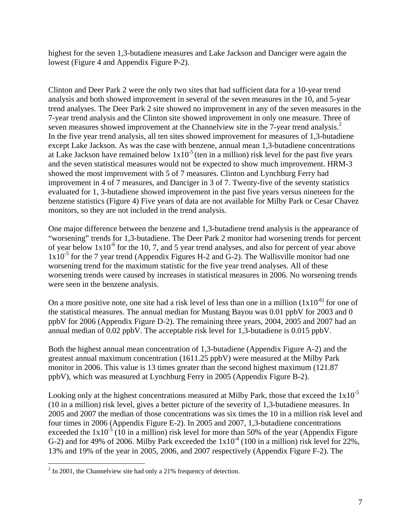highest for the seven 1,3-butadiene measures and Lake Jackson and Danciger were again the lowest (Figure 4 and Appendix Figure P-2).

Clinton and Deer Park 2 were the only two sites that had sufficient data for a 10-year trend analysis and both showed improvement in several of the seven measures in the 10, and 5-year trend analyses. The Deer Park 2 site showed no improvement in any of the seven measures in the 7-year trend analysis and the Clinton site showed improvement in only one measure. Three of seven measures showed improvement at the Channelview site in the 7-year trend analysis.<sup>2</sup> In the five year trend analysis, all ten sites showed improvement for measures of 1,3-butadiene except Lake Jackson. As was the case with benzene, annual mean 1,3-butadiene concentrations at Lake Jackson have remained below  $1x10^{-5}$  (ten in a million) risk level for the past five years and the seven statistical measures would not be expected to show much improvement. HRM-3 showed the most improvement with 5 of 7 measures. Clinton and Lynchburg Ferry had improvement in 4 of 7 measures, and Danciger in 3 of 7. Twenty-five of the seventy statistics evaluated for 1, 3-butadiene showed improvement in the past five years versus nineteen for the benzene statistics (Figure 4) Five years of data are not available for Milby Park or Cesar Chavez monitors, so they are not included in the trend analysis.

One major difference between the benzene and 1,3-butadiene trend analysis is the appearance of "worsening" trends for 1,3-butadiene. The Deer Park 2 monitor had worsening trends for percent of year below  $1x10^{-6}$  for the 10, 7, and 5 year trend analyses, and also for percent of year above  $1x10^{-5}$  for the 7 year trend (Appendix Figures H-2 and G-2). The Wallisville monitor had one worsening trend for the maximum statistic for the five year trend analyses. All of these worsening trends were caused by increases in statistical measures in 2006. No worsening trends were seen in the benzene analysis.

On a more positive note, one site had a risk level of less than one in a million  $(1x10^{-6})$  for one of the statistical measures. The annual median for Mustang Bayou was 0.01 ppbV for 2003 and 0 ppbV for 2006 (Appendix Figure D-2). The remaining three years, 2004, 2005 and 2007 had an annual median of 0.02 ppbV. The acceptable risk level for 1,3-butadiene is 0.015 ppbV.

Both the highest annual mean concentration of 1,3-butadiene (Appendix Figure A-2) and the greatest annual maximum concentration (1611.25 ppbV) were measured at the Milby Park monitor in 2006. This value is 13 times greater than the second highest maximum (121.87 ppbV), which was measured at Lynchburg Ferry in 2005 (Appendix Figure B-2).

Looking only at the highest concentrations measured at Milby Park, those that exceed the  $1x10^{-5}$ (10 in a million) risk level, gives a better picture of the severity of 1,3-butadiene measures. In 2005 and 2007 the median of those concentrations was six times the 10 in a million risk level and four times in 2006 (Appendix Figure E-2). In 2005 and 2007, 1,3-butadiene concentrations exceeded the  $1x10^{-5}$  (10 in a million) risk level for more than 50% of the year (Appendix Figure G-2) and for 49% of 2006. Milby Park exceeded the  $1x10<sup>-4</sup>$  (100 in a million) risk level for 22%, 13% and 19% of the year in 2005, 2006, and 2007 respectively (Appendix Figure F-2). The

<sup>&</sup>lt;sup>2</sup> In 2001, the Channelview site had only a 21% frequency of detection.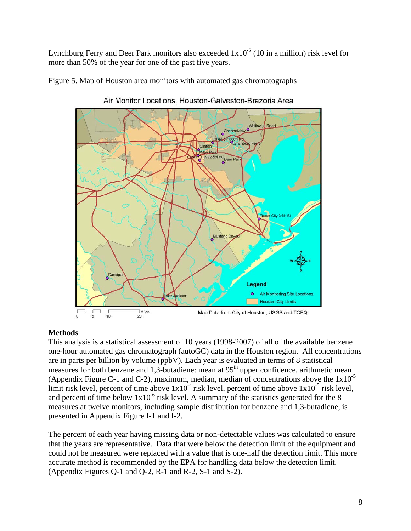Lynchburg Ferry and Deer Park monitors also exceeded  $1x10^{-5}$  (10 in a million) risk level for more than 50% of the year for one of the past five years.

Figure 5. Map of Houston area monitors with automated gas chromatographs



Air Monitor Locations, Houston-Galveston-Brazoria Area

### **Methods**

This analysis is a statistical assessment of 10 years (1998-2007) of all of the available benzene one-hour automated gas chromatograph (autoGC) data in the Houston region. All concentrations are in parts per billion by volume (ppbV). Each year is evaluated in terms of 8 statistical measures for both benzene and 1,3-butadiene: mean at 95<sup>th</sup> upper confidence, arithmetic mean (Appendix Figure C-1 and C-2), maximum, median, median of concentrations above the  $1x10^{-5}$ limit risk level, percent of time above  $1x10^{-4}$  risk level, percent of time above  $1x10^{-5}$  risk level, and percent of time below  $1x10^{-6}$  risk level. A summary of the statistics generated for the 8 measures at twelve monitors, including sample distribution for benzene and 1,3-butadiene, is presented in Appendix Figure I-1 and I-2.

The percent of each year having missing data or non-detectable values was calculated to ensure that the years are representative. Data that were below the detection limit of the equipment and could not be measured were replaced with a value that is one-half the detection limit. This more accurate method is recommended by the EPA for handling data below the detection limit. (Appendix Figures Q-1 and Q-2, R-1 and R-2, S-1 and S-2).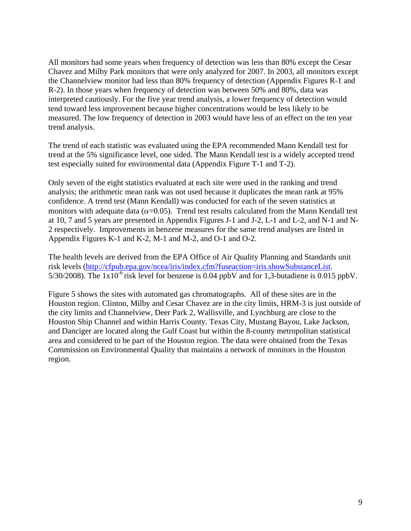All monitors had some years when frequency of detection was less than 80% except the Cesar Chavez and Milby Park monitors that were only analyzed for 2007. In 2003, all monitors except the Channelview monitor had less than 80% frequency of detection (Appendix Figures R-1 and R-2). In those years when frequency of detection was between 50% and 80%, data was interpreted cautiously. For the five year trend analysis, a lower frequency of detection would tend toward less improvement because higher concentrations would be less likely to be measured. The low frequency of detection in 2003 would have less of an effect on the ten year trend analysis.

The trend of each statistic was evaluated using the EPA recommended Mann Kendall test for trend at the 5% significance level, one sided. The Mann Kendall test is a widely accepted trend test especially suited for environmental data (Appendix Figure T-1 and T-2).

Only seven of the eight statistics evaluated at each site were used in the ranking and trend analysis; the arithmetic mean rank was not used because it duplicates the mean rank at 95% confidence. A trend test (Mann Kendall) was conducted for each of the seven statistics at monitors with adequate data ( $\alpha$ =0.05). Trend test results calculated from the Mann Kendall test at 10, 7 and 5 years are presented in Appendix Figures J-1 and J-2, L-1 and L-2, and N-1 and N-2 respectively. Improvements in benzene measures for the same trend analyses are listed in Appendix Figures K-1 and K-2, M-1 and M-2, and O-1 and O-2.

The health levels are derived from the EPA Office of Air Quality Planning and Standards unit risk levels (http://cfpub.epa.gov/ncea/iris/index.cfm?fuseaction=iris.showSubstanceList. 5/30/2008). The  $1x10^{-6}$  risk level for benzene is 0.04 ppbV and for 1,3-butadiene is 0.015 ppbV.

Figure 5 shows the sites with automated gas chromatographs. All of these sites are in the Houston region. Clinton, Milby and Cesar Chavez are in the city limits, HRM-3 is just outside of the city limits and Channelview, Deer Park 2, Wallisville, and Lynchburg are close to the Houston Ship Channel and within Harris County. Texas City, Mustang Bayou, Lake Jackson, and Danciger are located along the Gulf Coast but within the 8-county metropolitan statistical area and considered to be part of the Houston region. The data were obtained from the Texas Commission on Environmental Quality that maintains a network of monitors in the Houston region.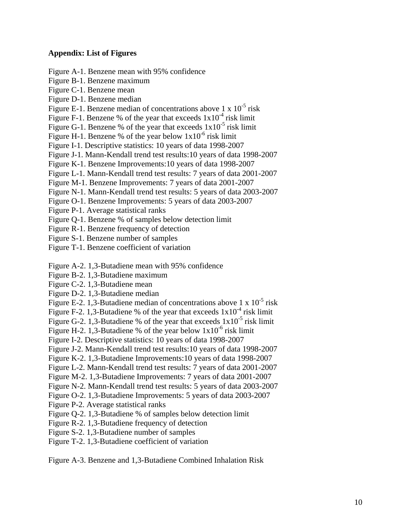#### **Appendix: List of Figures**

- Figure A-1. Benzene mean with 95% confidence
- Figure B-1. Benzene maximum
- Figure C-1. Benzene mean
- Figure D-1. Benzene median
- Figure E-1. Benzene median of concentrations above  $1 \times 10^{-5}$  risk
- Figure F-1. Benzene % of the year that exceeds  $1x10^{-4}$  risk limit
- Figure G-1. Benzene % of the year that exceeds  $1x10^{-5}$  risk limit
- Figure H-1. Benzene % of the year below  $1x10^{-6}$  risk limit
- Figure I-1. Descriptive statistics: 10 years of data 1998-2007
- Figure J-1. Mann-Kendall trend test results:10 years of data 1998-2007
- Figure K-1. Benzene Improvements:10 years of data 1998-2007
- Figure L-1. Mann-Kendall trend test results: 7 years of data 2001-2007
- Figure M-1. Benzene Improvements: 7 years of data 2001-2007
- Figure N-1. Mann-Kendall trend test results: 5 years of data 2003-2007
- Figure O-1. Benzene Improvements: 5 years of data 2003-2007
- Figure P-1. Average statistical ranks
- Figure Q-1. Benzene % of samples below detection limit
- Figure R-1. Benzene frequency of detection
- Figure S-1. Benzene number of samples
- Figure T-1. Benzene coefficient of variation
- Figure A-2. 1,3-Butadiene mean with 95% confidence
- Figure B-2. 1,3-Butadiene maximum
- Figure C-2. 1,3-Butadiene mean
- Figure D-2. 1,3-Butadiene median
- Figure E-2. 1,3-Butadiene median of concentrations above 1 x  $10^{-5}$  risk
- Figure F-2. 1,3-Butadiene % of the year that exceeds  $1x10^{-4}$  risk limit
- Figure G-2. 1,3-Butadiene % of the year that exceeds  $1x10^{-5}$  risk limit
- Figure H-2. 1,3-Butadiene % of the year below  $1x10^{-6}$  risk limit
- Figure I-2. Descriptive statistics: 10 years of data 1998-2007
- Figure J-2. Mann-Kendall trend test results:10 years of data 1998-2007
- Figure K-2. 1,3-Butadiene Improvements:10 years of data 1998-2007
- Figure L-2. Mann-Kendall trend test results: 7 years of data 2001-2007
- Figure M-2. 1,3-Butadiene Improvements: 7 years of data 2001-2007
- Figure N-2. Mann-Kendall trend test results: 5 years of data 2003-2007
- Figure O-2. 1,3-Butadiene Improvements: 5 years of data 2003-2007
- Figure P-2. Average statistical ranks
- Figure Q-2. 1,3-Butadiene % of samples below detection limit
- Figure R-2. 1,3-Butadiene frequency of detection
- Figure S-2. 1,3-Butadiene number of samples
- Figure T-2. 1,3-Butadiene coefficient of variation

Figure A-3. Benzene and 1,3-Butadiene Combined Inhalation Risk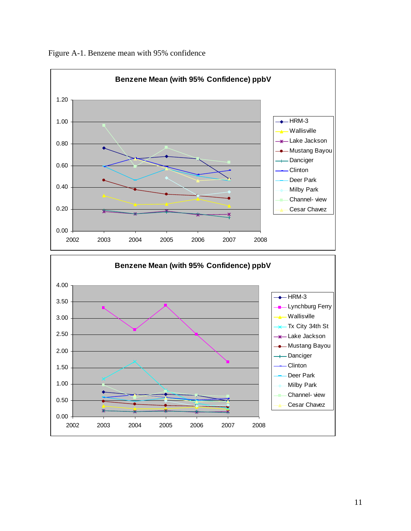

Figure A-1. Benzene mean with 95% confidence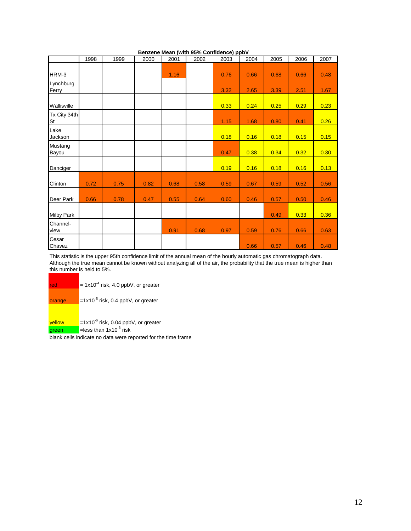|                    | 1998 | 1999 | 2000 | 2001 | <u>Delizene Mean (With 3976 Compenier) ppb v</u><br>2002 | 2003 | 2004 | 2005 | 2006 | 2007 |
|--------------------|------|------|------|------|----------------------------------------------------------|------|------|------|------|------|
|                    |      |      |      |      |                                                          |      |      |      |      |      |
| HRM-3              |      |      |      | 1.16 |                                                          | 0.76 | 0.66 | 0.68 | 0.66 | 0.48 |
| Lynchburg<br>Ferry |      |      |      |      |                                                          | 3.32 | 2.65 | 3.39 | 2.51 | 1.67 |
| Wallisville        |      |      |      |      |                                                          | 0.33 | 0.24 | 0.25 | 0.29 | 0.23 |
| Tx City 34th<br>St |      |      |      |      |                                                          | 1.15 | 1.68 | 0.80 | 0.41 | 0.26 |
| Lake<br>Jackson    |      |      |      |      |                                                          | 0.18 | 0.16 | 0.18 | 0.15 | 0.15 |
| Mustang<br>Bayou   |      |      |      |      |                                                          | 0.47 | 0.38 | 0.34 | 0.32 | 0.30 |
| Danciger           |      |      |      |      |                                                          | 0.19 | 0.16 | 0.18 | 0.16 | 0.13 |
| Clinton            | 0.72 | 0.75 | 0.82 | 0.68 | 0.58                                                     | 0.59 | 0.67 | 0.59 | 0.52 | 0.56 |
| Deer Park          | 0.66 | 0.78 | 0.47 | 0.55 | 0.64                                                     | 0.60 | 0.46 | 0.57 | 0.50 | 0.46 |
| <b>Milby Park</b>  |      |      |      |      |                                                          |      |      | 0.49 | 0.33 | 0.36 |
| Channel-<br>view   |      |      |      | 0.91 | 0.68                                                     | 0.97 | 0.59 | 0.76 | 0.66 | 0.63 |
| Cesar<br>Chavez    |      |      |      |      |                                                          |      | 0.66 | 0.57 | 0.46 | 0.48 |

**Benzene Mean (with 95% Confidence) ppbV**

This statistic is the upper 95th confidence limit of the annual mean of the hourly automatic gas chromatograph data. Although the true mean cannot be known without analyzing all of the air, the probability that the true mean is higher than this number is held to 5%.

| red             | = $1x10^{-4}$ risk, 4.0 ppbV, or greater                                 |
|-----------------|--------------------------------------------------------------------------|
| orange          | $=1x10^{-5}$ risk, 0.4 ppbV, or greater                                  |
| vellow<br>green | = $1x10^{-6}$ risk, 0.04 ppbV, or greater<br>=less than $1x10^{-6}$ risk |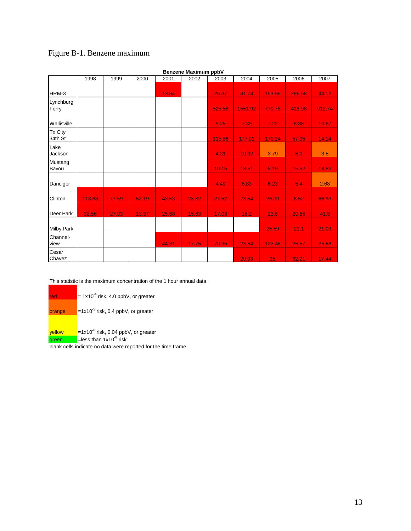## Figure B-1. Benzene maximum

|                    | Benzene Maximum ppbV |       |       |       |       |        |         |        |        |        |  |  |
|--------------------|----------------------|-------|-------|-------|-------|--------|---------|--------|--------|--------|--|--|
|                    | 1998                 | 1999  | 2000  | 2001  | 2002  | 2003   | 2004    | 2005   | 2006   | 2007   |  |  |
|                    |                      |       |       |       |       |        |         |        |        |        |  |  |
| HRM-3              |                      |       |       | 13.64 |       | 25.37  | 31.74   | 153.96 | 296.58 | 44.12  |  |  |
| Lynchburg<br>Ferry |                      |       |       |       |       | 525.58 | 1551.92 | 770.78 | 418.98 | 912.74 |  |  |
| Wallisville        |                      |       |       |       |       | 9.28   | 7.39    | 7.22   | 8.88   | 10.67  |  |  |
| Tx City<br>34th St |                      |       |       |       |       | 115.86 | 177.01  | 179.24 | 57.95  | 14.14  |  |  |
| Lake<br>Jackson    |                      |       |       |       |       | 4.31   | 19.92   | 3.79   | 8.9    | 3.5    |  |  |
| Mustang<br>Bayou   |                      |       |       |       |       | 10.15  | 13.51   | 8.19   | 15.52  | 13.83  |  |  |
| Danciger           |                      |       |       |       |       | 4.49   | 6.83    | 6.23   | 5.4    | 2.68   |  |  |
| Clinton            | 113.68               | 77.59 | 52.19 | 43.53 | 23.82 | 27.52  | 73.54   | 26.09  | 8.52   | 66.93  |  |  |
| Deer Park          | 32.56                | 27.03 | 13.37 | 25.68 | 15.63 | 17.03  | 16.2    | 23.6   | 20.85  | 41.8   |  |  |
| <b>Milby Park</b>  |                      |       |       |       |       |        |         | 25.59  | 21.1   | 21.03  |  |  |
| Channel-<br>view   |                      |       |       | 44.31 | 17.75 | 70.95  | 23.84   | 133.48 | 26.57  | 25.68  |  |  |
| Cesar<br>Chavez    |                      |       |       |       |       |        | 20.93   | 15     | 32.21  | 17.44  |  |  |

**Benzene Maximum ppbV**

This statistic is the maximum concentration of the 1 hour annual data.

red  $= 1x10^{-4}$  risk, 4.0 ppbV, or greater

**orange**  $=1x10^{-5}$  risk, 0.4 ppbV, or greater

yellow =1x10<sup>-6</sup> risk, 0.04 ppbV, or greater

green = = less than 1x10<sup>-6</sup> risk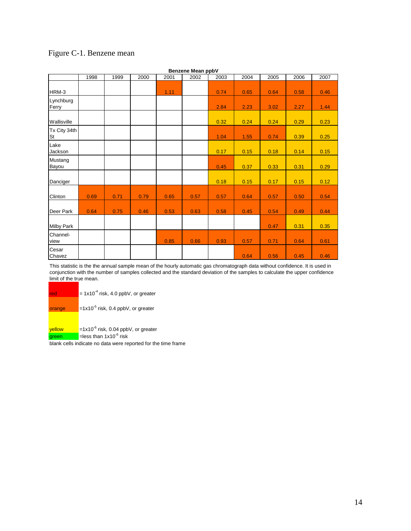|                    |      |      |      |      | Benzene Mean ppbV |      |      |      |      |      |
|--------------------|------|------|------|------|-------------------|------|------|------|------|------|
|                    | 1998 | 1999 | 2000 | 2001 | 2002              | 2003 | 2004 | 2005 | 2006 | 2007 |
| HRM-3              |      |      |      | 1.11 |                   | 0.74 | 0.65 | 0.64 | 0.58 | 0.46 |
| Lynchburg<br>Ferry |      |      |      |      |                   | 2.84 | 2.23 | 3.02 | 2.27 | 1.44 |
| Wallisville        |      |      |      |      |                   | 0.32 | 0.24 | 0.24 | 0.29 | 0.23 |
| Tx City 34th<br>St |      |      |      |      |                   | 1.04 | 1.55 | 0.74 | 0.39 | 0.25 |
| Lake<br>Jackson    |      |      |      |      |                   | 0.17 | 0.15 | 0.18 | 0.14 | 0.15 |
| Mustang<br>Bayou   |      |      |      |      |                   | 0.45 | 0.37 | 0.33 | 0.31 | 0.29 |
| Danciger           |      |      |      |      |                   | 0.18 | 0.15 | 0.17 | 0.15 | 0.12 |
| Clinton            | 0.69 | 0.71 | 0.79 | 0.65 | 0.57              | 0.57 | 0.64 | 0.57 | 0.50 | 0.54 |
| Deer Park          | 0.64 | 0.75 | 0.46 | 0.53 | 0.63              | 0.58 | 0.45 | 0.54 | 0.49 | 0.44 |
| <b>Milby Park</b>  |      |      |      |      |                   |      |      | 0.47 | 0.31 | 0.35 |
| Channel-<br>view   |      |      |      | 0.85 | 0.66              | 0.93 | 0.57 | 0.71 | 0.64 | 0.61 |
| Cesar<br>Chavez    |      |      |      |      |                   |      | 0.64 | 0.56 | 0.45 | 0.46 |

# Figure C-1. Benzene mean

This statistic is the the annual sample mean of the hourly automatic gas chromatograph data without confidence. It is used in conjunction with the number of samples collected and the standard deviation of the samples to calculate the upper confidence limit of the true mean.

| red    | $= 1x10^{-4}$ risk, 4.0 ppbV, or greater |
|--------|------------------------------------------|
| orange | $=1x10^{-5}$ risk, 0.4 ppbV, or greater  |
| vellow | $=1x10^{6}$ risk, 0.04 ppbV, or greater  |
| green  | =less than $1x10^{-6}$ risk              |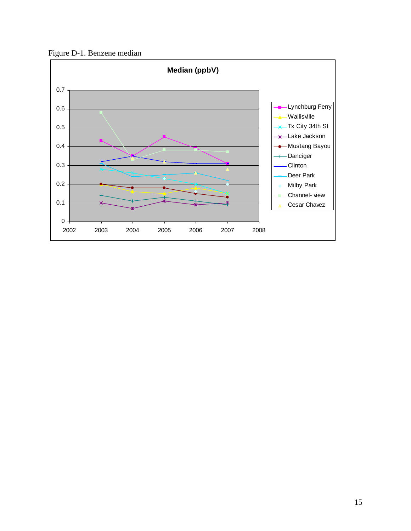Figure D-1. Benzene median

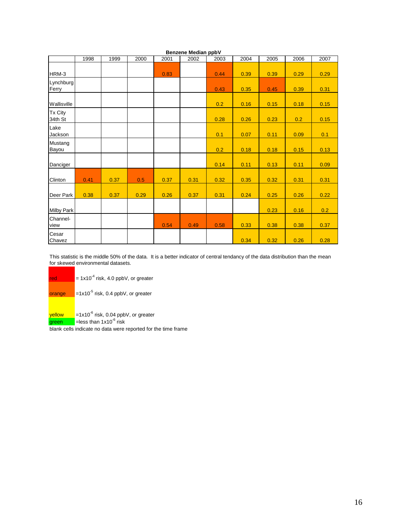|                    | Benzene Median ppbV |      |      |      |      |      |      |      |      |      |  |  |  |
|--------------------|---------------------|------|------|------|------|------|------|------|------|------|--|--|--|
|                    | 1998                | 1999 | 2000 | 2001 | 2002 | 2003 | 2004 | 2005 | 2006 | 2007 |  |  |  |
| HRM-3              |                     |      |      | 0.83 |      | 0.44 | 0.39 | 0.39 | 0.29 | 0.29 |  |  |  |
| Lynchburg<br>Ferry |                     |      |      |      |      | 0.43 | 0.35 | 0.45 | 0.39 | 0.31 |  |  |  |
| Wallisville        |                     |      |      |      |      | 0.2  | 0.16 | 0.15 | 0.18 | 0.15 |  |  |  |
| Tx City<br>34th St |                     |      |      |      |      | 0.28 | 0.26 | 0.23 | 0.2  | 0.15 |  |  |  |
| Lake<br>Jackson    |                     |      |      |      |      | 0.1  | 0.07 | 0.11 | 0.09 | 0.1  |  |  |  |
| Mustang<br>Bayou   |                     |      |      |      |      | 0.2  | 0.18 | 0.18 | 0.15 | 0.13 |  |  |  |
| Danciger           |                     |      |      |      |      | 0.14 | 0.11 | 0.13 | 0.11 | 0.09 |  |  |  |
| Clinton            | 0.41                | 0.37 | 0.5  | 0.37 | 0.31 | 0.32 | 0.35 | 0.32 | 0.31 | 0.31 |  |  |  |
| Deer Park          | 0.38                | 0.37 | 0.29 | 0.26 | 0.37 | 0.31 | 0.24 | 0.25 | 0.26 | 0.22 |  |  |  |
| <b>Milby Park</b>  |                     |      |      |      |      |      |      | 0.23 | 0.16 | 0.2  |  |  |  |
| Channel-<br>view   |                     |      |      | 0.54 | 0.49 | 0.58 | 0.33 | 0.38 | 0.38 | 0.37 |  |  |  |
| Cesar<br>Chavez    |                     |      |      |      |      |      | 0.34 | 0.32 | 0.26 | 0.28 |  |  |  |

This statistic is the middle 50% of the data. It is a better indicator of central tendancy of the data distribution than the mean for skewed environmental datasets.

red  $= 1x10^{-4}$  risk, 4.0 ppbV, or greater

orange =1x10<sup>-5</sup> risk, 0.4 ppbV, or greater

yellow =1x10<sup>-6</sup> risk, 0.04 ppbV, or greater

green =less than 1x10-6 risk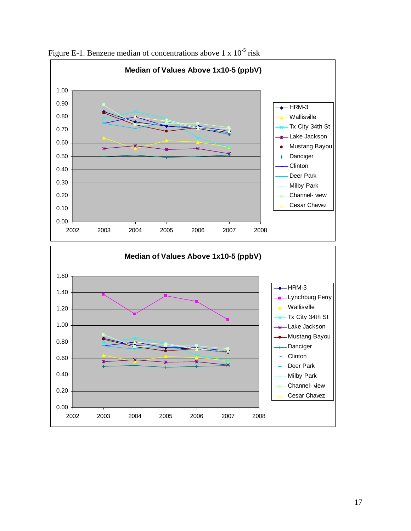

Figure E-1. Benzene median of concentrations above 1 x  $10^{-5}$  risk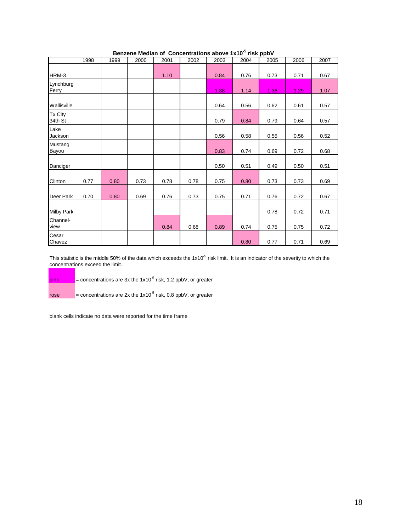|                    | 1998 | 1999 | 2000 | 2001 | 2002 | 2003 | 2004 | 2005 | 2006 | 2007 |
|--------------------|------|------|------|------|------|------|------|------|------|------|
| HRM-3              |      |      |      | 1.10 |      | 0.84 | 0.76 | 0.73 | 0.71 | 0.67 |
| Lynchburg<br>Ferry |      |      |      |      |      | 1.38 | 1.14 | 1.36 | 1.29 | 1.07 |
| Wallisville        |      |      |      |      |      | 0.64 | 0.56 | 0.62 | 0.61 | 0.57 |
| Tx City<br>34th St |      |      |      |      |      | 0.79 | 0.84 | 0.79 | 0.64 | 0.57 |
| Lake<br>Jackson    |      |      |      |      |      | 0.56 | 0.58 | 0.55 | 0.56 | 0.52 |
| Mustang<br>Bayou   |      |      |      |      |      | 0.83 | 0.74 | 0.69 | 0.72 | 0.68 |
| Danciger           |      |      |      |      |      | 0.50 | 0.51 | 0.49 | 0.50 | 0.51 |
| Clinton            | 0.77 | 0.80 | 0.73 | 0.78 | 0.78 | 0.75 | 0.80 | 0.73 | 0.73 | 0.69 |
| Deer Park          | 0.70 | 0.80 | 0.69 | 0.76 | 0.73 | 0.75 | 0.71 | 0.76 | 0.72 | 0.67 |
| <b>Milby Park</b>  |      |      |      |      |      |      |      | 0.78 | 0.72 | 0.71 |
| Channel-<br>view   |      |      |      | 0.84 | 0.68 | 0.89 | 0.74 | 0.75 | 0.75 | 0.72 |
| Cesar<br>Chavez    |      |      |      |      |      |      | 0.80 | 0.77 | 0.71 | 0.69 |

### **Benzene Median of Concentrations above 1x10-5 risk ppbV**

This statistic is the middle 50% of the data which exceeds the  $1x10<sup>-5</sup>$  risk limit. It is an indicator of the severity to which the concentrations exceed the limit.

pink  $=$  concentrations are 3x the 1x10<sup>-5</sup> risk, 1.2 ppbV, or greater

rose = concentrations are 2x the  $1x10^{-5}$  risk, 0.8 ppbV, or greater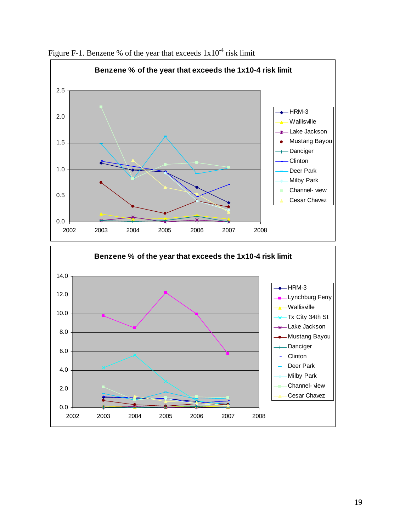

Figure F-1. Benzene % of the year that exceeds  $1x10^{-4}$  risk limit

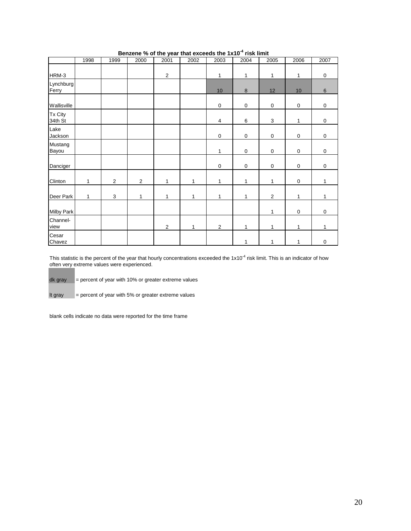|                    | 1998 | 1999           | 2000           | 2001             | 2002         | 2003           | 2004             | 2005                      | 2006        | 2007           |
|--------------------|------|----------------|----------------|------------------|--------------|----------------|------------------|---------------------------|-------------|----------------|
| HRM-3              |      |                |                | $\boldsymbol{2}$ |              | 1              | 1                | $\mathbf{1}$              | 1           | $\mathbf 0$    |
| Lynchburg<br>Ferry |      |                |                |                  |              | 10             | $\boldsymbol{8}$ | 12                        | 10          | $6\phantom{1}$ |
| Wallisville        |      |                |                |                  |              | $\mathbf 0$    | $\mathsf 0$      | $\boldsymbol{0}$          | $\mathbf 0$ | $\pmb{0}$      |
| Tx City<br>34th St |      |                |                |                  |              | $\overline{4}$ | 6                | $\ensuremath{\mathsf{3}}$ | 1           | $\pmb{0}$      |
| Lake<br>Jackson    |      |                |                |                  |              | $\mathbf 0$    | $\mathsf 0$      | $\mathbf 0$               | $\mathbf 0$ | $\pmb{0}$      |
| Mustang<br>Bayou   |      |                |                |                  |              | 1              | $\mathsf 0$      | $\boldsymbol{0}$          | $\mathsf 0$ | $\mathbf 0$    |
| Danciger           |      |                |                |                  |              | $\mathbf 0$    | $\mathsf 0$      | $\mathbf 0$               | $\mathbf 0$ | $\mathbf 0$    |
| Clinton            | 1    | $\overline{c}$ | $\overline{2}$ | $\mathbf{1}$     | $\mathbf{1}$ | 1              | 1                | 1                         | $\mathbf 0$ | 1              |
| Deer Park          | 1    | $\mathsf 3$    | 1              | 1                | $\mathbf{1}$ | 1              | 1                | $\mathbf{2}$              | 1           | 1              |
| <b>Milby Park</b>  |      |                |                |                  |              |                |                  | $\mathbf{1}$              | $\mathbf 0$ | $\mathbf 0$    |
| Channel-<br>view   |      |                |                | $\sqrt{2}$       | $\mathbf{1}$ | $\sqrt{2}$     | $\mathbf{1}$     | $\mathbf{1}$              | 1           | 1              |
| Cesar<br>Chavez    |      |                |                |                  |              |                | 1                | $\mathbf{1}$              | 1           | $\mathbf 0$    |

### **Benzene % of the year that exceeds the 1x10-4 risk limit**

This statistic is the percent of the year that hourly concentrations exceeded the  $1x10^{-4}$  risk limit. This is an indicator of how often very extreme values were experienced.

dk gray = percent of year with 10% or greater extreme values

lt gray = percent of year with 5% or greater extreme values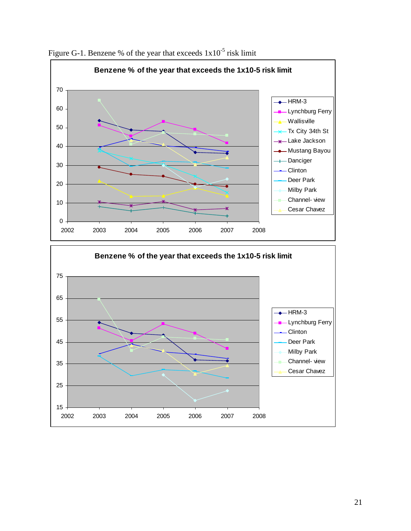

Figure G-1. Benzene % of the year that exceeds  $1x10^{-5}$  risk limit

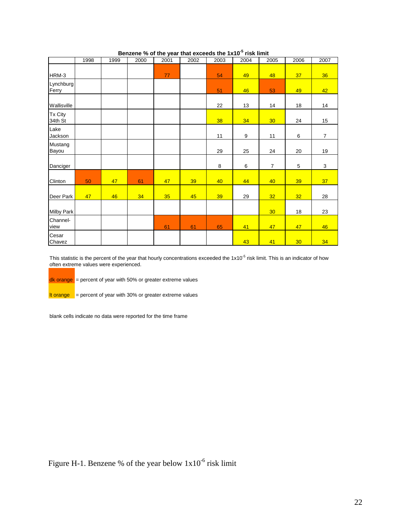|                    | 1998 | 1999 | 2000 | 2001 | 2002 | 2003 | 2004 | 2005            | 2006            | 2007           |
|--------------------|------|------|------|------|------|------|------|-----------------|-----------------|----------------|
| HRM-3              |      |      |      | 77   |      | 54   | 49   | 48              | 37              | 36             |
| Lynchburg<br>Ferry |      |      |      |      |      | 51   | 46   | 53              | 49              | 42             |
| Wallisville        |      |      |      |      |      | 22   | 13   | 14              | 18              | 14             |
| Tx City<br>34th St |      |      |      |      |      | 38   | 34   | 30 <sub>o</sub> | 24              | 15             |
| Lake<br>Jackson    |      |      |      |      |      | 11   | 9    | 11              | 6               | $\overline{7}$ |
| Mustang<br>Bayou   |      |      |      |      |      | 29   | 25   | 24              | 20              | 19             |
| Danciger           |      |      |      |      |      | 8    | 6    | $\overline{7}$  | 5               | 3              |
| Clinton            | 50   | 47   | 61   | 47   | 39   | 40   | 44   | 40              | 39              | 37             |
| Deer Park          | 47   | 46   | 34   | 35   | 45   | 39   | 29   | 32              | 32 <sub>2</sub> | 28             |
| <b>Milby Park</b>  |      |      |      |      |      |      |      | 30              | 18              | 23             |
| Channel-<br>view   |      |      |      | 61   | 61   | 65   | 41   | 47              | 47              | 46             |
| Cesar<br>Chavez    |      |      |      |      |      |      | 43   | 41              | 30              | 34             |

### **Benzene % of the year that exceeds the 1x10<sup>-5</sup> risk limit**

This statistic is the percent of the year that hourly concentrations exceeded the  $1x10<sup>-5</sup>$  risk limit. This is an indicator of how often extreme values were experienced.

dk orange = percent of year with 50% or greater extreme values

 $\frac{1}{10}$  to  $\frac{1}{2}$  = percent of year with 30% or greater extreme values

blank cells indicate no data were reported for the time frame

Figure H-1. Benzene % of the year below  $1x10^{-6}$  risk limit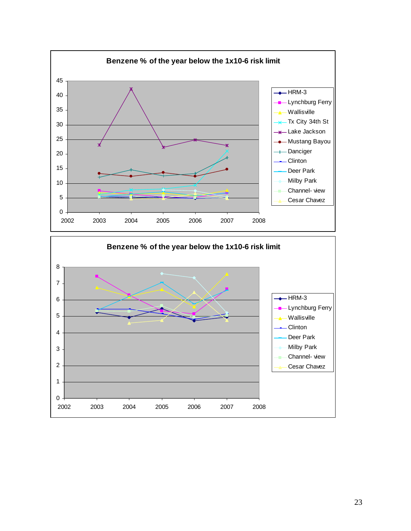

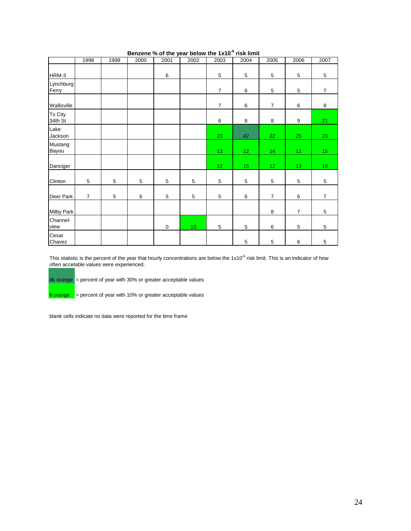|                    | 1998           | 1999 | 2000 | 2001        | 2002 | 2003            | 2004            | 2005            | 2006            | 2007            |
|--------------------|----------------|------|------|-------------|------|-----------------|-----------------|-----------------|-----------------|-----------------|
| HRM-3              |                |      |      | 6           |      | 5               | 5               | 5               | 5               | 5               |
| Lynchburg<br>Ferry |                |      |      |             |      | $\overline{7}$  | 6               | 5               | 5               | $\overline{7}$  |
| Wallisville        |                |      |      |             |      | $\overline{7}$  | 6               | $\overline{7}$  | 6               | 8               |
| Tx City<br>34th St |                |      |      |             |      | 6               | 8               | 8               | 9               | 21              |
| Lake<br>Jackson    |                |      |      |             |      | 23              | 42              | 22              | 25              | 23              |
| Mustang<br>Bayou   |                |      |      |             |      | 13              | 12 <sub>2</sub> | 14              | 12 <sub>1</sub> | 15 <sub>1</sub> |
| Danciger           |                |      |      |             |      | 12 <sub>1</sub> | 15              | 12 <sub>2</sub> | 13 <sub>1</sub> | 19              |
| <b>Clinton</b>     | 5              | 5    | 5    | 5           | 5    | 5               | 5               | 5               | 5               | 5               |
| Deer Park          | $\overline{7}$ | 5    | 6    | 5           | 5    | 5               | 6               | $\overline{7}$  | 6               | $\overline{7}$  |
| <b>Milby Park</b>  |                |      |      |             |      |                 |                 | 8               | $\overline{7}$  | 5               |
| Channel-<br>view   |                |      |      | $\mathbf 0$ | 10   | 5               | 5               | 6               | 5               | 5               |
| Cesar<br>Chavez    |                |      |      |             |      |                 | 5               | 5               | 6               | $\mathbf 5$     |

### **Benzene % of the year below the 1x10-6 risk limit**

This statistic is the percent of the year that hourly concentrations are below the  $1x10<sup>-6</sup>$  risk limit. This is an indicator of how often accetable values were experienced.

 $dk$  orange  $=$  percent of year with 30% or greater acceptable values

It orange  $=$  percent of year with 10% or greater acceptable values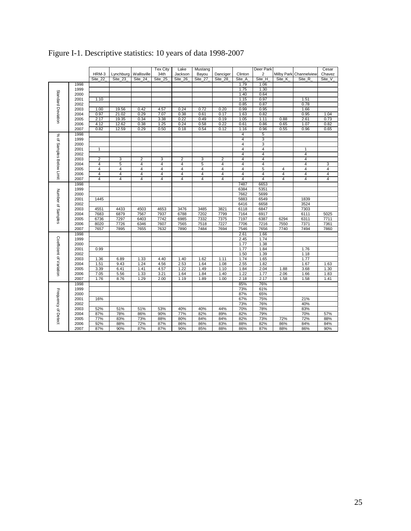|                          |      |                |                |                | <b>Tex City</b> | Lake           | Mustang        |                |                         | Deer Park      |                |                         | Cesar          |
|--------------------------|------|----------------|----------------|----------------|-----------------|----------------|----------------|----------------|-------------------------|----------------|----------------|-------------------------|----------------|
|                          |      | HRM-3          | Lynchburg      | Wallisville    | 34th            | Jackson        | Bayou          | Danciger       | Clinton                 | 2              | Milby Park     | Channelview             | Chavez         |
|                          |      | Site_22        | Site 23        | Site_24        | Site_25         | Site_26        | Site_27        | Site_28        | Site A                  | Site_H         | Site_K         | Site_R                  | Site_V         |
|                          | 1998 |                |                |                |                 |                |                |                | 1.79                    | 1.06           |                |                         |                |
|                          | 1999 |                |                |                |                 |                |                |                | 1.75                    | 1.30           |                |                         |                |
| Standard Deviation       |      |                |                |                |                 |                |                |                |                         | 0.64           |                |                         |                |
|                          | 2000 |                |                |                |                 |                |                |                | 1.40                    |                |                |                         |                |
|                          | 2001 | 1.10           |                |                |                 |                |                |                | 1.15                    | 0.97           |                | 1.51                    |                |
|                          | 2002 |                |                |                |                 |                |                |                | 0.85                    | 0.87           |                | 0.78                    |                |
|                          | 2003 | 1.00           | 19.56          | 0.42           | 4.57            | 0.24           | 0.72           | 0.20           | 0.99                    | 0.95           |                | 1.66                    |                |
|                          | 2004 | 0.97           | 21.02          | 0.29           | 7.07            | 0.38           | 0.61           | 0.17           | 1.63                    | 0.82           |                | 0.95                    | 1.04           |
|                          | 2005 | 2.17           | 19.35          | 0.34           | 3.38            | 0.22           | 0.49           | 0.19           | 1.05                    | 1.11           | 0.88           | 2.61                    | 0.73           |
|                          | 2006 | 4.12           | 12.62          | 0.38           | 1.25            | 0.24           | 0.58           | 0.22           | 0.61                    | 0.86           | 0.65           | 1.07                    | 0.82           |
|                          | 2007 | 0.82           | 12.59          | 0.29           | 0.50            | 0.18           | 0.54           | 0.12           | 1.16                    | 0.96           | 0.55           | 0.96                    | 0.65           |
|                          | 1998 |                |                |                |                 |                |                |                | 4                       | 5              |                |                         |                |
| % of Samples Below Limit | 1999 |                |                |                |                 |                |                |                | 4                       | 3              |                |                         |                |
|                          | 2000 |                |                |                |                 |                |                |                | $\overline{4}$          | 3              |                |                         |                |
|                          | 2001 | $\mathbf{1}$   |                |                |                 |                |                |                | $\overline{4}$          | $\overline{4}$ |                | $\mathbf{1}$            |                |
|                          | 2002 |                |                |                |                 |                |                |                | 4                       | 4              |                | $\overline{4}$          |                |
|                          | 2003 | $\overline{2}$ | 3              | 2              | 3               | 2              | 3              | 2              | 4                       | 4              |                | $\overline{4}$          |                |
|                          | 2004 | $\overline{4}$ | 5              | 4              | $\overline{4}$  | 4              | 5              | $\overline{4}$ | 4                       | 4              |                | $\overline{\mathbf{4}}$ | 3              |
|                          | 2005 | 4              | 4              | 4              | 4               | $\overline{4}$ | 4              | 4              | $\overline{\mathbf{4}}$ | 5              | 4              | 4                       | $\overline{4}$ |
|                          | 2006 | $\overline{4}$ | $\overline{4}$ | $\overline{4}$ | 4               | $\overline{4}$ | $\overline{4}$ | $\overline{4}$ | $\overline{4}$          | $\overline{4}$ | $\overline{4}$ | $\overline{4}$          | $\overline{4}$ |
|                          | 2007 | 4              | $\overline{4}$ | 4              | 4               | 4              | 4              | 4              | $\overline{4}$          | 4              | 4              | 4                       | 4              |
|                          |      |                |                |                |                 |                |                |                |                         |                |                |                         |                |
|                          | 1998 |                |                |                |                 |                |                |                | 7487                    | 6653           |                |                         |                |
|                          | 1999 |                |                |                |                 |                |                |                | 6384                    | 5351           |                |                         |                |
| Number of Samples        | 2000 |                |                |                |                 |                |                |                | 7662                    | 5699           |                |                         |                |
|                          | 2001 | 1445           |                |                |                 |                |                |                | 5883                    | 6549           |                | 1839                    |                |
|                          | 2002 |                |                |                |                 |                |                |                | 6416                    | 6658           |                | 3524                    |                |
|                          | 2003 | 4551           | 4433           | 4503           | 4653            | 3476           | 3485           | 3821           | 6118                    | 6847           |                | 7303                    |                |
|                          | 2004 | 7683           | 6879           | 7567           | 7937            | 6788           | 7202           | 7799           | 7164                    | 6917           |                | 6111                    | 5025           |
|                          | 2005 | 6736           | 7297           | 6403           | 7742            | 6985           | 7332           | 7375           | 7197                    | 6387           | 6294           | 6311                    | 7711           |
|                          | 2006 | 8020           | 7726           | 6346           | 7607            | 7565           | 7518           | 7227           | 7706                    | 7216           | 7550           | 7371                    | 7361           |
|                          | 2007 | 7657           | 7895           | 7655           | 7632            | 7890           | 7484           | 7694           | 7546                    | 7656           | 7740           | 7494                    | 7860           |
|                          | 1998 |                |                |                |                 |                |                |                | 2.61                    | 1.66           |                |                         |                |
|                          | 1999 |                |                |                |                 |                |                |                | 2.45                    | 1.74           |                |                         |                |
|                          | 2000 |                |                |                |                 |                |                |                | 1.77                    | 1.38           |                |                         |                |
|                          | 2001 | 0.99           |                |                |                 |                |                |                | 1.77                    | 1.84           |                | 1.76                    |                |
|                          | 2002 |                |                |                |                 |                |                |                | 1.50                    | 1.39           |                | 1.18                    |                |
| Coefficient of Variation | 2003 | 1.36           | 6.89           | 1.33           | 4.40            | 1.40           | 1.62           | 1.11           | 1.74                    | 1.65           |                | 1.77                    |                |
|                          | 2004 | 1.51           | 9.43           | 1.24           | 4.56            | 2.53           | 1.64           | 1.08           | 2.55                    | 1.82           |                | 1.67                    | 1.63           |
|                          | 2005 | 3.39           | 6.41           | 1.41           | 4.57            | 1.22           | 1.49           | 1.10           | 1.84                    | 2.04           | 1.88           | 3.68                    | 1.30           |
|                          | 2006 | 7.05           | 5.56           | 1.33           | 3.21            | 1.64           | 1.84           | 1.40           | 1.22                    | 1.77           | 2.06           | 1.66                    | 1.83           |
|                          |      |                |                |                | 2.00            |                | 1.89           | 1.00           |                         | 2.17           |                |                         |                |
|                          | 2007 | 1.76           | 8.76           | 1.29           |                 | 1.19           |                |                | 2.18                    |                | 1.58           | 1.58                    | 1.41           |
|                          | 1998 |                |                |                |                 |                |                |                | 85%                     | 76%            |                |                         |                |
| Frequency of Detect      | 1999 |                |                |                |                 |                |                |                | 73%                     | 61%            |                |                         |                |
|                          | 2000 |                |                |                |                 |                |                |                | 87%                     | 65%            |                |                         |                |
|                          | 2001 | 16%            |                |                |                 |                |                |                | 67%                     | 75%            |                | 21%                     |                |
|                          | 2002 |                |                |                |                 |                |                |                | 73%                     | 76%            |                | 40%                     |                |
|                          | 2003 | 52%            | 51%            | 51%            | 53%             | 40%            | 40%            | 44%            | 70%                     | 78%            |                | 83%                     |                |
|                          | 2004 | 87%            | 78%            | 86%            | 90%             | 77%            | 82%            | 89%            | 82%                     | 79%            |                | 70%                     | 57%            |
|                          | 2005 | 77%            | 83%            | 73%            | 88%             | 80%            | 84%            | 84%            | 82%                     | 73%            | 72%            | 72%                     | 88%            |
|                          | 2006 | 92%            | 88%            | 72%            | 87%             | 86%            | 86%            | 83%            | 88%                     | 82%            | 86%            | 84%                     | 84%            |
|                          | 2007 | 87%            | 90%            | 87%            | 87%             | 90%            | 85%            | 88%            | 86%                     | 87%            | 88%            | 86%                     | 90%            |

Figure I-1. Descriptive statistics: 10 years of data 1998-2007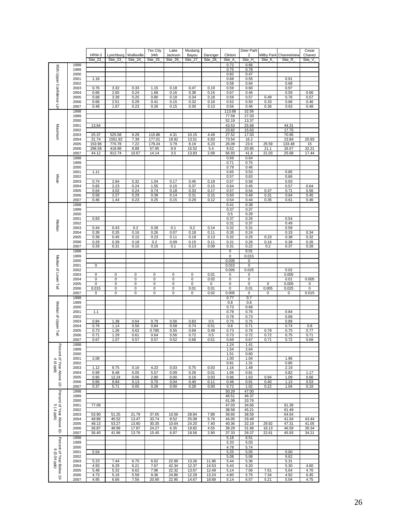|                                                |              |                  |                          |                        | Tex City         | Lake               | Mustang          |                     |                     | Deer Park                |                             |                       | Cesar             |
|------------------------------------------------|--------------|------------------|--------------------------|------------------------|------------------|--------------------|------------------|---------------------|---------------------|--------------------------|-----------------------------|-----------------------|-------------------|
|                                                |              | HRM-3<br>Site 22 | Lynchburg<br>Site 23     | Wallisville<br>Site 24 | 34th<br>Site_25  | Jackson<br>Site_26 | Bayou<br>Site_27 | Danciger<br>Site_28 | Clinton<br>Site_A   | $\overline{2}$<br>Site_H | <b>Milby Park</b><br>Site K | Channelview<br>Site_R | Chavez<br>Site_V_ |
|                                                | 1998         |                  |                          |                        |                  |                    |                  |                     | 0.72                | 0.66                     |                             |                       |                   |
| 95th Upper Confidence Lin                      | 1999         |                  |                          |                        |                  |                    |                  |                     | 0.75                | 0.78                     |                             |                       |                   |
|                                                | 2000         |                  |                          |                        |                  |                    |                  |                     | 0.82                | 0.47                     |                             |                       |                   |
|                                                | 2001         | 1.16             |                          |                        |                  |                    |                  |                     | 0.68                | 0.55                     |                             | 0.91                  |                   |
|                                                | 2002         |                  |                          |                        |                  |                    |                  |                     | 0.58                | 0.64                     |                             | 0.68                  |                   |
|                                                | 2003<br>2004 | 0.76             | 3.32                     | 0.33                   | 1.15             | 0.18<br>0.16       | 0.47             | 0.19<br>0.16        | 0.59<br>0.67        | 0.60                     |                             | 0.97                  | 0.66              |
|                                                | 2005         | 0.66<br>0.68     | 2.65<br>3.39             | 0.24<br>0.25           | 1.68<br>0.80     | 0.18               | 0.38<br>0.34     | 0.18                | 0.59                | 0.46<br>0.57             | 0.49                        | 0.59<br>0.76          | 0.57              |
|                                                | 2006         | 0.66             | 2.51                     | 0.29                   | 0.41             | 0.15               | 0.32             | 0.16                | 0.52                | 0.50                     | 0.33                        | 0.66                  | 0.46              |
|                                                | 2007         | 0.48             | 1.67                     | 0.23                   | 0.26             | 0.15               | 0.30             | 0.13                | 0.56                | 0.46                     | 0.36                        | 0.63                  | 0.48              |
|                                                | 1998         |                  |                          |                        |                  |                    |                  |                     | 113.68              | 32.56                    |                             |                       |                   |
|                                                | 1999         |                  |                          |                        |                  |                    |                  |                     | 77.59               | 27.03                    |                             |                       |                   |
|                                                | 2000         |                  |                          |                        |                  |                    |                  |                     | 52.19               | 13.37                    |                             |                       |                   |
|                                                | 2001         | 13.64            |                          |                        |                  |                    |                  |                     | 43.53               | 25.68                    |                             | 44.31                 |                   |
| Maximum                                        | 2002         |                  |                          |                        |                  |                    |                  |                     | 23.82               | 15.63                    |                             | 17.75                 |                   |
|                                                | 2003<br>2004 | 25.37<br>31.74   | 525.58<br>1551.92        | 9.28<br>7.39           | 115.86<br>177.01 | 4.31<br>19.92      | 10.15<br>13.51   | 4.49<br>6.83        | 27.52<br>73.54      | 17.03<br>16.2            |                             | 70.95<br>23.84        | 20.93             |
|                                                | 2005         | 153.96           | 770.78                   | 7.22                   | 179.24           | 3.79               | 8.19             | 6.23                | 26.09               | 23.6                     | 25.59                       | 133.48                | 15                |
|                                                | 2006         | 296.58           | 418.98                   | 8.88                   | 57.95            | 8.9                | 15.52            | 5.4                 | 8.52                | 20.85                    | 21.1                        | 26.57                 | 32.21             |
|                                                | 2007         | 44.12            | 912.74                   | 10.67                  | 14.14            | 3.5                | 13.83            | 2.68                | 66.93               | 41.8                     | 21.03                       | 25.68                 | 17.44             |
|                                                | 1998         |                  |                          |                        |                  |                    |                  |                     | 0.69                | 0.64                     |                             |                       |                   |
|                                                | 1999         |                  |                          |                        |                  |                    |                  |                     | 0.71                | 0.75                     |                             |                       |                   |
|                                                | 2000         |                  |                          |                        |                  |                    |                  |                     | 0.79                | 0.46                     |                             |                       |                   |
|                                                | 2001         | 1.11             |                          |                        |                  |                    |                  |                     | 0.65                | 0.53                     |                             | 0.85                  |                   |
| Mean                                           | 2002         | 0.74             | 2.84                     | 0.32                   | 1.04             | 0.17               | 0.45             |                     | 0.57                | 0.63<br>0.58             |                             | 0.66<br>0.93          |                   |
|                                                | 2003<br>2004 | 0.65             | 2.23                     | 0.24                   | 1.55             | 0.15               | 0.37             | 0.18<br>0.15        | 0.57<br>0.64        | 0.45                     |                             | 0.57                  | 0.64              |
|                                                | 2005         | 0.64             | 3.02                     | 0.24                   | 0.74             | 0.18               | 0.33             | 0.17                | 0.57                | 0.54                     | 0.47                        | 0.71                  | 0.56              |
|                                                | 2006         | 0.58             | 2.27                     | 0.29                   | 0.39             | 0.14               | 0.31             | 0.15                | 0.50                | 0.49                     | 0.31                        | 0.64                  | 0.45              |
|                                                | 2007         | 0.46             | 1.44                     | 0.23                   | 0.25             | 0.15               | 0.29             | 0.12                | 0.54                | 0.44                     | 0.35                        | 0.61                  | 0.46              |
|                                                | 1998         |                  |                          |                        |                  |                    |                  |                     | 0.41                | 0.38                     |                             |                       |                   |
|                                                | 1999         |                  |                          |                        |                  |                    |                  |                     | 0.37                | 0.37                     |                             |                       |                   |
|                                                | 2000         |                  |                          |                        |                  |                    |                  |                     | 0.5                 | 0.29                     |                             |                       |                   |
|                                                | 2001         | 0.83             |                          |                        |                  |                    |                  |                     | 0.37                | 0.26                     |                             | 0.54                  |                   |
| Median                                         | 2002         |                  |                          |                        |                  |                    |                  |                     | 0.31                | 0.37                     |                             | 0.49                  |                   |
|                                                | 2003         | 0.44<br>0.39     | 0.43                     | 0.2                    | 0.28<br>0.26     | 0.1<br>0.07        | 0.2              | 0.14<br>0.11        | 0.32                | 0.31<br>0.24             |                             | 0.58                  |                   |
|                                                | 2004<br>2005 | 0.39             | 0.35<br>0.45             | 0.16<br>0.15           | 0.23             | 0.11               | 0.18<br>0.18     | 0.13                | 0.35<br>0.32        | 0.25                     | 0.23                        | 0.33<br>0.38          | 0.34<br>0.32      |
|                                                | 2006         | 0.29             | 0.39                     | 0.18                   | 0.2              | 0.09               | 0.15             | 0.11                | 0.31                | 0.26                     | 0.16                        | 0.38                  | 0.26              |
|                                                | 2007         | 0.29             | 0.31                     | 0.15                   | 0.15             | 0.1                | 0.13             | 0.09                | 0.31                | 0.22                     | 0.2                         | 0.37                  | 0.28              |
|                                                | 1998         |                  |                          |                        |                  |                    |                  |                     | 0                   | 0.01                     |                             |                       |                   |
|                                                | 1999         |                  |                          |                        |                  |                    |                  |                     | 0                   | 0.015                    |                             |                       |                   |
|                                                | 2000         |                  |                          |                        |                  |                    |                  |                     | 0.035               | 0                        |                             |                       |                   |
|                                                | 2001         | 0                |                          |                        |                  |                    |                  |                     | 0.015               | $\mathbf 0$              |                             |                       |                   |
| Median of Lower Tail                           | 2002         |                  |                          |                        |                  |                    |                  |                     | 0.005               | 0.025                    |                             | 0.02                  |                   |
|                                                | 2003         | 0                | 0                        | 0                      | 0                | 0                  | 0                | 0.01                | 0                   | 0                        |                             | 0.005                 |                   |
|                                                | 2004<br>2005 | 0<br>0           | $\mathbf 0$<br>$\pmb{0}$ | $\overline{0}$<br>0    | 0<br>0           | $\mathbf 0$<br>0   | 0<br>0           | 0.02<br>0           | $\overline{0}$<br>0 | 0<br>0                   | 0                           | 0.01<br>0.005         | 0.005<br>0        |
|                                                | 2006         | 0.015            | $\pmb{0}$                | $\overline{0}$         | 0                | $\mathbf 0$        | 0.01             | 0.01                | 0                   | 0.01                     | 0.005                       | 0.025                 | $\mathbf 0$       |
|                                                | 2007         | 0                | $\overline{0}$           | 0                      | 0                | $\overline{0}$     | 0                | 0.02                | 0.005               | 0                        | 0                           | 0                     | 0.015             |
|                                                | 1998         |                  |                          |                        |                  |                    |                  |                     | 0.77                | 0.7                      |                             |                       |                   |
|                                                | 1999         |                  |                          |                        |                  |                    |                  |                     | 0.8                 | 0.8                      |                             |                       |                   |
| Median of Upper Tail                           | 2000         |                  |                          |                        |                  |                    |                  |                     | 0.73                | 0.69                     |                             |                       |                   |
|                                                | 2001         | 1.1              |                          |                        |                  |                    |                  |                     | 0.78                | 0.76                     |                             | 0.84                  |                   |
|                                                | 2002         |                  |                          |                        |                  |                    |                  |                     | 0.78                | 0.73                     |                             | 0.68                  |                   |
|                                                | 2003<br>2004 | 0.84<br>0.76     | 1.38<br>1.14             | 0.64<br>0.56           | 0.79<br>0.84     | 0.56<br>0.58       | 0.83<br>0.74     | 0.5<br>0.51         | 0.75<br>0.8         | 0.75<br>0.71             |                             | 0.89<br>0.74          | 0.8               |
|                                                | 2005         | 0.73             | 1.36                     | 0.62                   | 0.785            | 0.55               | 0.69             | 0.49                | 0.73                | 0.76                     | 0.78                        | 0.75                  | 0.77              |
|                                                | 2006         | 0.71             | 1.29                     | 0.61                   | 0.64             | 0.56               | 0.72             | 0.5                 | 0.73                | 0.72                     | 0.72                        | 0.75                  | 0.71              |
|                                                | 2007         | 0.67             | 1.07                     | 0.57                   | 0.57             | 0.52               | 0.68             | 0.51                | 0.69                | 0.67                     | 0.71                        | 0.72                  | 0.69              |
| Ъe                                             | 1998         |                  |                          |                        |                  |                    |                  |                     | 1.24                | 1.41                     |                             |                       |                   |
|                                                | 1999         |                  |                          |                        |                  |                    |                  |                     | 1.54                | 2.64                     |                             |                       |                   |
|                                                | 2000         |                  |                          |                        |                  |                    |                  |                     | 1.51                | 0.60                     |                             |                       |                   |
| rcent of Year Above 10-<br>4 (4 ppb)           | 2001         | 2.08             |                          |                        |                  |                    |                  |                     | 1.00                | 1.04                     |                             | 1.96                  |                   |
| $(4$ ppb)                                      | 2002<br>2003 | 1.12             | 9.75                     | 0.16                   | 4.23             | 0.03               | 0.75             | 0.03                | 0.81<br>1.16        | 1.31<br>1.49             |                             | 0.85<br>2.19          |                   |
|                                                | 2004         | 0.99             | 8.48                     | 0.05                   | 5.57             | 0.09               | 0.29             | 0.01                | 1.06                | 0.81                     |                             | 0.82                  | 1.17              |
|                                                | 2005         | 0.95             | 12.24                    | 0.06                   | 2.80             | 0.00               | 0.16             | 0.03                | 0.96                | 1.63                     | 0.94                        | 1.09                  | 0.66              |
|                                                | 2006         | 0.66             | 9.94                     | 0.13                   | 0.70             | 0.04               | 0.40             | 0.11                | 0.48                | 0.91                     | 0.40                        | 1.13                  | 0.53              |
|                                                |              |                  |                          |                        |                  |                    |                  |                     |                     |                          |                             |                       |                   |
|                                                | 2007         | 0.37             | 5.71                     | 0.05                   | 0.29             | 0.00               | 0.28             | 0.00                | 0.72                | 1.02                     | 0.22                        | 1.04                  | 0.19              |
|                                                | 1998         |                  |                          |                        |                  |                    |                  |                     | 50.29               | 47.00                    |                             |                       |                   |
|                                                | 1999         |                  |                          |                        |                  |                    |                  |                     | 46.51               | 46.37                    |                             |                       |                   |
|                                                | 2000         |                  |                          |                        |                  |                    |                  |                     | 61.08               | 33.76                    |                             |                       |                   |
|                                                | 2001         | 77.09            |                          |                        |                  |                    |                  |                     | 47.03               | 34.66                    |                             | 61.39                 |                   |
|                                                | 2002         |                  |                          |                        |                  |                    |                  |                     | 38.58               | 45.21                    |                             | 61.49                 |                   |
| $($ ddd $+$                                    | 2003         | 53.90<br>48.89   | 51.25<br>45.52           | 21.79<br>13.47         | 37.65<br>33.74   | 10.56<br>8.52      | 28.84<br>25.08   | 7.88<br>5.76        | 39.60<br>44.05      | 38.59<br>29.49           |                             | 64.54<br>41.04        | 43.44             |
|                                                | 2004<br>2005 | 48.13            | 53.27                    | 13.60                  | 30.35            | 10.64              | 24.20            | 7.40                | 40.36               | 32.19                    | 29.92                       | 47.31                 | 41.05             |
| Percent of Year Above<br>Percent of Year Above | 2006         | 36.87            | 48.99                    | 17.87                  | 24.27            | 6.35               | 19.82            | 4.55                | 39.29               | 31.68                    | 18.13                       | 46.59                 | 30.34             |
| ÷                                              | 2007         | 36.40            | 41.96                    | 13.76                  | 15.45            | 6.97               | 18.56            | 2.90                | 37.33               | 28.37                    | 22.61                       | 45.93                 | 34.21             |
|                                                | 1998         |                  |                          |                        |                  |                    |                  |                     | 5.18                | 6.51                     |                             |                       |                   |
|                                                | 1999         |                  |                          |                        |                  |                    |                  |                     | 5.33                | 5.03                     |                             |                       |                   |
|                                                | 2000         |                  |                          |                        |                  |                    |                  |                     | 4.78                | 5.74                     |                             |                       |                   |
|                                                | 2001         | 5.54             |                          |                        |                  |                    |                  |                     | 5.25                | 5.05                     |                             | 0.00                  |                   |
|                                                | 2002         |                  |                          |                        |                  |                    |                  |                     | 5.08                | 5.08                     |                             | 9.62                  |                   |
|                                                | 2003         | 5.23             | 7.44                     | 6.75                   | 6.02             | 22.99              | 13.26            | 11.96               | 5.44                | 5.36                     |                             | 5.31                  |                   |
|                                                | 2004         | 4.93             | 6.29                     | 6.21                   | 7.67             | 42.34              | 12.37            | 14.53               | 5.43                | 6.20                     |                             | 5.30                  | 4.60              |
| Percent of Year Below 10-<br>6 (0.04 ppb)      | 2005<br>2006 | 5.48<br>4.73     | 5.32<br>5.16             | 6.62<br>5.58           | 7.96<br>9.36     | 22.32<br>24.86     | 13.67<br>12.29   | 12.49<br>13.24      | 5.14<br>4.80        | 7.06<br>5.75             | 7.61<br>7.34                | 5.64<br>4.92          | 4.76<br>6.45      |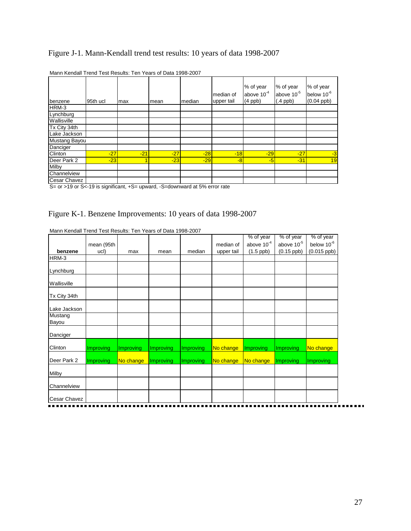# Figure J-1. Mann-Kendall trend test results: 10 years of data 1998-2007

| benzene       | 95th ucl | max   | mean  | median | median of<br>upper tail | % of year<br>above $10^{-4}$<br>$(4$ ppb $)$ | % of year<br>above 10 <sup>-5</sup><br>$(.4$ ppb) | % of year<br>below 10 <sup>-6</sup><br>$(0.04$ ppb) |
|---------------|----------|-------|-------|--------|-------------------------|----------------------------------------------|---------------------------------------------------|-----------------------------------------------------|
| HRM-3         |          |       |       |        |                         |                                              |                                                   |                                                     |
| Lynchburg     |          |       |       |        |                         |                                              |                                                   |                                                     |
| Wallisville   |          |       |       |        |                         |                                              |                                                   |                                                     |
| Tx City 34th  |          |       |       |        |                         |                                              |                                                   |                                                     |
| Lake Jackson  |          |       |       |        |                         |                                              |                                                   |                                                     |
| Mustang Bayou |          |       |       |        |                         |                                              |                                                   |                                                     |
| Danciger      |          |       |       |        |                         |                                              |                                                   |                                                     |
| Clinton       | $-27$    | $-21$ | $-27$ | $-28$  | $-18$                   | $-29$                                        | $-27$                                             | $-3$                                                |
| Deer Park 2   | $-23$    |       | $-23$ | $-29$  | $-8$                    | $-5$                                         | $-31$                                             | 19                                                  |
| Milby         |          |       |       |        |                         |                                              |                                                   |                                                     |
| Channelview   |          |       |       |        |                         |                                              |                                                   |                                                     |
| Cesar Chavez  |          |       |       |        |                         |                                              |                                                   |                                                     |

| Mann Kendall Trend Test Results: Ten Years of Data 1998-2007 |  |  |  |
|--------------------------------------------------------------|--|--|--|
|--------------------------------------------------------------|--|--|--|

S= or >19 or S<-19 is significant, +S= upward, -S=downward at 5% error rate

### Figure K-1. Benzene Improvements: 10 years of data 1998-2007

|                         |            |           |           |           |            | % of year        | % of year       | % of year              |
|-------------------------|------------|-----------|-----------|-----------|------------|------------------|-----------------|------------------------|
|                         | mean (95th |           |           |           | median of  | above $10^{-4}$  | above $10^{-5}$ | below 10 <sup>-6</sup> |
| benzene                 | ucl)       | max       | mean      | median    | upper tail | $(1.5$ ppb)      | $(0.15$ ppb)    | $(0.015$ ppb)          |
| HRM-3                   |            |           |           |           |            |                  |                 |                        |
| Lynchburg               |            |           |           |           |            |                  |                 |                        |
| Wallisville             |            |           |           |           |            |                  |                 |                        |
| Tx City 34th            |            |           |           |           |            |                  |                 |                        |
| Lake Jackson            |            |           |           |           |            |                  |                 |                        |
| <b>Mustang</b><br>Bayou |            |           |           |           |            |                  |                 |                        |
| Danciger                |            |           |           |           |            |                  |                 |                        |
| Clinton                 | Improving  | Improving | Improving | Improving | No change  | <b>Improving</b> | Improving       | No change              |
| Deer Park 2             | Improving  | No change | Improving | Improving | No change  | No change        | Improving       | <b>Improving</b>       |
| <b>Milby</b>            |            |           |           |           |            |                  |                 |                        |
| Channelview             |            |           |           |           |            |                  |                 |                        |
| Cesar Chavez            |            |           |           |           |            |                  |                 |                        |

Mann Kendall Trend Test Results: Ten Years of Data 1998-2007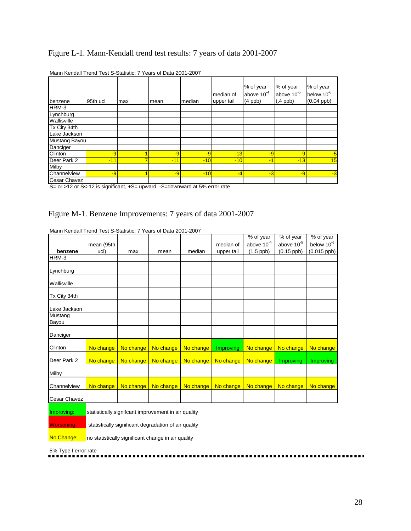## Figure L-1. Mann-Kendall trend test results: 7 years of data 2001-2007

| benzene       | 95th ucl | max  | mean  | median | median of<br>upper tail | % of year<br>above $10^{-4}$<br>$(4$ ppb $)$ | % of year<br>above 10 <sup>-5</sup><br>$(.4$ ppb) | % of year<br>below 10 <sup>-6</sup><br>$(0.04$ ppb) |
|---------------|----------|------|-------|--------|-------------------------|----------------------------------------------|---------------------------------------------------|-----------------------------------------------------|
| HRM-3         |          |      |       |        |                         |                                              |                                                   |                                                     |
| Lynchburg     |          |      |       |        |                         |                                              |                                                   |                                                     |
| Wallisville   |          |      |       |        |                         |                                              |                                                   |                                                     |
| Tx City 34th  |          |      |       |        |                         |                                              |                                                   |                                                     |
| Lake Jackson  |          |      |       |        |                         |                                              |                                                   |                                                     |
| Mustang Bayou |          |      |       |        |                         |                                              |                                                   |                                                     |
| Danciger      |          |      |       |        |                         |                                              |                                                   |                                                     |
| Clinton       | $-9$     | $-1$ | $-9$  | $-9$   | $-13$                   | $-9$                                         | $-9$                                              | $-5$                                                |
| Deer Park 2   | $-11$    | 7    | $-11$ | $-10$  | $-10$                   | $-1$                                         | $-13$                                             | 15                                                  |
| Milby         |          |      |       |        |                         |                                              |                                                   |                                                     |
| Channelview   | $-9$     |      | $-9$  | $-10$  | $-4$                    | $-3$                                         | $-9$                                              | $-3$                                                |
| Cesar Chavez  |          |      |       |        |                         |                                              |                                                   |                                                     |

|  | Mann Kendall Trend Test S-Statistic: 7 Years of Data 2001-2007 |  |  |
|--|----------------------------------------------------------------|--|--|
|--|----------------------------------------------------------------|--|--|

S= or >12 or S<-12 is significant, +S= upward, -S=downward at 5% error rate

### Figure M-1. Benzene Improvements: 7 years of data 2001-2007

|                   |            |                                                      |           |           |            | % of year       | % of year       | % of year              |
|-------------------|------------|------------------------------------------------------|-----------|-----------|------------|-----------------|-----------------|------------------------|
|                   | mean (95th |                                                      |           |           | median of  | above $10^{-4}$ | above $10^{-5}$ | below 10 <sup>-6</sup> |
| benzene           | ucl)       | max                                                  | mean      | median    | upper tail | $(1.5$ ppb)     | $(0.15$ ppb)    | $(0.015$ ppb)          |
| HRM-3             |            |                                                      |           |           |            |                 |                 |                        |
| Lynchburg         |            |                                                      |           |           |            |                 |                 |                        |
| Wallisville       |            |                                                      |           |           |            |                 |                 |                        |
| Tx City 34th      |            |                                                      |           |           |            |                 |                 |                        |
| Lake Jackson      |            |                                                      |           |           |            |                 |                 |                        |
| Mustang<br>Bayou  |            |                                                      |           |           |            |                 |                 |                        |
| Danciger          |            |                                                      |           |           |            |                 |                 |                        |
| Clinton           | No change  | No change                                            | No change | No change | Improving  | No change       | No change       | No change              |
| Deer Park 2       | No change  | No change                                            | No change | No change | No change  | No change       | Improving       | <b>Improving</b>       |
| Milby             |            |                                                      |           |           |            |                 |                 |                        |
| Channelview       | No change  | No change                                            | No change | No change | No change  | No change       | No change       | No change              |
| Cesar Chavez      |            |                                                      |           |           |            |                 |                 |                        |
| Improving:        |            | statistically signifcant improvement in air quality  |           |           |            |                 |                 |                        |
| <b>Worsening:</b> |            | statistically significant degradation of air quality |           |           |            |                 |                 |                        |

Mann Kendall Trend Test S-Statistic: 7 Years of Data 2001-2007

No Change: no statistically significant change in air quality

5% Type I error rate

. . . . . . . .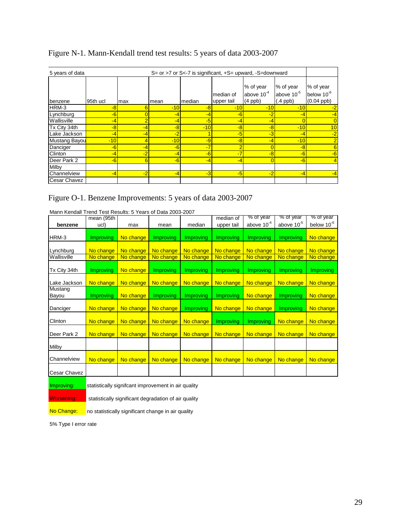|  |  | Figure N-1. Mann-Kendall trend test results: 5 years of data 2003-2007 |
|--|--|------------------------------------------------------------------------|
|  |  |                                                                        |

| 5 years of data     |          |      |       | S= or >7 or S<-7 is significant, $+S$ = upward, $-S$ = downward |                         |                                              |                                                   |                                              |
|---------------------|----------|------|-------|-----------------------------------------------------------------|-------------------------|----------------------------------------------|---------------------------------------------------|----------------------------------------------|
| benzene             | 95th ucl | max  | mean  | median                                                          | median of<br>upper tail | % of year<br>above $10^{-4}$<br>$(4$ ppb $)$ | % of year<br>above 10 <sup>-5</sup><br>$(.4$ ppb) | % of year<br>below $10^{-6}$<br>$(0.04$ ppb) |
| HRM-3               | $-8$     | h    | $-10$ | -8                                                              | $-10$                   | $-10$                                        | $-10$                                             | -2                                           |
| Lynchburg           | $-6$     |      | -4    | -4                                                              | $-6$                    | $-2$                                         | -4                                                | -4                                           |
| Wallisville         | -4       |      | -4    | -5                                                              | $-4$                    | $-4$                                         | $\Omega$                                          |                                              |
| Tx City 34th        | -8       |      | -8    | $-10$                                                           | $-8$                    | -8                                           | $-10$                                             | 10                                           |
| Lake Jackson        | -4       |      | -2    |                                                                 | -5                      | -3                                           | -4                                                | $-2$                                         |
| Mustang Bayou       | $-10$    |      | $-10$ | -9                                                              | $-8$                    | -4                                           | $-10$                                             | 2                                            |
| Danciger            | $-6$     |      | $-6$  |                                                                 | $\overline{ }$          |                                              | $-8$                                              | 6                                            |
| Clinton             | -4       |      | -4    | -6                                                              |                         | $-8$                                         | $-6$                                              | $-6$                                         |
| Deer Park 2         | $-6$     | 6    | $-6$  | -4                                                              | -4                      |                                              | $-6$                                              |                                              |
| <b>Milby</b>        |          |      |       |                                                                 |                         |                                              |                                                   |                                              |
| Channelview         | $-4$     | $-2$ | $-4$  | $-3$                                                            | $-5$                    | $-2$                                         | $-4$                                              | -4                                           |
| <b>Cesar Chavez</b> |          |      |       |                                                                 |                         |                                              |                                                   |                                              |

Figure O-1. Benzene Improvements: 5 years of data 2003-2007

| Mahil Rendali Tienu Test Results. 5 Tears of Data 2003-2007 | mean (95th |           |           |                  | median of        | % of year       | % of year       | % of year        |
|-------------------------------------------------------------|------------|-----------|-----------|------------------|------------------|-----------------|-----------------|------------------|
|                                                             |            |           |           |                  |                  |                 |                 |                  |
| benzene                                                     | ucl)       | max       | mean      | median           | upper tail       | above $10^{-4}$ | above $10^{-5}$ | below $10^{-6}$  |
|                                                             |            |           |           |                  |                  |                 |                 |                  |
| HRM-3                                                       | Improving  | No change | Improving | <b>Improving</b> | <b>Improving</b> | Improving       | Improving       | No change        |
|                                                             |            |           |           |                  |                  |                 |                 |                  |
| Lynchburg                                                   | No change  | No change | No change | No change        | No change        | No change       | No change       | No change        |
| Wallisville                                                 | No change  | No change | No change | No change        | No change        | No change       | No change       | No change        |
|                                                             |            |           |           |                  |                  |                 |                 |                  |
| Tx City 34th                                                | Improving  | No change | Improving | Improving        | Improving        | Improving       | Improving       | <b>Improving</b> |
|                                                             |            |           |           |                  |                  |                 |                 |                  |
| Lake Jackson                                                | No change  | No change | No change | No change        | No change        | No change       | No change       | No change        |
| Mustang                                                     |            |           |           |                  |                  |                 |                 |                  |
| Bayou                                                       | Improving  | No change | Improving | Improving        | Improving        | No change       | Improving       | No change        |
|                                                             |            |           |           |                  |                  |                 |                 |                  |
| Danciger                                                    | No change  | No change | No change | <b>Improving</b> | No change        | No change       | Improving       | No change        |
|                                                             |            |           |           |                  |                  |                 |                 |                  |
| Clinton                                                     | No change  | No change | No change | No change        | Improving        | Improving       | No change       | No change        |
|                                                             |            |           |           |                  |                  |                 |                 |                  |
| Deer Park 2                                                 | No change  | No change | No change | No change        | No change        | No change       | No change       | No change        |
|                                                             |            |           |           |                  |                  |                 |                 |                  |
|                                                             |            |           |           |                  |                  |                 |                 |                  |
| Milby                                                       |            |           |           |                  |                  |                 |                 |                  |
|                                                             |            |           |           |                  |                  |                 |                 |                  |
| Channelview                                                 | No change  | No change | No change | No change        | No change        | No change       | No change       | No change        |
|                                                             |            |           |           |                  |                  |                 |                 |                  |
| Cesar Chavez                                                |            |           |           |                  |                  |                 |                 |                  |
|                                                             |            |           |           |                  |                  |                 |                 |                  |

Mann Kendall Trend Test Results: 5 Years of Data 2003-2007

Improving: statistically signifcant improvement in air quality

Worsening: statistically significant degradation of air quality

No Change: no statistically significant change in air quality

5% Type I error rate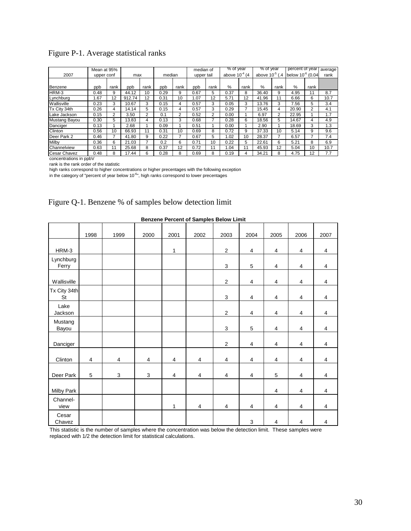|  | Figure P-1. Average statistical ranks |  |
|--|---------------------------------------|--|
|  |                                       |  |

|                     | Mean at 95% |                |        |                |        |                | median of  |      | $%$ of year        |      | $%$ of year          |      | percent of year       |      | average |
|---------------------|-------------|----------------|--------|----------------|--------|----------------|------------|------|--------------------|------|----------------------|------|-----------------------|------|---------|
| 2007                | upper conf  |                | max    |                | median |                | upper tail |      | above $10^{-4}$ (4 |      | above $10^{-5}$ (.4) |      | below $10^{-6}$ (0.04 |      | rank    |
|                     |             |                |        |                |        |                |            |      |                    |      |                      |      |                       |      |         |
| Benzene             | ppb         | rank           | ppb    | rank           | ppb    | rank           | ppb        | rank | $\%$               | rank | $\%$                 | rank | $\%$                  | rank |         |
| HRM-3               | 0.48        | 9              | 44.12  | 10             | 0.29   | 9              | 0.67       | 5    | 0.37               | 8    | 36.40                | 9    | 4.95                  | 11   | 8.7     |
| Lynchburg           | 1.67        | 12             | 912.74 | 12             | 0.31   | 10             | 1.07       | 12   | 5.71               | 12   | 41.96                | 11   | 6.66                  | 6    | 10.7    |
| Wallisville         | 0.23        | 3              | 10.67  | 3              | 0.15   | 4              | 0.57       | 3    | 0.05               | 3    | 13.76                | 3    | 7.56                  | 5    | 3.4     |
| Tx City 34th        | 0.26        | 4              | 14.14  | 5              | 0.15   | 4              | 0.57       | 3    | 0.29               |      | 15.45                | 4    | 20.90                 | 2    | 4.1     |
| Lake Jackson        | 0.15        | $\overline{2}$ | 3.50   | $\overline{2}$ | 0.1    | $\overline{2}$ | 0.52       | 2    | 0.00               |      | 6.97                 | 2    | 22.95                 |      | 1.7     |
| Mustang Bayou       | 0.30        | 5              | 13.83  | 4              | 0.13   | 3              | 0.68       | 7    | 0.28               | 6    | 18.56                | 5    | 14.67                 | 4    | 4.9     |
| Danciger            | 0.13        |                | 2.68   |                | 0.09   |                | 0.51       |      | 0.00               |      | 2.90                 |      | 18.69                 | 3    | 1.3     |
| Clinton             | 0.56        | 10             | 66.93  | 11             | 0.31   | 10             | 0.69       | 8    | 0.72               | 9    | 37.33                | 10   | 5.14                  | 9    | 9.6     |
| Deer Park 2         | 0.46        | 7              | 41.80  | 9              | 0.22   | 7              | 0.67       | 5    | 1.02               | 10   | 28.37                |      | 6.57                  |      | 7.4     |
| Milby               | 0.36        | 6              | 21.03  |                | 0.2    | 6              | 0.71       | 10   | 0.22               | 5    | 22.61                | 6    | 5.21                  | 8    | 6.9     |
| <b>Channelview</b>  | 0.63        | 11             | 25.68  | 8              | 0.37   | 12             | 0.72       | 11   | 1.04               | 11   | 45.93                | 12   | 5.04                  | 10   | 10.7    |
| <b>Cesar Chavez</b> | 0.48        | 8              | 17.44  | 6              | 0.28   | 8              | 0.69       | 8    | 0.19               | 4    | 34.21                | 8    | 4.75                  | 12   | 7.7     |

concentrations in ppbV

rank is the rank order of the statistic

high ranks correspond to higher concentrations or higher precentages with the following exception

in the category of "percent of year below 10<sup>-6</sup>", high ranks correspond to lower precentages

|                    |      |            |      |                | <b>Benzene Percent of Samples Below Limit</b> |                |                |                |                |                |
|--------------------|------|------------|------|----------------|-----------------------------------------------|----------------|----------------|----------------|----------------|----------------|
|                    | 1998 | 1999       | 2000 | 2001           | 2002                                          | 2003           | 2004           | 2005           | 2006           | 2007           |
| HRM-3              |      |            |      | 1              |                                               | $\overline{2}$ | $\overline{4}$ | $\overline{4}$ | 4              | 4              |
| Lynchburg<br>Ferry |      |            |      |                |                                               | 3              | 5              | $\overline{4}$ | 4              | 4              |
| Wallisville        |      |            |      |                |                                               | 2              | 4              | $\overline{4}$ | 4              | 4              |
| Tx City 34th<br>St |      |            |      |                |                                               | $\mathbf{3}$   | $\overline{4}$ | $\overline{4}$ | $\overline{4}$ | 4              |
| Lake<br>Jackson    |      |            |      |                |                                               | 2              | $\overline{4}$ | $\overline{4}$ | $\overline{4}$ | $\overline{4}$ |
| Mustang<br>Bayou   |      |            |      |                |                                               | 3              | 5              | $\overline{4}$ | 4              | 4              |
| Danciger           |      |            |      |                |                                               | 2              | $\overline{4}$ | $\overline{4}$ | $\overline{4}$ | $\overline{4}$ |
| Clinton            | 4    | 4          | 4    | 4              | 4                                             | 4              | 4              | 4              | 4              | 4              |
| Deer Park          | 5    | $\sqrt{3}$ | 3    | $\overline{4}$ | $\overline{\mathbf{4}}$                       | 4              | $\overline{4}$ | 5              | $\overline{4}$ | 4              |
| Milby Park         |      |            |      |                |                                               |                |                | 4              | 4              | 4              |
| Channel-<br>view   |      |            |      | $\mathbf{1}$   | $\overline{4}$                                | 4              | $\overline{4}$ | $\overline{4}$ | $\overline{4}$ | 4              |
| Cesar<br>Chavez    |      |            |      |                |                                               |                | $\mathbf{3}$   | 4              | 4              | 4              |

# Figure Q-1. Benzene % of samples below detection limit

This statistic is the number of samples where the concentration was below the detection limit. These samples were replaced with 1/2 the detection limit for statistical calculations.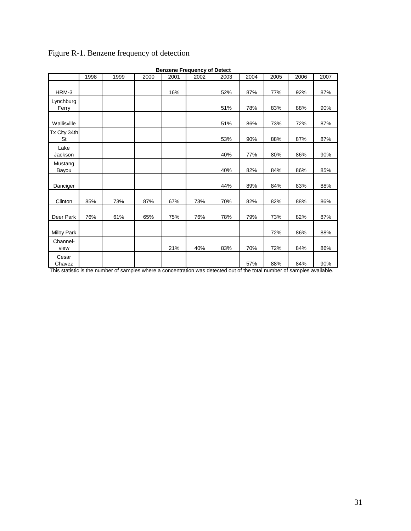| <b>Benzene Frequency of Detect</b> |      |      |      |      |      |      |      |      |      |      |  |  |
|------------------------------------|------|------|------|------|------|------|------|------|------|------|--|--|
|                                    | 1998 | 1999 | 2000 | 2001 | 2002 | 2003 | 2004 | 2005 | 2006 | 2007 |  |  |
| HRM-3                              |      |      |      | 16%  |      | 52%  | 87%  | 77%  | 92%  | 87%  |  |  |
| Lynchburg<br>Ferry                 |      |      |      |      |      | 51%  | 78%  | 83%  | 88%  | 90%  |  |  |
| Wallisville                        |      |      |      |      |      | 51%  | 86%  | 73%  | 72%  | 87%  |  |  |
| Tx City 34th<br><b>St</b>          |      |      |      |      |      | 53%  | 90%  | 88%  | 87%  | 87%  |  |  |
| Lake<br>Jackson                    |      |      |      |      |      | 40%  | 77%  | 80%  | 86%  | 90%  |  |  |
| Mustang<br>Bayou                   |      |      |      |      |      | 40%  | 82%  | 84%  | 86%  | 85%  |  |  |
| Danciger                           |      |      |      |      |      | 44%  | 89%  | 84%  | 83%  | 88%  |  |  |
| Clinton                            | 85%  | 73%  | 87%  | 67%  | 73%  | 70%  | 82%  | 82%  | 88%  | 86%  |  |  |
| Deer Park                          | 76%  | 61%  | 65%  | 75%  | 76%  | 78%  | 79%  | 73%  | 82%  | 87%  |  |  |
| <b>Milby Park</b>                  |      |      |      |      |      |      |      | 72%  | 86%  | 88%  |  |  |
| Channel-<br>view                   |      |      |      | 21%  | 40%  | 83%  | 70%  | 72%  | 84%  | 86%  |  |  |
| Cesar<br>Chavez                    |      |      |      |      |      |      | 57%  | 88%  | 84%  | 90%  |  |  |

# Figure R-1. Benzene frequency of detection

This statistic is the number of samples where a concentration was detected out of the total number of samples available.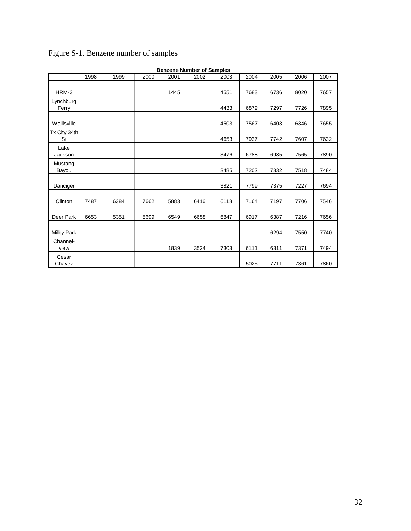|                    |      |      |      |      | <b>Benzene Number of Samples</b> |      |      |      |      |      |
|--------------------|------|------|------|------|----------------------------------|------|------|------|------|------|
|                    | 1998 | 1999 | 2000 | 2001 | 2002                             | 2003 | 2004 | 2005 | 2006 | 2007 |
| HRM-3              |      |      |      | 1445 |                                  | 4551 | 7683 | 6736 | 8020 | 7657 |
| Lynchburg<br>Ferry |      |      |      |      |                                  | 4433 | 6879 | 7297 | 7726 | 7895 |
| Wallisville        |      |      |      |      |                                  | 4503 | 7567 | 6403 | 6346 | 7655 |
| Tx City 34th<br>St |      |      |      |      |                                  | 4653 | 7937 | 7742 | 7607 | 7632 |
| Lake<br>Jackson    |      |      |      |      |                                  | 3476 | 6788 | 6985 | 7565 | 7890 |
| Mustang<br>Bayou   |      |      |      |      |                                  | 3485 | 7202 | 7332 | 7518 | 7484 |
| Danciger           |      |      |      |      |                                  | 3821 | 7799 | 7375 | 7227 | 7694 |
| Clinton            | 7487 | 6384 | 7662 | 5883 | 6416                             | 6118 | 7164 | 7197 | 7706 | 7546 |
| Deer Park          | 6653 | 5351 | 5699 | 6549 | 6658                             | 6847 | 6917 | 6387 | 7216 | 7656 |
| <b>Milby Park</b>  |      |      |      |      |                                  |      |      | 6294 | 7550 | 7740 |
| Channel-<br>view   |      |      |      | 1839 | 3524                             | 7303 | 6111 | 6311 | 7371 | 7494 |
| Cesar<br>Chavez    |      |      |      |      |                                  |      | 5025 | 7711 | 7361 | 7860 |

# Figure S-1. Benzene number of samples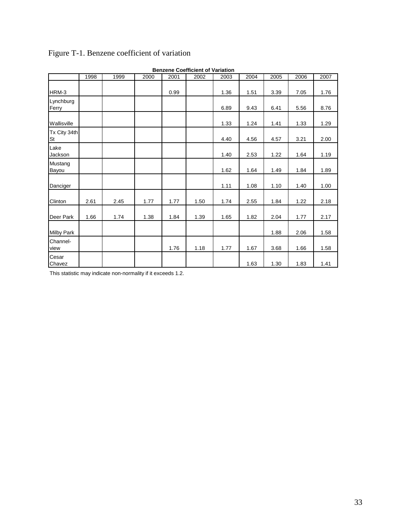|                    | <b>Benzene Coefficient of Variation</b> |      |      |      |      |      |      |      |      |      |  |  |  |
|--------------------|-----------------------------------------|------|------|------|------|------|------|------|------|------|--|--|--|
|                    | 1998                                    | 1999 | 2000 | 2001 | 2002 | 2003 | 2004 | 2005 | 2006 | 2007 |  |  |  |
| HRM-3              |                                         |      |      | 0.99 |      | 1.36 | 1.51 | 3.39 | 7.05 | 1.76 |  |  |  |
| Lynchburg<br>Ferry |                                         |      |      |      |      | 6.89 | 9.43 | 6.41 | 5.56 | 8.76 |  |  |  |
| Wallisville        |                                         |      |      |      |      | 1.33 | 1.24 | 1.41 | 1.33 | 1.29 |  |  |  |
| Tx City 34th<br>St |                                         |      |      |      |      | 4.40 | 4.56 | 4.57 | 3.21 | 2.00 |  |  |  |
| Lake<br>Jackson    |                                         |      |      |      |      | 1.40 | 2.53 | 1.22 | 1.64 | 1.19 |  |  |  |
| Mustang<br>Bayou   |                                         |      |      |      |      | 1.62 | 1.64 | 1.49 | 1.84 | 1.89 |  |  |  |
| Danciger           |                                         |      |      |      |      | 1.11 | 1.08 | 1.10 | 1.40 | 1.00 |  |  |  |
| Clinton            | 2.61                                    | 2.45 | 1.77 | 1.77 | 1.50 | 1.74 | 2.55 | 1.84 | 1.22 | 2.18 |  |  |  |
| Deer Park          | 1.66                                    | 1.74 | 1.38 | 1.84 | 1.39 | 1.65 | 1.82 | 2.04 | 1.77 | 2.17 |  |  |  |
| <b>Milby Park</b>  |                                         |      |      |      |      |      |      | 1.88 | 2.06 | 1.58 |  |  |  |
| Channel-<br>view   |                                         |      |      | 1.76 | 1.18 | 1.77 | 1.67 | 3.68 | 1.66 | 1.58 |  |  |  |
| Cesar<br>Chavez    |                                         |      |      |      |      |      | 1.63 | 1.30 | 1.83 | 1.41 |  |  |  |

# Figure T-1. Benzene coefficient of variation

This statistic may indicate non-normality if it exceeds 1.2.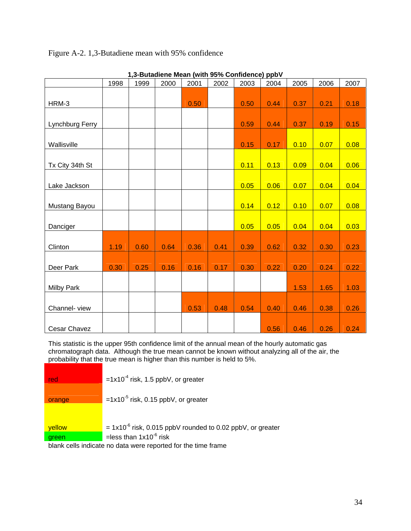## Figure A-2. 1,3-Butadiene mean with 95% confidence

|                     | 1998 | 1999 | 2000 | 2001 | 2002 | 2003 | 2004               | 2005 | 2006 | 2007 |
|---------------------|------|------|------|------|------|------|--------------------|------|------|------|
|                     |      |      |      |      |      |      |                    |      |      |      |
| HRM-3               |      |      |      | 0.50 |      | 0.50 | $\vert 0.44 \vert$ | 0.37 | 0.21 | 0.18 |
|                     |      |      |      |      |      |      |                    |      |      |      |
| Lynchburg Ferry     |      |      |      |      |      | 0.59 | 0.44               | 0.37 | 0.19 | 0.15 |
|                     |      |      |      |      |      |      |                    |      |      |      |
| Wallisville         |      |      |      |      |      | 0.15 | 0.17               | 0.10 | 0.07 | 0.08 |
|                     |      |      |      |      |      |      |                    |      |      |      |
| Tx City 34th St     |      |      |      |      |      | 0.11 | 0.13               | 0.09 | 0.04 | 0.06 |
|                     |      |      |      |      |      |      |                    |      |      |      |
| Lake Jackson        |      |      |      |      |      | 0.05 | 0.06               | 0.07 | 0.04 | 0.04 |
|                     |      |      |      |      |      |      |                    |      |      |      |
| Mustang Bayou       |      |      |      |      |      | 0.14 | 0.12               | 0.10 | 0.07 | 0.08 |
|                     |      |      |      |      |      |      |                    |      |      |      |
| Danciger            |      |      |      |      |      | 0.05 | 0.05               | 0.04 | 0.04 | 0.03 |
|                     |      |      |      |      |      |      |                    |      |      |      |
| Clinton             | 1.19 | 0.60 | 0.64 | 0.36 | 0.41 | 0.39 | 0.62               | 0.32 | 0.30 | 0.23 |
|                     |      |      |      |      |      |      |                    |      |      |      |
| Deer Park           | 0.30 | 0.25 | 0.16 | 0.16 | 0.17 | 0.30 | $\vert$ 0.22       | 0.20 | 0.24 | 0.22 |
|                     |      |      |      |      |      |      |                    |      |      |      |
| <b>Milby Park</b>   |      |      |      |      |      |      |                    | 1.53 | 1.65 | 1.03 |
|                     |      |      |      |      |      |      |                    |      |      |      |
| Channel-view        |      |      |      | 0.53 | 0.48 | 0.54 | $\vert 0.40 \vert$ | 0.46 | 0.38 | 0.26 |
|                     |      |      |      |      |      |      |                    |      |      |      |
| <b>Cesar Chavez</b> |      |      |      |      |      |      | 0.56               | 0.46 | 0.26 | 0.24 |

**1,3-Butadiene Mean (with 95% Confidence) ppbV** 

This statistic is the upper 95th confidence limit of the annual mean of the hourly automatic gas chromatograph data. Although the true mean cannot be known without analyzing all of the air, the probability that the true mean is higher than this number is held to 5%.

| red    | $=1x10^{-4}$ risk, 1.5 ppbV, or greater                         |
|--------|-----------------------------------------------------------------|
| orange | $=1x10^{-5}$ risk, 0.15 ppbV, or greater                        |
|        |                                                                 |
| yellow | $= 1x10^{-6}$ risk, 0.015 ppbV rounded to 0.02 ppbV, or greater |
| green  | =less than $1x10^{-6}$ risk                                     |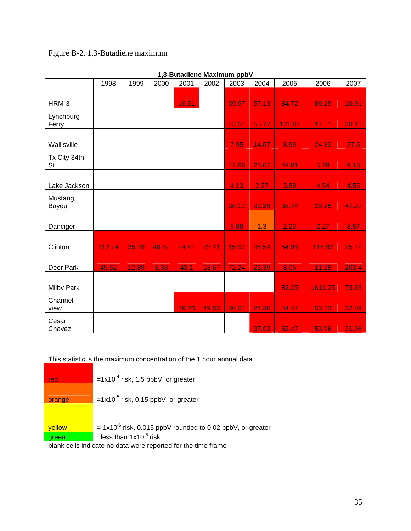# Figure B-2. 1,3-Butadiene maximum

|              | 1998   | 1999  | 2000  | 2001  | 2002  | 2003  | 2004  | 2005   | 2006    | 2007  |
|--------------|--------|-------|-------|-------|-------|-------|-------|--------|---------|-------|
|              |        |       |       |       |       |       |       |        |         |       |
| HRM-3        |        |       |       | 16.31 |       | 39.67 | 57.13 | 84.72  | 89.29   | 10.91 |
| Lynchburg    |        |       |       |       |       |       |       |        |         |       |
| Ferry        |        |       |       |       |       | 43.54 | 55.77 | 121.87 | 17.11   | 20.11 |
|              |        |       |       |       |       |       |       |        |         |       |
| Wallisville  |        |       |       |       |       | 7.95  | 14.67 | 8.99   | 24.33   | 27.5  |
| Tx City 34th |        |       |       |       |       |       |       |        |         |       |
| <b>St</b>    |        |       |       |       |       | 41.66 | 26.07 | 49.01  | 5.79    | 9.13  |
|              |        |       |       |       |       |       |       |        |         |       |
| Lake Jackson |        |       |       |       |       | 4.13  | 2.27  | 3.89   | 4.54    | 4.55  |
| Mustang      |        |       |       |       |       |       |       |        |         |       |
| Bayou        |        |       |       |       |       | 38.12 | 33.29 | 38.74  | 29.25   | 47.97 |
|              |        |       |       |       |       |       |       |        |         |       |
| Danciger     |        |       |       |       |       | 6.88  | 1.3   | 2.23   | 2.27    | 8.57  |
|              |        |       |       |       |       |       |       |        |         |       |
| Clinton      | 112.24 | 35.79 | 48.82 | 24.41 | 23.41 | 15.92 | 35.54 | 54.98  | 116.92  | 25.72 |
|              |        |       |       |       |       |       |       |        |         |       |
| Deer Park    | 45.52  | 12.89 | 8.33  | 43.1  | 18.67 | 72.24 | 23.39 | 8.05   | 11.28   | 203.4 |
|              |        |       |       |       |       |       |       |        |         |       |
| Milby Park   |        |       |       |       |       |       |       | 82.25  | 1611.25 | 73.93 |
| Channel-     |        |       |       |       |       |       |       |        |         |       |
| view         |        |       |       | 79.26 | 49.53 | 36.04 | 24.36 | 54.47  | 53.23   | 32.89 |
| Cesar        |        |       |       |       |       |       |       |        |         |       |
| Chavez       |        |       |       |       |       |       | 37.02 | 52.47  | 53.96   | 31.08 |

#### **1,3-Butadiene Maximum ppbV**

This statistic is the maximum concentration of the 1 hour annual data.

| red    | $=1x10^{-4}$ risk, 1.5 ppbV, or greater                         |
|--------|-----------------------------------------------------------------|
| orange | $=1x10^{-5}$ risk, 0.15 ppbV, or greater                        |
|        |                                                                 |
| yellow | $= 1x10^{-6}$ risk, 0.015 ppbV rounded to 0.02 ppbV, or greater |
| green  | =less than $1x10^{-6}$ risk                                     |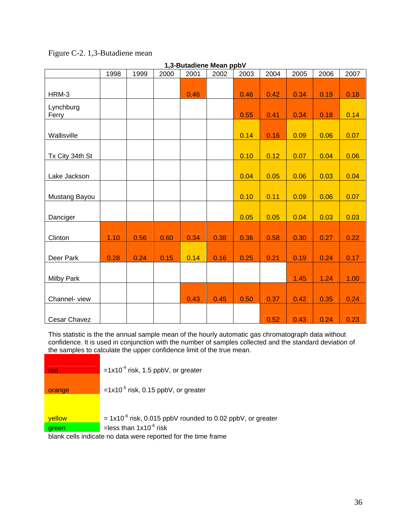| 1,3-Butadiene Mean ppbV |      |      |      |      |      |      |      |      |      |      |  |  |
|-------------------------|------|------|------|------|------|------|------|------|------|------|--|--|
|                         | 1998 | 1999 | 2000 | 2001 | 2002 | 2003 | 2004 | 2005 | 2006 | 2007 |  |  |
|                         |      |      |      |      |      |      |      |      |      |      |  |  |
| HRM-3                   |      |      |      | 0.46 |      | 0.46 | 0.42 | 0.34 | 0.19 | 0.18 |  |  |
| Lynchburg<br>Ferry      |      |      |      |      |      | 0.55 | 0.41 | 0.34 | 0.18 | 0.14 |  |  |
| Wallisville             |      |      |      |      |      | 0.14 | 0.16 | 0.09 | 0.06 | 0.07 |  |  |
| Tx City 34th St         |      |      |      |      |      | 0.10 | 0.12 | 0.07 | 0.04 | 0.06 |  |  |
| Lake Jackson            |      |      |      |      |      | 0.04 | 0.05 | 0.06 | 0.03 | 0.04 |  |  |
| Mustang Bayou           |      |      |      |      |      | 0.10 | 0.11 | 0.09 | 0.06 | 0.07 |  |  |
| Danciger                |      |      |      |      |      | 0.05 | 0.05 | 0.04 | 0.03 | 0.03 |  |  |
| Clinton                 | 1.10 | 0.56 | 0.60 | 0.34 | 0.38 | 0.36 | 0.58 | 0.30 | 0.27 | 0.22 |  |  |
| Deer Park               | 0.28 | 0.24 | 0.15 | 0.14 | 0.16 | 0.25 | 0.21 | 0.19 | 0.24 | 0.17 |  |  |
| <b>Milby Park</b>       |      |      |      |      |      |      |      | 1.45 | 1.24 | 1.00 |  |  |
| Channel-view            |      |      |      | 0.43 | 0.45 | 0.50 | 0.37 | 0.42 | 0.35 | 0.24 |  |  |
| Cesar Chavez            |      |      |      |      |      |      | 0.52 | 0.43 | 0.24 | 0.23 |  |  |

## Figure C-2. 1,3-Butadiene mean

This statistic is the the annual sample mean of the hourly automatic gas chromatograph data without confidence. It is used in conjunction with the number of samples collected and the standard deviation of the samples to calculate the upper confidence limit of the true mean.

| red    | $=1x10^{-4}$ risk, 1.5 ppbV, or greater                         |
|--------|-----------------------------------------------------------------|
| orange | $=1x10^{-5}$ risk, 0.15 ppbV, or greater                        |
|        |                                                                 |
| vellow | $= 1x10^{-6}$ risk, 0.015 ppbV rounded to 0.02 ppbV, or greater |
| green  | =less than $1x10^{-6}$ risk                                     |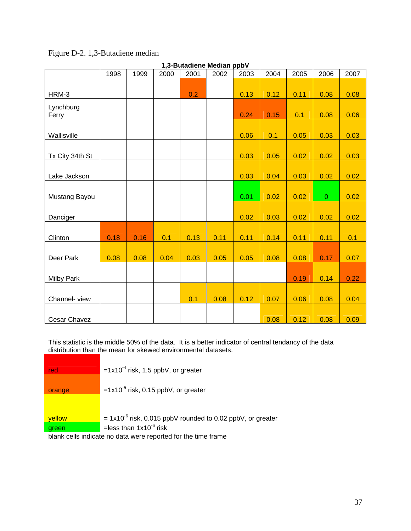| 1,3-Butadiene Median ppbV |      |      |      |      |      |      |      |      |              |      |  |  |
|---------------------------|------|------|------|------|------|------|------|------|--------------|------|--|--|
|                           | 1998 | 1999 | 2000 | 2001 | 2002 | 2003 | 2004 | 2005 | 2006         | 2007 |  |  |
|                           |      |      |      |      |      |      |      |      |              |      |  |  |
| HRM-3                     |      |      |      | 0.2  |      | 0.13 | 0.12 | 0.11 | 0.08         | 0.08 |  |  |
| Lynchburg                 |      |      |      |      |      |      |      |      |              |      |  |  |
| Ferry                     |      |      |      |      |      | 0.24 | 0.15 | 0.1  | 0.08         | 0.06 |  |  |
| Wallisville               |      |      |      |      |      | 0.06 | 0.1  | 0.05 | 0.03         | 0.03 |  |  |
|                           |      |      |      |      |      |      |      |      |              |      |  |  |
| Tx City 34th St           |      |      |      |      |      | 0.03 | 0.05 | 0.02 | 0.02         | 0.03 |  |  |
|                           |      |      |      |      |      |      |      |      |              |      |  |  |
| Lake Jackson              |      |      |      |      |      | 0.03 | 0.04 | 0.03 | 0.02         | 0.02 |  |  |
|                           |      |      |      |      |      |      |      |      |              |      |  |  |
| Mustang Bayou             |      |      |      |      |      | 0.01 | 0.02 | 0.02 | $\mathbf{0}$ | 0.02 |  |  |
|                           |      |      |      |      |      |      |      |      |              |      |  |  |
| Danciger                  |      |      |      |      |      | 0.02 | 0.03 | 0.02 | 0.02         | 0.02 |  |  |
|                           |      |      |      |      |      |      |      |      |              |      |  |  |
| Clinton                   | 0.18 | 0.16 | 0.1  | 0.13 | 0.11 | 0.11 | 0.14 | 0.11 | 0.11         | 0.1  |  |  |
|                           |      |      |      |      |      |      |      |      |              |      |  |  |
| Deer Park                 | 0.08 | 0.08 | 0.04 | 0.03 | 0.05 | 0.05 | 0.08 | 0.08 | 0.17         | 0.07 |  |  |
|                           |      |      |      |      |      |      |      |      |              |      |  |  |
| <b>Milby Park</b>         |      |      |      |      |      |      |      | 0.19 | 0.14         | 0.22 |  |  |
|                           |      |      |      |      |      |      |      |      |              |      |  |  |
| Channel-view              |      |      |      | 0.1  | 0.08 | 0.12 | 0.07 | 0.06 | 0.08         | 0.04 |  |  |
|                           |      |      |      |      |      |      |      |      |              |      |  |  |
| <b>Cesar Chavez</b>       |      |      |      |      |      |      | 0.08 | 0.12 | 0.08         | 0.09 |  |  |

# Figure D-2. 1,3-Butadiene median

This statistic is the middle 50% of the data. It is a better indicator of central tendancy of the data distribution than the mean for skewed environmental datasets.

| red    | $=1x10^{-4}$ risk, 1.5 ppbV, or greater                         |
|--------|-----------------------------------------------------------------|
| orange | $=1x10^{-5}$ risk, 0.15 ppbV, or greater                        |
|        |                                                                 |
| yellow | $= 1x10^{-6}$ risk, 0.015 ppbV rounded to 0.02 ppbV, or greater |
| green  | =less than $1x10^{-6}$ risk                                     |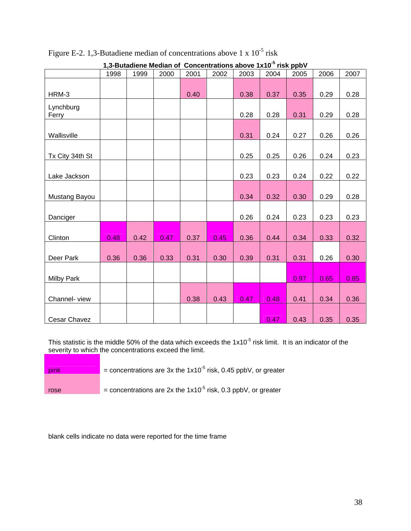|                   | 1998 | 1999 | 2000 | 2001 | 2002 | 2003 | 2004 | 2005 | 2006 | 2007 |
|-------------------|------|------|------|------|------|------|------|------|------|------|
|                   |      |      |      |      |      |      |      |      |      |      |
| HRM-3             |      |      |      | 0.40 |      | 0.38 | 0.37 | 0.35 | 0.29 | 0.28 |
|                   |      |      |      |      |      |      |      |      |      |      |
| Lynchburg         |      |      |      |      |      |      |      |      |      |      |
| Ferry             |      |      |      |      |      | 0.28 | 0.28 | 0.31 | 0.29 | 0.28 |
|                   |      |      |      |      |      |      |      |      |      |      |
| Wallisville       |      |      |      |      |      | 0.31 | 0.24 | 0.27 | 0.26 | 0.26 |
|                   |      |      |      |      |      |      |      |      |      |      |
| Tx City 34th St   |      |      |      |      |      | 0.25 | 0.25 | 0.26 | 0.24 | 0.23 |
|                   |      |      |      |      |      |      |      |      |      |      |
| Lake Jackson      |      |      |      |      |      | 0.23 | 0.23 | 0.24 | 0.22 | 0.22 |
|                   |      |      |      |      |      |      |      |      |      |      |
| Mustang Bayou     |      |      |      |      |      | 0.34 | 0.32 | 0.30 | 0.29 | 0.28 |
|                   |      |      |      |      |      |      |      |      |      |      |
|                   |      |      |      |      |      |      |      |      |      |      |
| Danciger          |      |      |      |      |      | 0.26 | 0.24 | 0.23 | 0.23 | 0.23 |
|                   |      |      |      |      |      |      |      |      |      |      |
| Clinton           | 0.48 | 0.42 | 0.47 | 0.37 | 0.45 | 0.36 | 0.44 | 0.34 | 0.33 | 0.32 |
|                   |      |      |      |      |      |      |      |      |      |      |
| Deer Park         | 0.36 | 0.36 | 0.33 | 0.31 | 0.30 | 0.39 | 0.31 | 0.31 | 0.26 | 0.30 |
|                   |      |      |      |      |      |      |      |      |      |      |
| <b>Milby Park</b> |      |      |      |      |      |      |      | 0.97 | 0.65 | 0.85 |
|                   |      |      |      |      |      |      |      |      |      |      |
|                   |      |      |      |      |      |      |      |      |      |      |
| Channel-view      |      |      |      | 0.38 | 0.43 | 0.47 | 0.48 | 0.41 | 0.34 | 0.36 |
|                   |      |      |      |      |      |      |      |      |      |      |
| Cesar Chavez      |      |      |      |      |      |      | 0.47 | 0.43 | 0.35 | 0.35 |

Figure E-2. 1,3-Butadiene median of concentrations above 1 x  $10^{-5}$  risk

**1,3-Butadiene Median of Concentrations above 1x10-5 risk ppbV** 

This statistic is the middle 50% of the data which exceeds the  $1x10<sup>-5</sup>$  risk limit. It is an indicator of the severity to which the concentrations exceed the limit.

| pink | = concentrations are 3x the $1x10^{-5}$ risk, 0.45 ppbV, or greater |
|------|---------------------------------------------------------------------|
| rose | = concentrations are 2x the $1x10^{-5}$ risk, 0.3 ppbV, or greater  |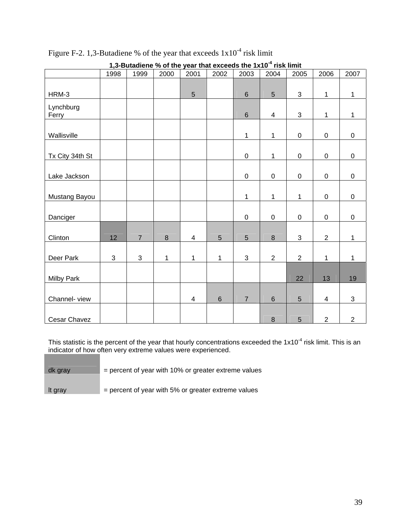|                   | 1998 | productive to be the year that exceeds the TXTV. How mint<br>1999 | 2000    | 2001                    | 2002           | 2003           | 2004           | 2005           | 2006                    | 2007           |
|-------------------|------|-------------------------------------------------------------------|---------|-------------------------|----------------|----------------|----------------|----------------|-------------------------|----------------|
|                   |      |                                                                   |         |                         |                |                |                |                |                         |                |
| HRM-3             |      |                                                                   |         | $\overline{5}$          |                | $6\,$          | 5              | $\mathbf{3}$   | $\mathbf{1}$            | $\mathbf{1}$   |
| Lynchburg         |      |                                                                   |         |                         |                |                |                |                |                         |                |
| Ferry             |      |                                                                   |         |                         |                | $\,6\,$        | $\overline{4}$ | $\mathfrak{S}$ | 1                       | $\mathbf{1}$   |
|                   |      |                                                                   |         |                         |                |                |                |                |                         |                |
| Wallisville       |      |                                                                   |         |                         |                | $\mathbf{1}$   | $\mathbf{1}$   | $\pmb{0}$      | $\pmb{0}$               | $\pmb{0}$      |
|                   |      |                                                                   |         |                         |                |                |                |                |                         |                |
| Tx City 34th St   |      |                                                                   |         |                         |                | $\mathsf 0$    | $\mathbf{1}$   | $\mathbf 0$    | $\pmb{0}$               | $\pmb{0}$      |
|                   |      |                                                                   |         |                         |                |                |                |                |                         |                |
| Lake Jackson      |      |                                                                   |         |                         |                | $\mathbf 0$    | $\pmb{0}$      | $\pmb{0}$      | $\mathsf 0$             | $\mathbf 0$    |
|                   |      |                                                                   |         |                         |                |                |                |                |                         |                |
| Mustang Bayou     |      |                                                                   |         |                         |                | $\mathbf{1}$   | $\mathbf 1$    | $\mathbf{1}$   | $\pmb{0}$               | $\pmb{0}$      |
| Danciger          |      |                                                                   |         |                         |                | $\pmb{0}$      | $\pmb{0}$      | $\pmb{0}$      | $\pmb{0}$               | $\pmb{0}$      |
|                   |      |                                                                   |         |                         |                |                |                |                |                         |                |
| Clinton           | 12   | $\overline{7}$                                                    | $\bf 8$ | $\overline{4}$          | $\overline{5}$ | $\overline{5}$ | $\bf 8$        | 3              | $\overline{2}$          | $\mathbf{1}$   |
|                   |      |                                                                   |         |                         |                |                |                |                |                         |                |
| Deer Park         | 3    | $\mathfrak{S}$                                                    | 1       | $\mathbf{1}$            | 1              | 3              | $\overline{2}$ | $\overline{2}$ | $\mathbf{1}$            | $\mathbf{1}$   |
|                   |      |                                                                   |         |                         |                |                |                |                |                         |                |
| <b>Milby Park</b> |      |                                                                   |         |                         |                |                |                | 22             | 13                      | 19             |
|                   |      |                                                                   |         |                         |                |                |                |                |                         |                |
| Channel-view      |      |                                                                   |         | $\overline{\mathbf{4}}$ | $\,6\,$        | $\overline{7}$ | $\,6$          | 5              | $\overline{\mathbf{4}}$ | 3              |
|                   |      |                                                                   |         |                         |                |                |                |                |                         |                |
| Cesar Chavez      |      |                                                                   |         |                         |                |                | $\,8\,$        | 5              | $\overline{2}$          | $\overline{2}$ |

Figure F-2. 1,3-Butadiene % of the year that exceeds  $1x10^{-4}$  risk limit

**1,3-Butadiene % of the year that exceeds the 1x10-4 risk limit** 

This statistic is the percent of the year that hourly concentrations exceeded the  $1x10^{-4}$  risk limit. This is an indicator of how often very extreme values were experienced.

| dk gray | $=$ percent of year with 10% or greater extreme values |
|---------|--------------------------------------------------------|
|         |                                                        |

It gray  $=$  percent of year with 5% or greater extreme values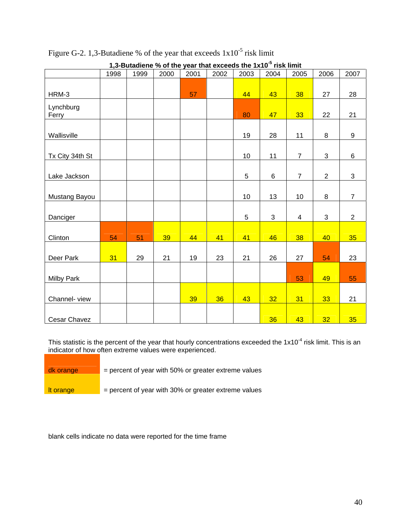| 1,3-Butadiene % of the year that exceeds the 1x10 <sup>-5</sup> risk limit |      |      |      |      |      |      |      |                |                |                |  |  |
|----------------------------------------------------------------------------|------|------|------|------|------|------|------|----------------|----------------|----------------|--|--|
|                                                                            | 1998 | 1999 | 2000 | 2001 | 2002 | 2003 | 2004 | 2005           | 2006           | 2007           |  |  |
|                                                                            |      |      |      |      |      |      |      |                |                |                |  |  |
| HRM-3                                                                      |      |      |      | 57   |      | 44   | 43   | 38             | 27             | 28             |  |  |
| Lynchburg                                                                  |      |      |      |      |      |      |      |                |                |                |  |  |
| Ferry                                                                      |      |      |      |      |      | 80   | 47   | 33             | 22             | 21             |  |  |
|                                                                            |      |      |      |      |      |      |      |                |                |                |  |  |
| Wallisville                                                                |      |      |      |      |      | 19   | 28   | 11             | 8              | 9              |  |  |
|                                                                            |      |      |      |      |      |      |      |                |                |                |  |  |
| Tx City 34th St                                                            |      |      |      |      |      | 10   | 11   | $\overline{7}$ | $\mathfrak{S}$ | 6              |  |  |
|                                                                            |      |      |      |      |      |      |      |                |                |                |  |  |
| Lake Jackson                                                               |      |      |      |      |      | 5    | 6    | $\overline{7}$ | $\overline{2}$ | 3              |  |  |
|                                                                            |      |      |      |      |      |      |      |                |                |                |  |  |
| Mustang Bayou                                                              |      |      |      |      |      | 10   | 13   | 10             | 8              | $\overline{7}$ |  |  |
|                                                                            |      |      |      |      |      |      |      |                |                |                |  |  |
| Danciger                                                                   |      |      |      |      |      | 5    | 3    | 4              | $\mathfrak{B}$ | $\overline{2}$ |  |  |
|                                                                            |      |      |      |      |      |      |      |                |                |                |  |  |
| Clinton                                                                    | 54   | 51   | 39   | 44   | 41   | 41   | 46   | 38             | 40             | 35             |  |  |
|                                                                            |      |      |      |      |      |      |      |                |                |                |  |  |
| Deer Park                                                                  | 31   | 29   | 21   | 19   | 23   | 21   | 26   | 27             | 54             | 23             |  |  |
|                                                                            |      |      |      |      |      |      |      |                |                |                |  |  |
| <b>Milby Park</b>                                                          |      |      |      |      |      |      |      | 53             | 49             | 55             |  |  |
|                                                                            |      |      |      |      |      |      |      |                |                |                |  |  |
| Channel-view                                                               |      |      |      | 39   | 36   | 43   | 32   | 31             | 33             | 21             |  |  |
|                                                                            |      |      |      |      |      |      |      |                |                |                |  |  |
| Cesar Chavez                                                               |      |      |      |      |      |      | 36   | 43             | 32             | 35             |  |  |

Figure G-2. 1,3-Butadiene % of the year that exceeds  $1x10^{-5}$  risk limit

This statistic is the percent of the year that hourly concentrations exceeded the  $1x10^{-4}$  risk limit. This is an indicator of how often extreme values were experienced.

| dk orange | $=$ percent of year with 50% or greater extreme values |
|-----------|--------------------------------------------------------|
|           |                                                        |
| It orange | $=$ percent of year with 30% or greater extreme values |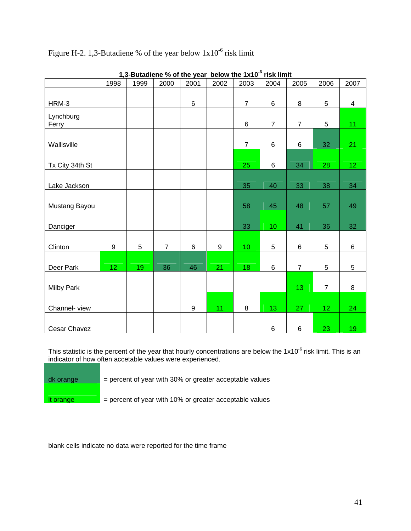|                   |                 | $1,0$ -Dutaulono 70 UI tho your |                |      |      | <b>DEIGM THE IVID</b> | TISK IIIIIIL    |                 |                 |                 |
|-------------------|-----------------|---------------------------------|----------------|------|------|-----------------------|-----------------|-----------------|-----------------|-----------------|
|                   | 1998            | 1999                            | 2000           | 2001 | 2002 | 2003                  | 2004            | 2005            | 2006            | 2007            |
|                   |                 |                                 |                |      |      |                       |                 |                 |                 |                 |
| HRM-3             |                 |                                 |                | 6    |      | $\overline{7}$        | 6               | 8               | 5               | $\overline{4}$  |
|                   |                 |                                 |                |      |      |                       |                 |                 |                 |                 |
| Lynchburg         |                 |                                 |                |      |      | 6                     | $\overline{7}$  | $\overline{7}$  | 5               | 11 <sub>1</sub> |
| Ferry             |                 |                                 |                |      |      |                       |                 |                 |                 |                 |
|                   |                 |                                 |                |      |      |                       |                 |                 |                 |                 |
| Wallisville       |                 |                                 |                |      |      | $\overline{7}$        | 6               | $6\phantom{a}$  | 32              | 21              |
|                   |                 |                                 |                |      |      |                       |                 |                 |                 |                 |
| Tx City 34th St   |                 |                                 |                |      |      | 25                    | $\,6$           | 34              | 28              | 12 <sub>1</sub> |
|                   |                 |                                 |                |      |      |                       |                 |                 |                 |                 |
| Lake Jackson      |                 |                                 |                |      |      | 35                    | 40              | 33              | 38              | 34              |
|                   |                 |                                 |                |      |      |                       |                 |                 |                 |                 |
| Mustang Bayou     |                 |                                 |                |      |      | 58                    | 45              | 48              | 57              | 49              |
|                   |                 |                                 |                |      |      |                       |                 |                 |                 |                 |
|                   |                 |                                 |                |      |      |                       |                 |                 |                 |                 |
| Danciger          |                 |                                 |                |      |      | 33                    | 10 <sub>1</sub> | 41              | 36              | 32              |
|                   |                 |                                 |                |      |      |                       |                 |                 |                 |                 |
| Clinton           | 9               | 5                               | $\overline{7}$ | 6    | 9    | 10 <sub>1</sub>       | 5               | 6               | 5               | 6               |
|                   |                 |                                 |                |      |      |                       |                 |                 |                 |                 |
| Deer Park         | 12 <sup>2</sup> | 19                              | 36             | 46   | 21   | 18                    | 6               | $\overline{7}$  | 5               | 5               |
|                   |                 |                                 |                |      |      |                       |                 |                 |                 |                 |
| <b>Milby Park</b> |                 |                                 |                |      |      |                       |                 | 13 <sub>1</sub> | $\overline{7}$  | 8               |
|                   |                 |                                 |                |      |      |                       |                 |                 |                 |                 |
| Channel-view      |                 |                                 |                | 9    | 11   | $\bf 8$               | 13 <sub>1</sub> | 27              | 12 <sub>1</sub> | 24              |
|                   |                 |                                 |                |      |      |                       |                 |                 |                 |                 |
|                   |                 |                                 |                |      |      |                       |                 |                 |                 |                 |
| Cesar Chavez      |                 |                                 |                |      |      |                       | 6               | 6               | 23              | 19              |

# Figure H-2. 1,3-Butadiene % of the year below 1x10-6 risk limit

**1,3-Butadiene % of the year below the 1x10-6 risk limit** 

This statistic is the percent of the year that hourly concentrations are below the  $1x10^{-6}$  risk limit. This is an indicator of how often accetable values were experienced.

| dk orange | $=$ percent of year with 30% or greater acceptable values |
|-----------|-----------------------------------------------------------|
| It orange | $=$ percent of year with 10% or greater acceptable values |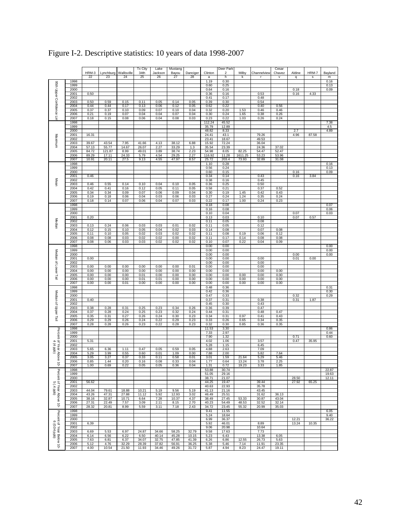|                                           |              |                |                |              | Tx City      | Lake         | Mustang      |              |                 | Deer Park      |                |                | Cesar          |        |       |              |
|-------------------------------------------|--------------|----------------|----------------|--------------|--------------|--------------|--------------|--------------|-----------------|----------------|----------------|----------------|----------------|--------|-------|--------------|
|                                           |              | HRM-3          | Lynchburg      | Wallisville  | 34th         | Jacksor      | Bayou        | Danciger     | Clinton         | $\overline{2}$ | Milby          | Channelview    | Chavez         | Aldine | HRM-7 | Bayland      |
|                                           |              | 22             | 23             | 24           | 25           | 26           | 27           | 28           | a               | h              | k              |                | v              | q      | s     | m            |
|                                           | 1998         |                |                |              |              |              |              |              | 1.19            | 0.30           |                |                |                |        |       | 0.16         |
|                                           | 1999<br>2000 |                |                |              |              |              |              |              | 0.60<br>0.64    | 0.25<br>0.16   |                |                |                | 0.18   |       | 0.13<br>0.09 |
|                                           | 2001         | 0.50           |                |              |              |              |              |              | 0.36            | 0.16           |                | 0.53           |                | 0.16   | 4.33  |              |
| 95th Upper Confidence Lin                 | 2002         |                |                |              |              |              |              |              | 0.41            | 0.17           |                | 0.48           |                |        |       |              |
|                                           | 2003         | 0.50           | 0.59           | 0.15         | 0.11         | 0.05         | 0.14         | 0.05         | 0.39            | 0.30           |                | 0.54           |                |        |       |              |
|                                           | 2004         | 0.44           | 0.44           | 0.17         | 0.13         | 0.06         | 0.12         | 0.05         | 0.62            | 0.22           |                | 0.40           | 0.56           |        |       |              |
|                                           | 2005         | 0.37           | 0.37           | 0.10         | 0.09         | 0.07         | 0.10         | 0.04         | 0.32            | 0.20           | 1.53           | 0.46           | 0.46           |        |       |              |
|                                           | 2006         | 0.21           | 0.19           | 0.07         | 0.04         | 0.04         | 0.07         | 0.04         | 0.30            | 0.24           | 1.65           | 0.38           | 0.26           |        |       |              |
|                                           | 2007         | 0.18           | 0.15           | 0.08         | 0.06         | 0.04         | 0.08         | 0.03         | 0.23            | 0.22           | 1.03           | 0.26           | 0.24           |        |       |              |
|                                           | 1998<br>1999 |                |                |              |              |              |              |              | 112.24<br>35.79 | 45.52<br>12.89 |                |                |                |        |       | 7.38<br>4.5  |
|                                           | 2000         |                |                |              |              |              |              |              | 48.82           | 8.33           |                |                |                | 2.7    |       | 4.89         |
|                                           | 2001         | 16.31          |                |              |              |              |              |              | 24.41           | 43.1           |                | 79.26          |                | 4.96   | 87.58 |              |
| Maximum                                   | 2002         |                |                |              |              |              |              |              | 23.41           | 18.67          |                | 49.53          |                |        |       |              |
|                                           | 2003         | 39.67          | 43.54          | 7.95         | 41.66        | 4.13         | 38.12        | 6.88         | 15.92           | 72.24          |                | 36.04          |                |        |       |              |
|                                           | 2004         | 57.13          | 55.77          | 14.67        | 26.07        | 2.27         | 33.29        | 1.3          | 35.54           | 23.39          |                | 24.36          | 37.02          |        |       |              |
|                                           | 2005         | 84.72          | 121.87         | 8.99         | 49.01        | 3.89         | 38.74        | 2.23         | 54.98           | 8.05           | 82.25          | 54.47          | 52.47          |        |       |              |
|                                           | 2006<br>2007 | 89.29          | 17.11          | 24.33        | 5.79         | 4.54         | 29.25        | 2.27         | 116.92          | 11.28<br>203.4 | 1611.25        | 53.23          | 53.96          |        |       |              |
|                                           | 1998         | 10.91          | 20.11          | 27.5         | 9.13         | 4.55         | 47.97        | 8.57         | 25.72<br>1.10   | 0.28           | 73.93          | 32.89          | 31.08          |        |       | 0.16         |
|                                           | 1999         |                |                |              |              |              |              |              | 0.56            | 0.24           |                |                |                |        |       | 0.13         |
|                                           | 2000         |                |                |              |              |              |              |              | 0.60            | 0.15           |                |                |                | 0.16   |       | 0.09         |
|                                           | 2001         | 0.46           |                |              |              |              |              |              | 0.34            | 0.14           |                | 0.43           |                | 0.16   | 3.84  |              |
| Mean                                      | 2002         |                |                |              |              |              |              |              | 0.38            | 0.16           |                | 0.45           |                |        |       |              |
|                                           | 2003         | 0.46           | 0.55           | 0.14         | 0.10         | 0.04         | 0.10         | 0.05         | 0.36            | 0.25           |                | 0.50           |                |        |       |              |
|                                           | 2004         | 0.42           | 0.41           | 0.16         | 0.12         | 0.05         | 0.11         | 0.05         | 0.58            | 0.21           |                | 0.37           | 0.52           |        |       |              |
|                                           | 2005         | 0.34           | 0.34           | 0.09         | 0.07         | 0.06         | 0.09         | 0.04         | 0.30            | 0.19           | 1.45           | 0.42           | 0.43           |        |       |              |
|                                           | 2006<br>2007 | 0.19           | 0.18           | 0.06<br>0.07 | 0.04         | 0.03         | 0.06         | 0.03         | 0.27            | 0.24<br>0.17   | 1.24<br>1.00   | 0.35           | 0.24<br>0.23   |        |       |              |
|                                           | 1998         | 0.18           | 0.14           |              | 0.06         | 0.04         | 0.07         | 0.03         | 0.22<br>0.18    | 0.08           |                | 0.24           |                |        |       | 0.07         |
|                                           | 1999         |                |                |              |              |              |              |              | 0.16            | 0.08           |                |                |                |        |       | 0.06         |
|                                           | 2000         |                |                |              |              |              |              |              | 0.10            | 0.04           |                |                |                | 0.07   |       | 0.03         |
|                                           | 2001         | 0.20           |                |              |              |              |              |              | 0.13            | 0.03           |                | 0.10           |                | 0.07   | 0.57  |              |
| Median                                    | 2002         |                |                |              |              |              |              |              | 0.11            | 0.05           |                | 0.08           |                |        |       |              |
|                                           | 2003         | 0.13           | 0.24           | 0.06         | 0.03         | 0.03         | 0.01         | 0.02         | 0.11            | 0.05           |                | 0.12           |                |        |       |              |
|                                           | 2004         | 0.12           | 0.15           | 0.10         | 0.05         | 0.04         | 0.02         | 0.03         | 0.14            | 0.08           |                | 0.07           | 0.08           |        |       |              |
|                                           | 2005         | 0.11           | 0.10           | 0.05         | 0.02         | 0.03         | 0.02         | 0.02         | 0.11            | 0.08           | 0.19           | 0.06           | 0.12           |        |       |              |
|                                           | 2006         | 0.08           | 0.08           | 0.03         | 0.02         | 0.02         | 0.00         | 0.02         | 0.11            | 0.17           | 0.14           | 0.08           | 0.08           |        |       |              |
|                                           | 2007<br>1998 | 0.08           | 0.06           | 0.03         | 0.03         | 0.02         | 0.02         | 0.02         | 0.10            | 0.07           | 0.22           | 0.04           | 0.09           |        |       |              |
|                                           | 1999         |                |                |              |              |              |              |              | 0.00<br>0.00    | 0.00<br>0.00   |                |                |                |        |       | 0.00<br>0.00 |
| Median of Lower Tail                      | 2000         |                |                |              |              |              |              |              | 0.00            | 0.00           |                |                |                | 0.00   |       | 0.00         |
|                                           | 2001         | 0.00           |                |              |              |              |              |              | 0.00            | 0.00           |                | 0.00           |                | 0.01   | 0.00  |              |
|                                           | 2002         |                |                |              |              |              |              |              | 0.00            | 0.00           |                | 0.00           |                |        |       |              |
|                                           | 2003         | 0.00           | 0.00           | 0.00         | 0.00         | 0.00         | 0.00         | 0.01         | 0.00            | 0.00           |                | 0.00           |                |        |       |              |
|                                           | 2004         | 0.00           | 0.00           | 0.00         | 0.00         | 0.00         | 0.00         | 0.00         | 0.00            | 0.00           |                | 0.00           | 0.00           |        |       |              |
|                                           | 2005         | 0.00           | 0.00           | 0.00         | 0.01         | 0.00         | 0.00         | 0.00         | 0.00            | 0.00           | 0.00           | 0.00           | 0.00           |        |       |              |
|                                           | 2006         | 0.00           | 0.00           | 0.00         | 0.01         | 0.01         | 0.00         | 0.00         | 0.00            | 0.00           | 0.00           | 0.00           | 0.00           |        |       |              |
|                                           | 2007<br>1998 | 0.00           | 0.00           | 0.01         | 0.00         | 0.00         | 0.00         | 0.00         | 0.00            | 0.00           | 0.00           | 0.00           | 0.00           |        |       | 0.31         |
|                                           | 1999         |                |                |              |              |              |              |              | 0.48<br>0.42    | 0.36<br>0.36   |                |                |                |        |       | 0.30         |
| Median of Upper Tail                      | 2000         |                |                |              |              |              |              |              | 0.47            | 0.33           |                |                |                | 0.32   |       | 0.29         |
|                                           | 2001         | 0.40           |                |              |              |              |              |              | 0.37            | 0.31           |                | 0.38           |                | 0.31   | 1.87  |              |
|                                           | 2002         |                |                |              |              |              |              |              | 0.45            | 0.30           |                | 0.43           |                |        |       |              |
|                                           | 2003         | 0.38           | 0.28           | 0.31         | 0.25         | 0.23         | 0.34         | 0.26         | 0.36            | 0.39           |                | 0.47           |                |        |       |              |
|                                           | 2004         | 0.37           | 0.28           | 0.24         | 0.25         | 0.23         | 0.32         | 0.24         | 0.44            | 0.31           |                | 0.48           | 0.47           |        |       |              |
|                                           | 2005         | 0.35           | 0.31           | 0.27         | 0.26         | 0.24         | 0.30         | 0.23         | 0.34            | 0.31           | 0.97           | 0.41           | 0.43           |        |       |              |
|                                           | 2006<br>2007 | 0.29           | 0.29           | 0.26         | 0.24         | 0.22         | 0.29         | 0.23<br>0.23 | 0.33<br>0.32    | 0.26           | 0.65           | 0.34           | 0.35           |        |       |              |
|                                           | 1998         | 0.28           | 0.28           | 0.26         | 0.23         | 0.22         | 0.28         |              | 11.53           | 0.30<br>3.30   | 0.85           | 0.36           | 0.35           |        |       | 0.86         |
| Percent of Year Above 10                  | 1999         |                |                |              |              |              |              |              | 7.33            | 2.97           |                |                |                |        |       | 0.44         |
|                                           | 2000         |                |                |              |              |              |              |              | 7.90            | 1.32           |                |                |                | 0.71   |       | 0.60         |
| 4                                         | 2001         | 5.31           |                |              |              |              |              |              | 4.02            | 1.06           |                | 3.57           |                | 0.47   | 35.95 |              |
| $(4$ ppb)                                 | 2002         |                |                |              |              |              |              |              | 5.28            | 1.15           |                | 6.45           |                |        |       |              |
|                                           | 2003         | 5.65           | 6.36           | 1.11         | 0.47         | 0.05         | 0.59         | 0.05         | 4.88            | 2.63           |                | 7.09           |                |        |       |              |
|                                           | 2004         | 5.29           | 3.99           | 0.55         | 0.60         | 0.01         | 1.09         | 0.00         | 7.88            | 2.00           |                | 5.82           | 7.64           |        |       |              |
|                                           | 2005         | 3.05           | 3.27           | 0.37         | 0.33         | 0.11         | 0.58         | 0.01         | 3.01            | 1.59           | 21.64          | 5.29           | 5.46           |        |       |              |
|                                           | 2006<br>2007 | 0.85<br>1.00   | 1.44<br>0.69   | 0.20<br>0.22 | 0.16<br>0.05 | 0.08<br>0.05 | 0.33<br>0.36 | 0.04<br>0.04 | 1.77<br>1.31    | 0.64<br>0.72   | 13.24<br>19.23 | 3.78<br>3.33   | 2.25<br>1.85   |        |       |              |
|                                           | 1998         |                |                |              |              |              |              |              | 53.88           | 30.74          |                |                |                |        |       | 22.87        |
| Percent of Year Above<br>5 (.4 ppb)       | 1999         |                |                |              |              |              |              |              | 51.05           | 29.16          |                |                |                |        |       | 19.63        |
|                                           | 2000         |                |                |              |              |              |              |              | 38.71           | 21.07          |                |                |                | 28.50  |       | 12.11        |
|                                           | 2001         | 56.62          |                |              |              |              |              |              | 44.25           | 19.47          |                | 39.44          |                | 27.92  | 65.25 |              |
|                                           | 2002         |                |                |              |              |              |              |              | 40.63           | 22.93          |                | 35.78          |                |        |       |              |
|                                           | 2003         | 44.04          | 79.61          | 18.88        | 10.21        | 5.19         | 9.56         | 5.19         | 41.13           | 21.16          |                | 43.45          |                |        |       |              |
|                                           | 2004         | 43.26          | 47.31          | 27.88        | 11.12        | 5.92         | 12.93        | 3.02         | 46.49           | 25.51          |                | 31.62          | 36.13          |        |       |              |
|                                           | 2005         | 38.16          | 32.87          | 10.71        | 6.64         | 7.28         | 10.37        | 4.37         | 38.49           | 27.45          | 53.33          | 30.87          | 43.04          |        |       |              |
| $\ddot{\vec{\phi}}$                       | 2006<br>2007 | 27.31<br>28.32 | 22.49<br>20.81 | 7.57<br>8.99 | 3.09<br>5.59 | 2.11<br>3.11 | 8.15<br>7.18 | 2.70<br>2.43 | 40.23<br>34.72  | 54.49<br>23.45 | 48.53<br>55.32 | 32.52<br>20.99 | 32.14<br>35.03 |        |       |              |
|                                           | 1998         |                |                |              |              |              |              |              | 9.41            | 11.55          |                |                |                |        |       | 6.05         |
| Percent of Year Below 10-<br>6 (0.04 ppb) | 1999         |                |                |              |              |              |              |              | 5.24            | 18.64          |                |                |                |        |       | 9.40         |
|                                           | 2000         |                |                |              |              |              |              |              | 6.99            | 36.37          |                |                |                | 12.21  |       | 36.22        |
|                                           | 2001         | 6.39           |                |              |              |              |              |              | 5.92            | 46.01          |                | 8.89           |                | 13.24  | 10.35 |              |
|                                           | 2002         |                |                |              |              |              |              |              | 9.06            | 20.98          |                | 10.64          |                |        |       |              |
|                                           | 2003         | 6.69           | 5.53           | 6.97         | 24.87        | 34.66        | 58.25        | 32.79        | 9.58            | 17.63          |                | 7.73           |                |        |       |              |
|                                           | 2004         | 6.14           | 6.56           | 6.22         | 6.50         | 40.14        | 45.28        | 10.15        | 5.23            | 6.43           |                | 13.38          | 6.05           |        |       |              |
|                                           | 2005         | 7.63           | 6.81           | 6.37         | 34.07        | 32.75        | 47.85        | 41.39        | 6.26            | 6.86           | 12.55          | 26.73          | 5.63           |        |       |              |
|                                           | 2006         | 5.12           | 4.76           | 32.29        | 28.39        | 37.82        | 56.91        | 36.25        | 5.38            | 5.46           | 7.14           | 11.91          | 23.35          |        |       |              |
|                                           | 2007         | 4.00           | 10.54          | 21.50        | 11.93        | 34.46        | 49.26        | 31.72        | 5.87            | 4.94           | 8.23           | 24.47          | 19.11          |        |       |              |

# Figure I-2. Descriptive statistics: 10 years of data 1998-2007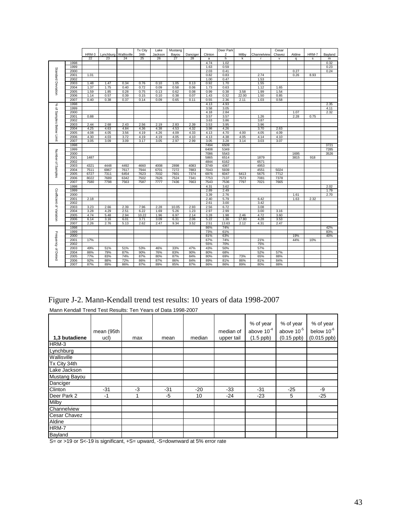|                          |      |              |              |              | <b>Tx City</b> | Lake         |               |              |              | Deer Park    |       |              | Cesar  |        |       |         |
|--------------------------|------|--------------|--------------|--------------|----------------|--------------|---------------|--------------|--------------|--------------|-------|--------------|--------|--------|-------|---------|
|                          |      | HRM-3        |              |              |                |              | Mustang       |              |              |              |       |              |        |        |       |         |
|                          |      | 22           | Lynchburg    | Wallisville  | 34th           | Jackson      | Bayou         | Danciger     | Clinton      | 2            | Milby | Channelview  | Chavez | Aldine | HRM-7 | Bayland |
|                          |      |              | 23           | 24           | 25             | 26           | 27            | 28           | a            | h            | k     | r.           | v      | q      | s     | m       |
|                          | 1998 |              |              |              |                |              |               |              | 4.74         | 1.02         |       |              |        |        |       | 0.32    |
|                          | 1999 |              |              |              |                |              |               |              | 1.63         | 0.59         |       |              |        |        |       | 0.23    |
|                          | 2000 |              |              |              |                |              |               |              | 2.03         | 0.41         |       |              |        | 0.27   |       | 0.24    |
|                          | 2001 | 1.01         |              |              |                |              |               |              | 0.82         | 0.83         |       | 2.74         |        | 0.26   | 8.93  |         |
|                          | 2002 |              |              |              |                |              |               |              | 1.00         | 0.47         |       | 1.53         |        |        |       |         |
|                          | 2003 | 1.48         | 1.47         | 0.34         | 0.76           | 0.10         | 1.05          | 0.13         | 0.92         | 1.70         |       | 1.55         |        |        |       |         |
| Standard Deviation       | 2004 | 1.37         | 1.75         | 0.40         | 0.72           | 0.09         | 0.58          | 0.06         | 1.73         | 0.63         |       | 1.12         | 1.65   |        |       |         |
|                          | 2005 | 1.59         | 1.85         | 0.28         | 0.75           | 0.13         | 0.62          | 0.08         | 0.99         | 0.38         | 3.58  | 1.99         | 1.54   |        |       |         |
|                          | 2006 | 1.14         | 0.57         | 0.39         | 0.15           | 0.10         | 0.38          | 0.07         | 1.43         | 0.32         | 22.00 | 1.50         | 0.85   |        |       |         |
|                          | 2007 | 0.40         | 0.38         | 0.37         | 0.14           | 0.09         | 0.65          | 0.11         | 0.55         | 2.36         | 2.11  | 1.03         | 0.58   |        |       |         |
|                          | 1998 |              |              |              |                |              |               |              | 4.13         | 4.93         |       |              |        |        |       | 2.35    |
| % of Samples Below Limit | 1999 |              |              |              |                |              |               |              | 3.58         | 3.05         |       |              |        |        |       | 4.11    |
|                          | 2000 |              |              |              |                |              |               |              | 4.18         | 2.84         |       |              |        | 1.07   |       | 2.32    |
|                          |      |              |              |              |                |              |               |              |              |              |       |              |        |        |       |         |
|                          | 2001 | 0.88         |              |              |                |              |               |              | 3.57         | 3.57         |       | 1.26         |        | 2.28   | 0.75  |         |
|                          | 2002 |              |              |              |                |              |               |              | 3.63         | 3.86         |       | 3.87         |        |        |       |         |
|                          | 2003 | 2.44         | 2.68         | 2.43         | 2.56           | 2.19         | 2.83          | 2.39         | 3.53         | 3.95         |       | 3.96         |        |        |       |         |
|                          | 2004 | 4.25         | 4.63         | 4.84         | 4.36           | 4.38         | 4.53          | 4.32         | 3.98         | 4.26         |       | 3.70         | 2.63   |        |       |         |
|                          | 2005 | 4.08         | 4.05         | 3.56         | 4.19           | 4.26         | 4.09          | 4.33         | 4.13         | 4.70         | 4.00  | 4.05         | 4.09   |        |       |         |
|                          | 2006 | 4.30         | 4.03         | 3.72         | 4.19           | 4.19         | 4.05          | 4.10         | 4.13         | 4.38         | 4.05  | 4.14         | 4.10   |        |       |         |
|                          | 2007 | 3.05         | 3.09         | 3.09         | 3.17           | 3.05         | 2.97          | 2.99         | 3.05         | 3.28         | 3.14  | 3.03         | 3.07   |        |       |         |
|                          | 1998 |              |              |              |                |              |               |              | 7494         | 6509         |       |              |        |        |       | 3721    |
|                          | 1999 |              |              |              |                |              |               |              | 6408         | 5349         |       |              |        |        |       | 7285    |
| Number of Samples        | 2000 |              |              |              |                |              |               |              | 7086         | 5543         |       |              |        | 1695   |       | 3526    |
|                          | 2001 | 1487         |              |              |                |              |               |              | 5865         | 6514         |       | 1879         |        | 3815   | 918   |         |
|                          | 2002 |              |              |              |                |              |               |              | 4844         | 6162         |       | 6571         |        |        |       |         |
|                          | 2003 | 4321         | 4448         | 4492         | 4660           | 4008         | 2898          | 4083         | 3749         | 4367         |       | 4953         |        |        |       |         |
|                          | 2004 | 7511         | 6967         | 7617         | 7944           | 6701         | 7272          | 7883         | 7043         | 5939         |       | 4551         | 5024   |        |       |         |
|                          | 2005 | 6727         | 7311         | 6454         | 7623           | 7032         | 7601          | 7374         | 6976         | 6047         | 6413  | 5675         | 7712   |        |       |         |
|                          | 2006 | 8022         | 7689         | 6342         | 7502           | 7626         | 7524          | 7341         | 7753         | 7137         | 7573  | 7081         | 7378   |        |       |         |
|                          | 2007 | 7580         | 7798         | 7563         | 7587           | 7777         | 7436          | 7663         | 7543         | 7536         | 7797  | 7021         | 7665   |        |       |         |
|                          | 1998 |              |              |              |                |              |               |              | 4.31         | 3.62         |       |              |        |        |       | 2.02    |
|                          | 1999 |              |              |              |                |              |               |              | 2.89         | 2.49         |       |              |        |        |       | 1.79    |
|                          | 2000 |              |              |              |                |              |               |              | 3.39         | 2.76         |       |              |        | 1.61   |       | 2.70    |
|                          | 2001 | 2.18         |              |              |                |              |               |              | 2.40         | 5.79         |       | 6.42         |        | 1.63   | 2.32  |         |
|                          | 2002 |              |              |              |                |              |               |              | 2.61         | 3.00         |       | 3.42         |        |        |       |         |
|                          | 2003 |              |              |              |                |              |               |              |              |              |       |              |        |        |       |         |
| Coefficient of Variation |      | 3.23<br>3.28 | 2.66<br>4.29 | 2.39<br>2.51 | 7.96<br>6.22   | 2.28<br>1.69 | 10.05<br>5.26 | 2.93<br>1.23 | 2.56<br>2.97 | 6.72<br>2.99 |       | 3.08<br>3.00 |        |        |       |         |
|                          | 2004 |              |              |              |                |              |               |              |              |              |       |              | 3.16   |        |       |         |
|                          | 2005 | 4.74         | 5.48         | 2.94         | 10.22          | 1.96         | 6.97          | 2.14         | 3.28         | 1.98         | 2.46  | 4.72         | 3.60   |        |       |         |
|                          | 2006 | 6.14         | 3.16         | 6.01         | 3.71           | 3.09         | 6.31          | 2.06         | 5.22         | 1.36         | 17.80 | 4.28         | 3.53   |        |       |         |
|                          | 2007 | 2.26         | 2.76         | 5.13         | 2.62           | 2.47         | 9.34          | 3.52         | 2.51         | 13.63        | 2.12  | 4.31         | 2.47   |        |       |         |
|                          | 1998 |              |              |              |                |              |               |              | 86%          | 74%          |       |              |        |        |       | 42%     |
|                          | 1999 |              |              |              |                |              |               |              | 73%          | 61%          |       |              |        |        |       | 83%     |
|                          | 2000 |              |              |              |                |              |               |              | 81%          | 63%          |       |              |        | 19%    |       | 40%     |
|                          | 2001 | 17%          |              |              |                |              |               |              | 67%          | 74%          |       | 21%          |        | 44%    | 10%   |         |
|                          | 2002 |              |              |              |                |              |               |              | 55%          | 70%          |       | 75%          |        |        |       |         |
| Frequency of Detect      | 2003 | 49%          | 51%          | 51%          | 53%            | 46%          | 33%           | 47%          | 43%          | 50%          |       | 57%          |        |        |       |         |
|                          | 2004 | 86%          | 79%          | 87%          | 90%            | 76%          | 83%           | 90%          | 80%          | 68%          |       | 52%          | 57%    |        |       |         |
|                          | 2005 | 77%          | 83%          | 74%          | 87%            | 80%          | 87%           | 84%          | 80%          | 69%          | 73%   | 65%          | 88%    |        |       |         |
|                          | 2006 | 92%          | 88%          | 72%          | 86%            | 87%          | 86%           | 84%          | 89%          | 81%          | 86%   | 81%          | 84%    |        |       |         |
|                          | 2007 | 87%          | 89%          | 86%          | 87%            | 89%          | 85%           | 87%          | 86%          | 86%          | 89%   | 80%          | 88%    |        |       |         |
|                          |      |              |              |              |                |              |               |              |              |              |       |              |        |        |       |         |

Figure J-2. Mann-Kendall trend test results: 10 years of data 1998-2007

Mann Kendall Trend Test Results: Ten Years of Data 1998-2007

|               | mean (95th |      |       |        | median of  | % of year<br>above $10^{-4}$ | % of year<br>above 10 <sup>-5</sup> | % of year<br>below 10 <sup>-6</sup> |
|---------------|------------|------|-------|--------|------------|------------------------------|-------------------------------------|-------------------------------------|
| 1,3 butadiene | ucl)       | max  | mean  | median | upper tail | $(1.5$ ppb)                  | $(0.15$ ppb)                        | $(0.015$ ppb)                       |
| HRM-3         |            |      |       |        |            |                              |                                     |                                     |
| Lynchburg     |            |      |       |        |            |                              |                                     |                                     |
| Wallisville   |            |      |       |        |            |                              |                                     |                                     |
| Tx City 34th  |            |      |       |        |            |                              |                                     |                                     |
| Lake Jackson  |            |      |       |        |            |                              |                                     |                                     |
| Mustang Bayou |            |      |       |        |            |                              |                                     |                                     |
| Danciger      |            |      |       |        |            |                              |                                     |                                     |
| Clinton       | $-31$      | $-3$ | $-31$ | $-20$  | $-33$      | $-31$                        | $-25$                               | -9                                  |
| Deer Park 2   | $-1$       | 4    | $-5$  | 10     | $-24$      | $-23$                        | 5                                   | $-25$                               |
| Milby         |            |      |       |        |            |                              |                                     |                                     |
| Channelview   |            |      |       |        |            |                              |                                     |                                     |
| Cesar Chavez  |            |      |       |        |            |                              |                                     |                                     |
| Aldine        |            |      |       |        |            |                              |                                     |                                     |
| HRM-7         |            |      |       |        |            |                              |                                     |                                     |
| Bayland       |            |      |       |        |            |                              |                                     |                                     |

S= or >19 or S<-19 is significant, +S= upward, -S=downward at 5% error rate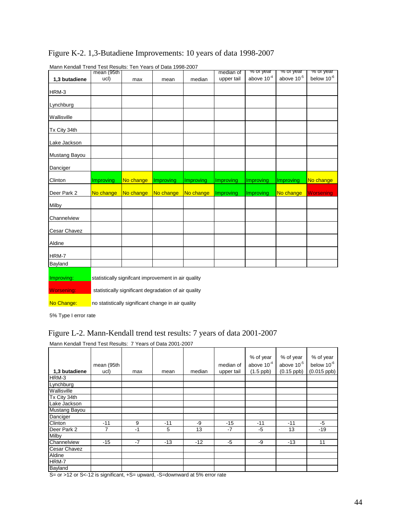|                   |                                                      |           | Mann Kendali Trend Test Results: Ten Years of Data 1998-2007 |                  | median of  | % or year       | <del>% or year</del> | % or year        |  |  |
|-------------------|------------------------------------------------------|-----------|--------------------------------------------------------------|------------------|------------|-----------------|----------------------|------------------|--|--|
|                   | mean (95th                                           |           |                                                              |                  |            | above $10^{-4}$ |                      | below $10^{-6}$  |  |  |
| 1,3 butadiene     | ucl)                                                 | max       | mean                                                         | median           | upper tail |                 | above $10^{-5}$      |                  |  |  |
| HRM-3             |                                                      |           |                                                              |                  |            |                 |                      |                  |  |  |
|                   |                                                      |           |                                                              |                  |            |                 |                      |                  |  |  |
| Lynchburg         |                                                      |           |                                                              |                  |            |                 |                      |                  |  |  |
|                   |                                                      |           |                                                              |                  |            |                 |                      |                  |  |  |
| Wallisville       |                                                      |           |                                                              |                  |            |                 |                      |                  |  |  |
|                   |                                                      |           |                                                              |                  |            |                 |                      |                  |  |  |
| Tx City 34th      |                                                      |           |                                                              |                  |            |                 |                      |                  |  |  |
|                   |                                                      |           |                                                              |                  |            |                 |                      |                  |  |  |
| Lake Jackson      |                                                      |           |                                                              |                  |            |                 |                      |                  |  |  |
| Mustang Bayou     |                                                      |           |                                                              |                  |            |                 |                      |                  |  |  |
|                   |                                                      |           |                                                              |                  |            |                 |                      |                  |  |  |
| Danciger          |                                                      |           |                                                              |                  |            |                 |                      |                  |  |  |
|                   |                                                      |           |                                                              |                  |            |                 |                      |                  |  |  |
| Clinton           | Improving                                            | No change | Improving                                                    | <b>Improving</b> | Improving  | Improving       | Improving            | No change        |  |  |
|                   |                                                      |           |                                                              |                  |            |                 |                      |                  |  |  |
| Deer Park 2       | No change                                            | No change | No change                                                    | No change        | Improving  | Improving       | No change            | <b>Worsening</b> |  |  |
| Milby             |                                                      |           |                                                              |                  |            |                 |                      |                  |  |  |
|                   |                                                      |           |                                                              |                  |            |                 |                      |                  |  |  |
| Channelview       |                                                      |           |                                                              |                  |            |                 |                      |                  |  |  |
|                   |                                                      |           |                                                              |                  |            |                 |                      |                  |  |  |
| Cesar Chavez      |                                                      |           |                                                              |                  |            |                 |                      |                  |  |  |
|                   |                                                      |           |                                                              |                  |            |                 |                      |                  |  |  |
| Aldine            |                                                      |           |                                                              |                  |            |                 |                      |                  |  |  |
| HRM-7             |                                                      |           |                                                              |                  |            |                 |                      |                  |  |  |
|                   |                                                      |           |                                                              |                  |            |                 |                      |                  |  |  |
| Bayland           |                                                      |           |                                                              |                  |            |                 |                      |                  |  |  |
| Improving:        |                                                      |           | statistically signifcant improvement in air quality          |                  |            |                 |                      |                  |  |  |
|                   |                                                      |           |                                                              |                  |            |                 |                      |                  |  |  |
| <b>Worsening:</b> | statistically significant degradation of air quality |           |                                                              |                  |            |                 |                      |                  |  |  |

Figure K-2. 1,3-Butadiene Improvements: 10 years of data 1998-2007

Mann Kendall Trend Test Results: Ten Years of Data 1998-2007

No Change: no statistically significant change in air quality

5% Type I error rate

### Figure L-2. Mann-Kendall trend test results: 7 years of data 2001-2007

| 1,3 butadiene | mean (95th<br>ucl) | max  | mean  | median | median of<br>upper tail | % of year<br>above $10^{-4}$<br>$(1.5$ ppb) | % of year<br>above $10^{-5}$<br>$(0.15$ ppb) | % of year<br>below 10 <sup>-6</sup><br>$(0.015$ ppb) |
|---------------|--------------------|------|-------|--------|-------------------------|---------------------------------------------|----------------------------------------------|------------------------------------------------------|
| HRM-3         |                    |      |       |        |                         |                                             |                                              |                                                      |
| Lynchburg     |                    |      |       |        |                         |                                             |                                              |                                                      |
| Wallisville   |                    |      |       |        |                         |                                             |                                              |                                                      |
| Tx City 34th  |                    |      |       |        |                         |                                             |                                              |                                                      |
| Lake Jackson  |                    |      |       |        |                         |                                             |                                              |                                                      |
| Mustang Bayou |                    |      |       |        |                         |                                             |                                              |                                                      |
| Danciger      |                    |      |       |        |                         |                                             |                                              |                                                      |
| Clinton       | $-11$              | 9    | $-11$ | -9     | $-15$                   | $-11$                                       | $-11$                                        | -5                                                   |
| Deer Park 2   |                    | $-1$ | 5     | 13     | $-7$                    | $-5$                                        | 13                                           | $-19$                                                |
| Milby         |                    |      |       |        |                         |                                             |                                              |                                                      |
| Channelview   | $-15$              | $-7$ | $-13$ | $-12$  | $-5$                    | -9                                          | $-13$                                        | 11                                                   |
| Cesar Chavez  |                    |      |       |        |                         |                                             |                                              |                                                      |
| Aldine        |                    |      |       |        |                         |                                             |                                              |                                                      |
| HRM-7         |                    |      |       |        |                         |                                             |                                              |                                                      |
| Bayland       |                    |      |       |        |                         |                                             |                                              |                                                      |

Mann Kendall Trend Test Results: 7 Years of Data 2001-2007

S= or >12 or S<-12 is significant, +S= upward, -S=downward at 5% error rate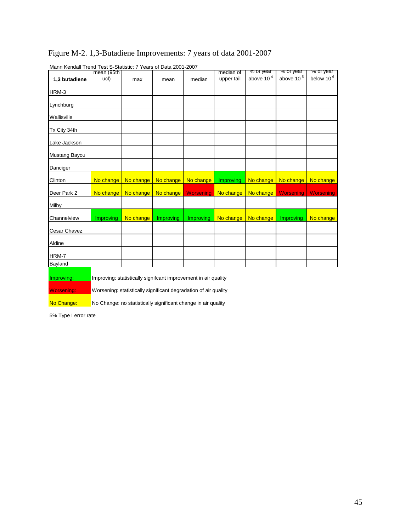| Mann Rendall Trend Test S-Statistic: 7 Years of Data 2001-2007 |                    |                                                                 |           |                  |                         | <del>% or year</del> | <del>% or year</del>   | <del>% or year</del> |  |  |
|----------------------------------------------------------------|--------------------|-----------------------------------------------------------------|-----------|------------------|-------------------------|----------------------|------------------------|----------------------|--|--|
|                                                                | mean (95th<br>ucl) |                                                                 |           |                  | median of<br>upper tail | above $10^{-4}$      | above 10 <sup>-5</sup> | below $10^{-6}$      |  |  |
| 1,3 butadiene                                                  |                    | max                                                             | mean      | median           |                         |                      |                        |                      |  |  |
| HRM-3                                                          |                    |                                                                 |           |                  |                         |                      |                        |                      |  |  |
|                                                                |                    |                                                                 |           |                  |                         |                      |                        |                      |  |  |
| Lynchburg                                                      |                    |                                                                 |           |                  |                         |                      |                        |                      |  |  |
|                                                                |                    |                                                                 |           |                  |                         |                      |                        |                      |  |  |
| Wallisville                                                    |                    |                                                                 |           |                  |                         |                      |                        |                      |  |  |
|                                                                |                    |                                                                 |           |                  |                         |                      |                        |                      |  |  |
| Tx City 34th                                                   |                    |                                                                 |           |                  |                         |                      |                        |                      |  |  |
| Lake Jackson                                                   |                    |                                                                 |           |                  |                         |                      |                        |                      |  |  |
|                                                                |                    |                                                                 |           |                  |                         |                      |                        |                      |  |  |
| Mustang Bayou                                                  |                    |                                                                 |           |                  |                         |                      |                        |                      |  |  |
|                                                                |                    |                                                                 |           |                  |                         |                      |                        |                      |  |  |
| Danciger                                                       |                    |                                                                 |           |                  |                         |                      |                        |                      |  |  |
| Clinton                                                        | No change          | No change                                                       | No change | No change        | Improving               | No change            | No change              | No change            |  |  |
|                                                                |                    |                                                                 |           |                  |                         |                      |                        |                      |  |  |
| Deer Park 2                                                    | No change          | No change                                                       | No change | <b>Worsening</b> | No change               | No change            | Worsening              | <b>Worsening</b>     |  |  |
|                                                                |                    |                                                                 |           |                  |                         |                      |                        |                      |  |  |
| Milby                                                          |                    |                                                                 |           |                  |                         |                      |                        |                      |  |  |
| Channelview                                                    | Improving          | No change                                                       | Improving | Improving        | No change               | No change            | Improving              | No change            |  |  |
|                                                                |                    |                                                                 |           |                  |                         |                      |                        |                      |  |  |
| Cesar Chavez                                                   |                    |                                                                 |           |                  |                         |                      |                        |                      |  |  |
|                                                                |                    |                                                                 |           |                  |                         |                      |                        |                      |  |  |
| Aldine                                                         |                    |                                                                 |           |                  |                         |                      |                        |                      |  |  |
| HRM-7                                                          |                    |                                                                 |           |                  |                         |                      |                        |                      |  |  |
| Bayland                                                        |                    |                                                                 |           |                  |                         |                      |                        |                      |  |  |
|                                                                |                    |                                                                 |           |                  |                         |                      |                        |                      |  |  |
| Improving:                                                     |                    | Improving: statistically signifcant improvement in air quality  |           |                  |                         |                      |                        |                      |  |  |
|                                                                |                    |                                                                 |           |                  |                         |                      |                        |                      |  |  |
| <b>Worsening:</b>                                              |                    | Worsening: statistically significant degradation of air quality |           |                  |                         |                      |                        |                      |  |  |
|                                                                |                    |                                                                 |           |                  |                         |                      |                        |                      |  |  |
| No Change:                                                     |                    | No Change: no statistically significant change in air quality   |           |                  |                         |                      |                        |                      |  |  |

# Figure M-2. 1,3-Butadiene Improvements: 7 years of data 2001-2007

Mann Kendall Trend Test S-Statistic: 7 Years of Data 2001-2007

5% Type I error rate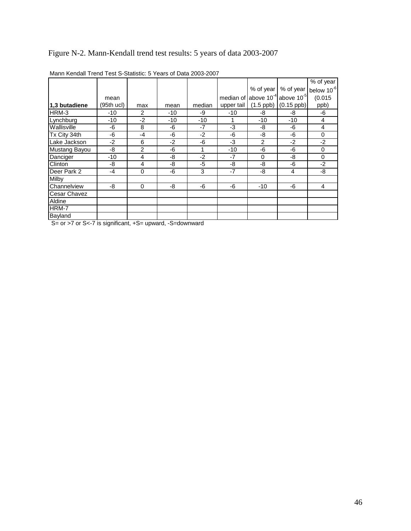# Figure N-2. Mann-Kendall trend test results: 5 years of data 2003-2007

|                     |            |                |      |        |            |             |                                           | % of year       |
|---------------------|------------|----------------|------|--------|------------|-------------|-------------------------------------------|-----------------|
|                     |            |                |      |        |            | % of year   | % of year                                 | below $10^{-6}$ |
|                     | mean       |                |      |        |            |             | median of above $10^{-4}$ above $10^{-5}$ | (0.015)         |
| 1.3 butadiene       | (95th ucl) | max            | mean | median | upper tail | $(1.5$ ppb) | $(0.15$ ppb)                              | ppb)            |
| HRM-3               | $-10$      | 2              | -10  | -9     | $-10$      | -8          | -8                                        | -6              |
| Lynchburg           | $-10$      | $-2$           | -10  | $-10$  |            | -10         | -10                                       | 4               |
| Wallisville         | -6         | 8              | -6   | $-7$   | -3         | -8          | -6                                        | $\overline{4}$  |
| Tx City 34th        | -6         | $-4$           | -6   | $-2$   | -6         | -8          | -6                                        | 0               |
| Lake Jackson        | $-2$       | 6              | $-2$ | -6     | $-3$       | 2           | $-2$                                      | $-2$            |
| Mustang Bayou       | -8         | $\overline{2}$ | -6   | 1      | $-10$      | -6          | -6                                        | 0               |
| Danciger            | $-10$      | 4              | -8   | $-2$   | $-7$       | 0           | -8                                        | $\mathbf 0$     |
| Clinton             | -8         | 4              | -8   | -5     | -8         | -8          | -6                                        | $-2$            |
| Deer Park 2         | $-4$       | 0              | -6   | 3      | $-7$       | -8          | 4                                         | -8              |
| Milby               |            |                |      |        |            |             |                                           |                 |
| Channelview         | -8         | $\mathbf 0$    | -8   | -6     | -6         | $-10$       | -6                                        | 4               |
| <b>Cesar Chavez</b> |            |                |      |        |            |             |                                           |                 |
| Aldine              |            |                |      |        |            |             |                                           |                 |
| HRM-7               |            |                |      |        |            |             |                                           |                 |
| Bayland             |            |                |      |        |            |             |                                           |                 |

Mann Kendall Trend Test S-Statistic: 5 Years of Data 2003-2007

S= or >7 or S<-7 is significant, +S= upward, -S=downward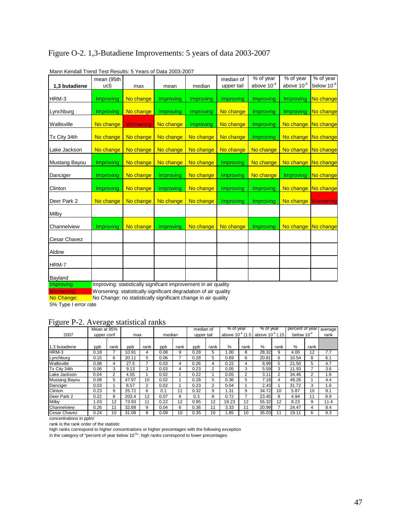| Marin Rendali Trend Test Results. 5 Tears of Data 2003-2007 | mean (95th       |                                                                                                                                                                                  |                       |           | median of  | % of year        | % of year           | % of year              |
|-------------------------------------------------------------|------------------|----------------------------------------------------------------------------------------------------------------------------------------------------------------------------------|-----------------------|-----------|------------|------------------|---------------------|------------------------|
| 1,3 butadiene                                               | ucl)             | max                                                                                                                                                                              | mean                  | median    | upper tail | above $10^{-4}$  | above $10^{-5}$     | below 10 <sup>-6</sup> |
| HRM-3                                                       | <b>Improving</b> | No change                                                                                                                                                                        | Improving             | Improving | Improving  | Improving        | <b>Improving</b>    | No change              |
| Lynchburg                                                   | <b>Improving</b> | No change                                                                                                                                                                        | Improving             | Improving | No change  | Improving        | <b>Improving</b>    | No change              |
| Wallisville                                                 | No change        | Worsening                                                                                                                                                                        | No change             | Improving | No change  | Improving        | No change No change |                        |
| Tx City 34th                                                | No change        | No change                                                                                                                                                                        | No change             | No change | No change  | Improving        | No change No change |                        |
| Lake Jackson                                                | No change        | No change                                                                                                                                                                        | No change   No change |           | No change  | No change        | No change No change |                        |
| Mustang Bayou                                               | <b>Improving</b> | No change                                                                                                                                                                        | No change             | No change | Improving  | No change        | No change No change |                        |
| Danciger                                                    | Improving        | No change                                                                                                                                                                        | <b>Improving</b>      | No change | Improving  | No change        | <b>Improving</b>    | No change              |
| Clinton                                                     | <b>Improving</b> | No change                                                                                                                                                                        | Improving             | No change | Improving  | Improving        | No change No change |                        |
| Deer Park 2                                                 | No change        | No change                                                                                                                                                                        | No change             | No change | Improving  | Improving        | No change Worsening |                        |
| Milby                                                       |                  |                                                                                                                                                                                  |                       |           |            |                  |                     |                        |
| Channelview                                                 | Improving        | No change                                                                                                                                                                        | Improving             | No change | No change  | <b>Improving</b> | No change No change |                        |
| Cesar Chavez                                                |                  |                                                                                                                                                                                  |                       |           |            |                  |                     |                        |
| Aldine                                                      |                  |                                                                                                                                                                                  |                       |           |            |                  |                     |                        |
| HRM-7                                                       |                  |                                                                                                                                                                                  |                       |           |            |                  |                     |                        |
| Bayland                                                     |                  |                                                                                                                                                                                  |                       |           |            |                  |                     |                        |
| Improving:                                                  |                  | Improving: statistically signifcant improvement in air quality<br>the contract that the contract of the contract of the contract of the contract of the contract of the contract |                       |           |            |                  |                     |                        |

### Figure O-2. 1,3-Butadiene Improvements: 5 years of data 2003-2007

Mann Kendall Trend Test Results: 5 Years of Data 2003-2007

Worsening: Worsening: statistically significant degradation of air quality<br>No Change: No Change: no statistically significant change in air quality No Change: no statistically significant change in air quality

5% Type I error rate

### Figure P-2. Average statistical ranks

|                   | Mean at 95% |                |       |      |        |                 | median of  |      | % of year             |      | % of year                   |      | percent of year        |      | average |
|-------------------|-------------|----------------|-------|------|--------|-----------------|------------|------|-----------------------|------|-----------------------------|------|------------------------|------|---------|
| 2007              | upper conf  |                | max   |      | median |                 | upper tail |      | above $10^{-4}$ (1.5) |      | above 10 <sup>-5</sup> (.15 |      | below 10 <sup>-6</sup> |      | rank    |
|                   |             |                |       |      |        |                 |            |      |                       |      |                             |      |                        |      |         |
| 1,3 butadiene     | ppb         | rank           | ppb   | rank | ppb    | rank            | ppb        | rank | $\%$                  | rank | %                           | rank | $\%$                   | rank |         |
| HRM-3             | 0.18        |                | 10.91 | 4    | 0.08   | 9               | 0.28       | 5    | 1.00                  | 8    | 28.32                       | 9    | 4.00                   | 12   | 7.7     |
| Lynchburg         | 0.15        | 6              | 20.11 | 5    | 0.06   |                 | 0.28       | 5    | 0.69                  | 6    | 20.81                       | 6    | 10.54                  | 8    | 6.1     |
| Wallisville       | 0.08        | 4              | 27.5  |      | 0.03   | 4               | 0.26       | 4    | 0.22                  | 4    | 8.99                        | 5    | 21.50                  | 5    | 4.7     |
| Tx City 34th      | 0.06        | 3              | 9.13  | 3    | 0.03   | 4               | 0.23       | 2    | 0.05                  | 3    | 5.59                        | 3    | 11.93                  |      | 3.6     |
| Lake Jackson      | 0.04        | $\overline{2}$ | 4.55  |      | 0.02   |                 | 0.22       |      | 0.05                  | 2    | 3.11                        | 2    | 34.46                  | 2    | 1.6     |
| Mustang Bayou     | 0.08        | 5              | 47.97 | 10   | 0.02   |                 | 0.28       | 5    | 0.36                  | 5    | 7.18                        | 4    | 49.26                  |      | 4.4     |
| Danciger          | 0.03        |                | 8.57  | 2    | 0.02   |                 | 0.23       | 2    | 0.04                  |      | 2.43                        |      | 31.72                  | 3    | 1.6     |
| <b>Clinton</b>    | 0.23        | 9              | 25.72 | 6    | 0.1    | 11              | 0.32       | 9    | 1.31                  | 9    | 34.72                       | 10   | 5.87                   | 10   | 9.1     |
| Deer Park 2       | 0.22        | 8              | 203.4 | 12   | 0.07   | 8               | 0.3        | 8    | 0.72                  |      | 23.45                       | 8    | 4.94                   | 11   | 8.9     |
| Milby             | 1.03        | 12             | 73.93 | 11   | 0.22   | 12 <sup>2</sup> | 0.85       | 12   | 19.23                 | 12   | 55.32                       | 12   | 8.23                   | 9    | 11.4    |
| Channelview       | 0.26        | 11             | 32.89 | 9    | 0.04   | 6               | 0.36       | 11   | 3.33                  | 11   | 20.99                       |      | 24.47                  | 4    | 8.4     |
| Cesar Chavez<br>. | 0.24        | 10             | 31.08 | 8    | 0.09   | 10              | 0.35       | 10   | 1.85                  | 10   | 35.03                       |      | 19.11                  | 6    | 9.3     |

concentrations in ppbV

rank is the rank order of the statistic

high ranks correspond to higher concentrations or higher precentages with the following exception<br>in the category of "percent of year below 10<sup>-6</sup>", high ranks correspond to lower precentages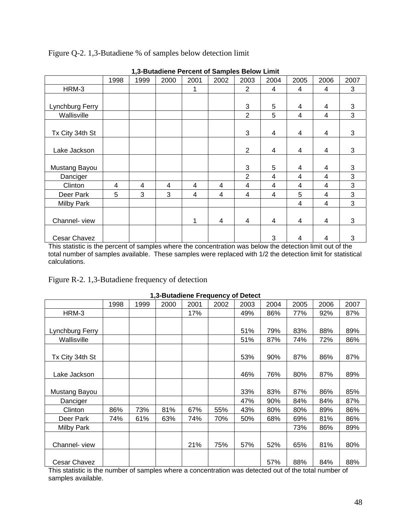|                   |      | .,.  |      |      |      |                |                         |      |      |              |
|-------------------|------|------|------|------|------|----------------|-------------------------|------|------|--------------|
|                   | 1998 | 1999 | 2000 | 2001 | 2002 | 2003           | 2004                    | 2005 | 2006 | 2007         |
| HRM-3             |      |      |      | 1    |      | 2              | 4                       | 4    | 4    | 3            |
|                   |      |      |      |      |      |                |                         |      |      |              |
| Lynchburg Ferry   |      |      |      |      |      | 3              | 5                       | 4    | 4    | 3            |
| Wallisville       |      |      |      |      |      | $\overline{2}$ | 5                       | 4    | 4    | 3            |
|                   |      |      |      |      |      |                |                         |      |      |              |
| Tx City 34th St   |      |      |      |      |      | 3              | $\overline{\mathbf{4}}$ | 4    | 4    | 3            |
|                   |      |      |      |      |      |                |                         |      |      |              |
| Lake Jackson      |      |      |      |      |      | $\overline{2}$ | 4                       | 4    | 4    | 3            |
|                   |      |      |      |      |      |                |                         |      |      |              |
| Mustang Bayou     |      |      |      |      |      | 3              | 5                       | 4    | 4    | 3            |
| Danciger          |      |      |      |      |      | $\overline{2}$ | 4                       | 4    | 4    | $\mathbf{3}$ |
| Clinton           | 4    | 4    | 4    | 4    | 4    | 4              | 4                       | 4    | 4    | 3            |
| Deer Park         | 5    | 3    | 3    | 4    | 4    | 4              | 4                       | 5    | 4    | 3            |
| <b>Milby Park</b> |      |      |      |      |      |                |                         | 4    | 4    | 3            |
|                   |      |      |      |      |      |                |                         |      |      |              |
| Channel-view      |      |      |      | 1    | 4    | 4              | 4                       | 4    | 4    | 3            |
|                   |      |      |      |      |      |                |                         |      |      |              |
| Cesar Chavez      |      |      |      |      |      |                | 3                       | 4    | 4    | 3            |

Figure Q-2. 1,3-Butadiene % of samples below detection limit

**1,3-Butadiene Percent of Samples Below Limit** 

This statistic is the percent of samples where the concentration was below the detection limit out of the total number of samples available. These samples were replaced with 1/2 the detection limit for statistical calculations.

Figure R-2. 1,3-Butadiene frequency of detection

|                 |      |      | <b>1.3-Dulations in Equality of Detect</b> |      |      |      |      |      |      |      |
|-----------------|------|------|--------------------------------------------|------|------|------|------|------|------|------|
|                 | 1998 | 1999 | 2000                                       | 2001 | 2002 | 2003 | 2004 | 2005 | 2006 | 2007 |
| HRM-3           |      |      |                                            | 17%  |      | 49%  | 86%  | 77%  | 92%  | 87%  |
|                 |      |      |                                            |      |      |      |      |      |      |      |
| Lynchburg Ferry |      |      |                                            |      |      | 51%  | 79%  | 83%  | 88%  | 89%  |
| Wallisville     |      |      |                                            |      |      | 51%  | 87%  | 74%  | 72%  | 86%  |
|                 |      |      |                                            |      |      |      |      |      |      |      |
| Tx City 34th St |      |      |                                            |      |      | 53%  | 90%  | 87%  | 86%  | 87%  |
|                 |      |      |                                            |      |      |      |      |      |      |      |
| Lake Jackson    |      |      |                                            |      |      | 46%  | 76%  | 80%  | 87%  | 89%  |
|                 |      |      |                                            |      |      |      |      |      |      |      |
| Mustang Bayou   |      |      |                                            |      |      | 33%  | 83%  | 87%  | 86%  | 85%  |
| Danciger        |      |      |                                            |      |      | 47%  | 90%  | 84%  | 84%  | 87%  |
| Clinton         | 86%  | 73%  | 81%                                        | 67%  | 55%  | 43%  | 80%  | 80%  | 89%  | 86%  |
| Deer Park       | 74%  | 61%  | 63%                                        | 74%  | 70%  | 50%  | 68%  | 69%  | 81%  | 86%  |
| Milby Park      |      |      |                                            |      |      |      |      | 73%  | 86%  | 89%  |
|                 |      |      |                                            |      |      |      |      |      |      |      |
| Channel-view    |      |      |                                            | 21%  | 75%  | 57%  | 52%  | 65%  | 81%  | 80%  |
|                 |      |      |                                            |      |      |      |      |      |      |      |
| Cesar Chavez    |      |      |                                            |      |      |      | 57%  | 88%  | 84%  | 88%  |

**1,3-Butadiene Frequency of Detect** 

This statistic is the number of samples where a concentration was detected out of the total number of samples available.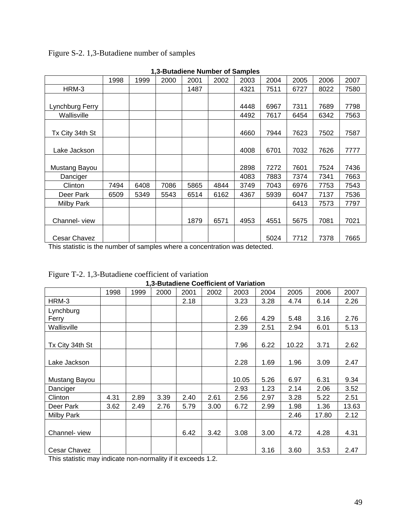Figure S-2. 1,3-Butadiene number of samples

|                     | 1998 | 1999 | 2000 | 2001 | 2002 | 2003 | 2004 | 2005 | 2006 | 2007 |
|---------------------|------|------|------|------|------|------|------|------|------|------|
| HRM-3               |      |      |      | 1487 |      | 4321 | 7511 | 6727 | 8022 | 7580 |
|                     |      |      |      |      |      |      |      |      |      |      |
| Lynchburg Ferry     |      |      |      |      |      | 4448 | 6967 | 7311 | 7689 | 7798 |
| Wallisville         |      |      |      |      |      | 4492 | 7617 | 6454 | 6342 | 7563 |
|                     |      |      |      |      |      |      |      |      |      |      |
| Tx City 34th St     |      |      |      |      |      | 4660 | 7944 | 7623 | 7502 | 7587 |
|                     |      |      |      |      |      |      |      |      |      |      |
| Lake Jackson        |      |      |      |      |      | 4008 | 6701 | 7032 | 7626 | 7777 |
|                     |      |      |      |      |      |      |      |      |      |      |
| Mustang Bayou       |      |      |      |      |      | 2898 | 7272 | 7601 | 7524 | 7436 |
| Danciger            |      |      |      |      |      | 4083 | 7883 | 7374 | 7341 | 7663 |
| Clinton             | 7494 | 6408 | 7086 | 5865 | 4844 | 3749 | 7043 | 6976 | 7753 | 7543 |
| Deer Park           | 6509 | 5349 | 5543 | 6514 | 6162 | 4367 | 5939 | 6047 | 7137 | 7536 |
| Milby Park          |      |      |      |      |      |      |      | 6413 | 7573 | 7797 |
|                     |      |      |      |      |      |      |      |      |      |      |
| Channel-view        |      |      |      | 1879 | 6571 | 4953 | 4551 | 5675 | 7081 | 7021 |
|                     |      |      |      |      |      |      |      |      |      |      |
| <b>Cesar Chavez</b> |      |      |      |      |      |      | 5024 | 7712 | 7378 | 7665 |

**1,3-Butadiene Number of Samples** 

This statistic is the number of samples where a concentration was detected.

|                    |      |      |      |      |      | 1,3-Butadiene Coefficient of Variation |      |       |       |       |
|--------------------|------|------|------|------|------|----------------------------------------|------|-------|-------|-------|
|                    | 1998 | 1999 | 2000 | 2001 | 2002 | 2003                                   | 2004 | 2005  | 2006  | 2007  |
| HRM-3              |      |      |      | 2.18 |      | 3.23                                   | 3.28 | 4.74  | 6.14  | 2.26  |
| Lynchburg<br>Ferry |      |      |      |      |      | 2.66                                   | 4.29 | 5.48  | 3.16  | 2.76  |
| Wallisville        |      |      |      |      |      | 2.39                                   | 2.51 | 2.94  | 6.01  | 5.13  |
| Tx City 34th St    |      |      |      |      |      | 7.96                                   | 6.22 | 10.22 | 3.71  | 2.62  |
| Lake Jackson       |      |      |      |      |      | 2.28                                   | 1.69 | 1.96  | 3.09  | 2.47  |
| Mustang Bayou      |      |      |      |      |      | 10.05                                  | 5.26 | 6.97  | 6.31  | 9.34  |
| Danciger           |      |      |      |      |      | 2.93                                   | 1.23 | 2.14  | 2.06  | 3.52  |
| Clinton            | 4.31 | 2.89 | 3.39 | 2.40 | 2.61 | 2.56                                   | 2.97 | 3.28  | 5.22  | 2.51  |
| Deer Park          | 3.62 | 2.49 | 2.76 | 5.79 | 3.00 | 6.72                                   | 2.99 | 1.98  | 1.36  | 13.63 |
| Milby Park         |      |      |      |      |      |                                        |      | 2.46  | 17.80 | 2.12  |
| Channel-view       |      |      |      | 6.42 | 3.42 | 3.08                                   | 3.00 | 4.72  | 4.28  | 4.31  |
| Cesar Chavez       |      |      |      |      |      |                                        | 3.16 | 3.60  | 3.53  | 2.47  |

Figure T-2. 1,3-Butadiene coefficient of variation

This statistic may indicate non-normality if it exceeds 1.2.